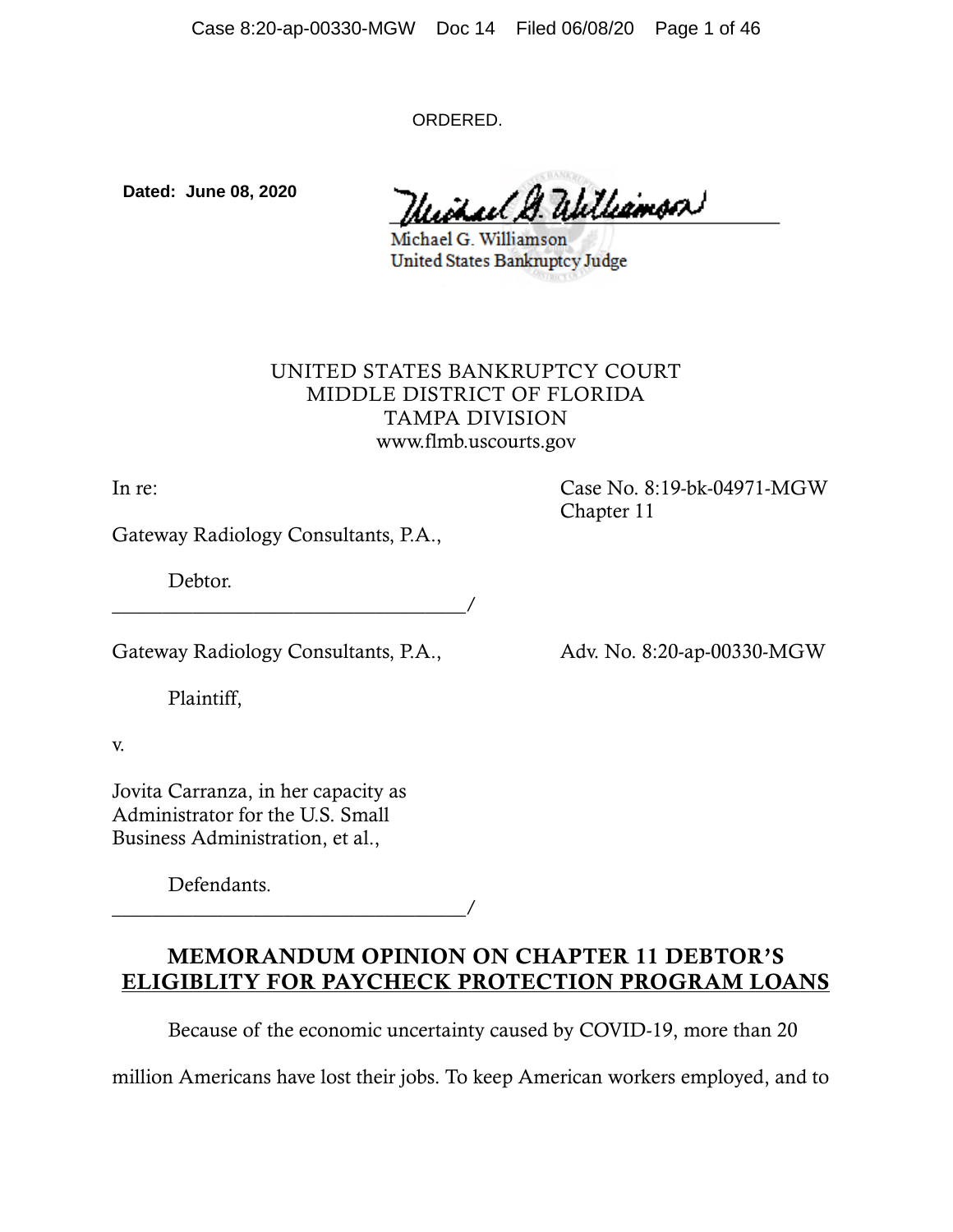ORDERED.

**Dated: June 08, 2020**

Without & Williamson

Michael G. Williamson United States Bankruptcy Judge

## UNITED STATES BANKRUPTCY COURT MIDDLE DISTRICT OF FLORIDA TAMPA DIVISION www.flmb.uscourts.gov

In re: Case No. 8:19-bk-04971-MGW Chapter 11

Gateway Radiology Consultants, P.A.,

Debtor.

\_\_\_\_\_\_\_\_\_\_\_\_\_\_\_\_\_\_\_\_\_\_\_\_\_\_\_\_\_\_\_\_\_\_\_/

Gateway Radiology Consultants, P.A., Adv. No. 8:20-ap-00330-MGW

Plaintiff,

v.

Jovita Carranza, in her capacity as Administrator for the U.S. Small Business Administration, et al.,

Defendants.

\_\_\_\_\_\_\_\_\_\_\_\_\_\_\_\_\_\_\_\_\_\_\_\_\_\_\_\_\_\_\_\_\_\_\_/

# MEMORANDUM OPINION ON CHAPTER 11 DEBTOR'S ELIGIBLITY FOR PAYCHECK PROTECTION PROGRAM LOANS

Because of the economic uncertainty caused by COVID-19, more than 20

million Americans have lost their jobs. To keep American workers employed, and to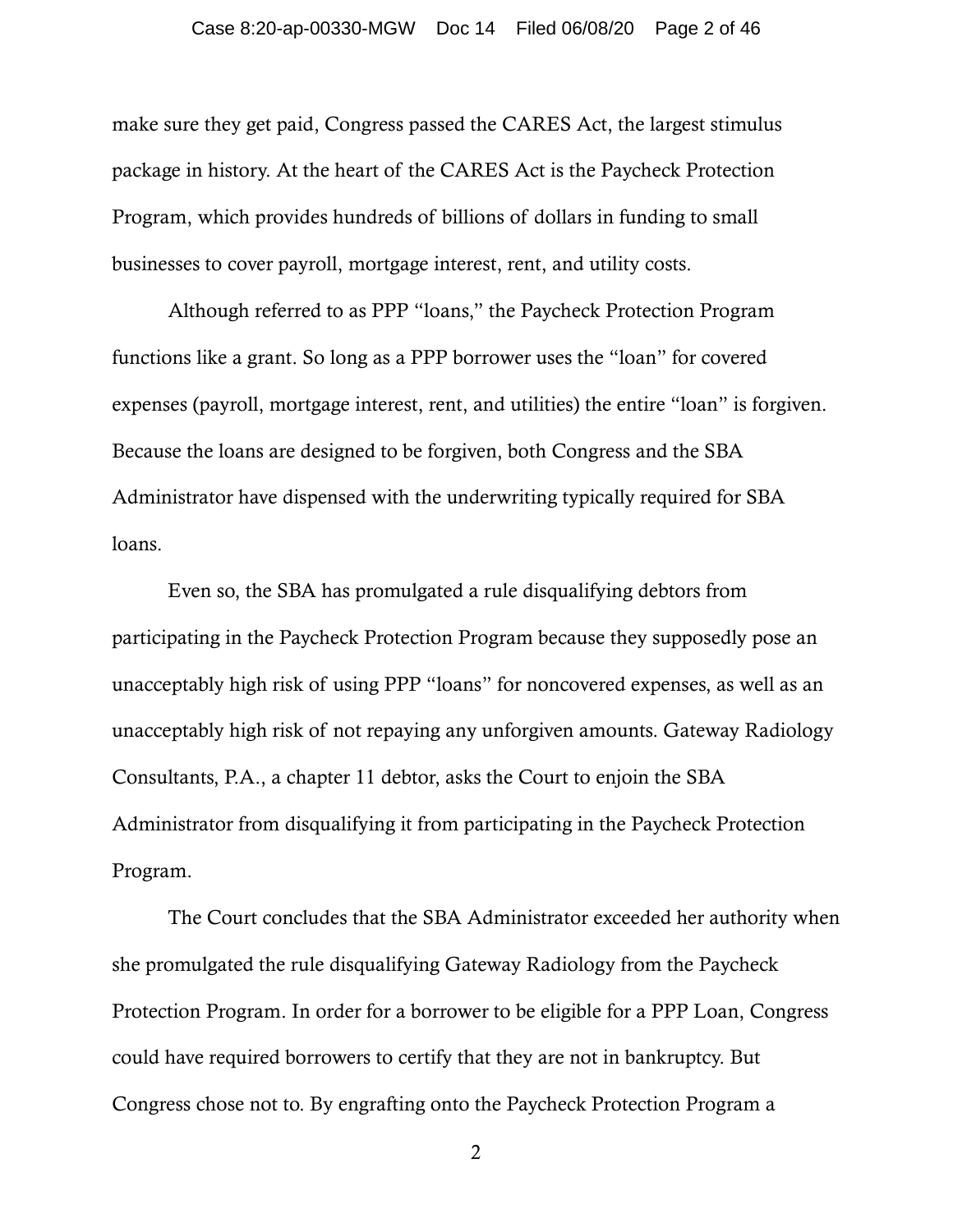#### Case 8:20-ap-00330-MGW Doc 14 Filed 06/08/20 Page 2 of 46

make sure they get paid, Congress passed the CARES Act, the largest stimulus package in history. At the heart of the CARES Act is the Paycheck Protection Program, which provides hundreds of billions of dollars in funding to small businesses to cover payroll, mortgage interest, rent, and utility costs.

Although referred to as PPP "loans," the Paycheck Protection Program functions like a grant. So long as a PPP borrower uses the "loan" for covered expenses (payroll, mortgage interest, rent, and utilities) the entire "loan" is forgiven. Because the loans are designed to be forgiven, both Congress and the SBA Administrator have dispensed with the underwriting typically required for SBA loans.

Even so, the SBA has promulgated a rule disqualifying debtors from participating in the Paycheck Protection Program because they supposedly pose an unacceptably high risk of using PPP "loans" for noncovered expenses, as well as an unacceptably high risk of not repaying any unforgiven amounts. Gateway Radiology Consultants, P.A., a chapter 11 debtor, asks the Court to enjoin the SBA Administrator from disqualifying it from participating in the Paycheck Protection Program.

The Court concludes that the SBA Administrator exceeded her authority when she promulgated the rule disqualifying Gateway Radiology from the Paycheck Protection Program. In order for a borrower to be eligible for a PPP Loan, Congress could have required borrowers to certify that they are not in bankruptcy. But Congress chose not to. By engrafting onto the Paycheck Protection Program a

2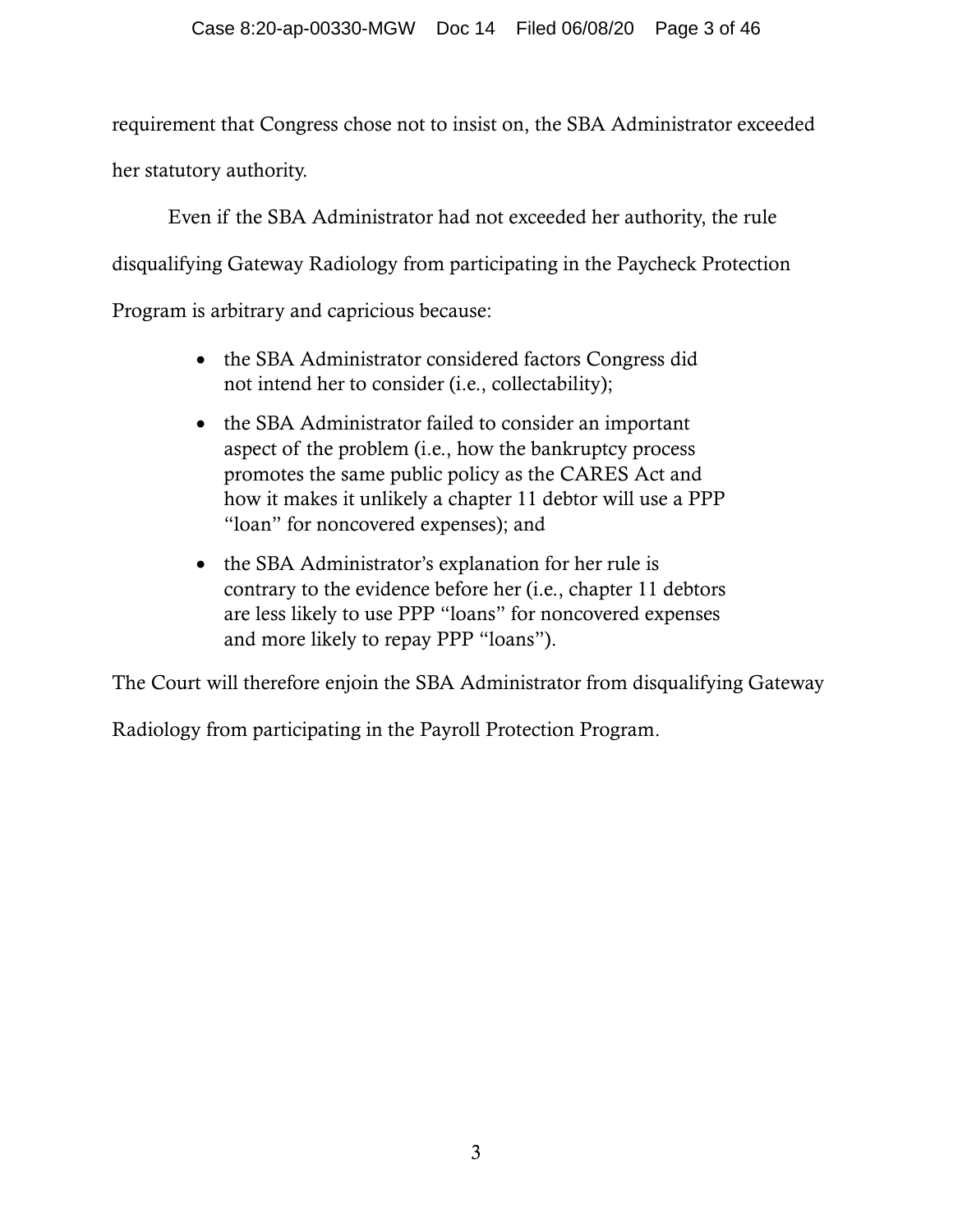requirement that Congress chose not to insist on, the SBA Administrator exceeded her statutory authority.

Even if the SBA Administrator had not exceeded her authority, the rule disqualifying Gateway Radiology from participating in the Paycheck Protection Program is arbitrary and capricious because:

- the SBA Administrator considered factors Congress did not intend her to consider (i.e., collectability);
- the SBA Administrator failed to consider an important aspect of the problem (i.e., how the bankruptcy process promotes the same public policy as the CARES Act and how it makes it unlikely a chapter 11 debtor will use a PPP "loan" for noncovered expenses); and
- the SBA Administrator's explanation for her rule is contrary to the evidence before her (i.e., chapter 11 debtors are less likely to use PPP "loans" for noncovered expenses and more likely to repay PPP "loans").

The Court will therefore enjoin the SBA Administrator from disqualifying Gateway

Radiology from participating in the Payroll Protection Program.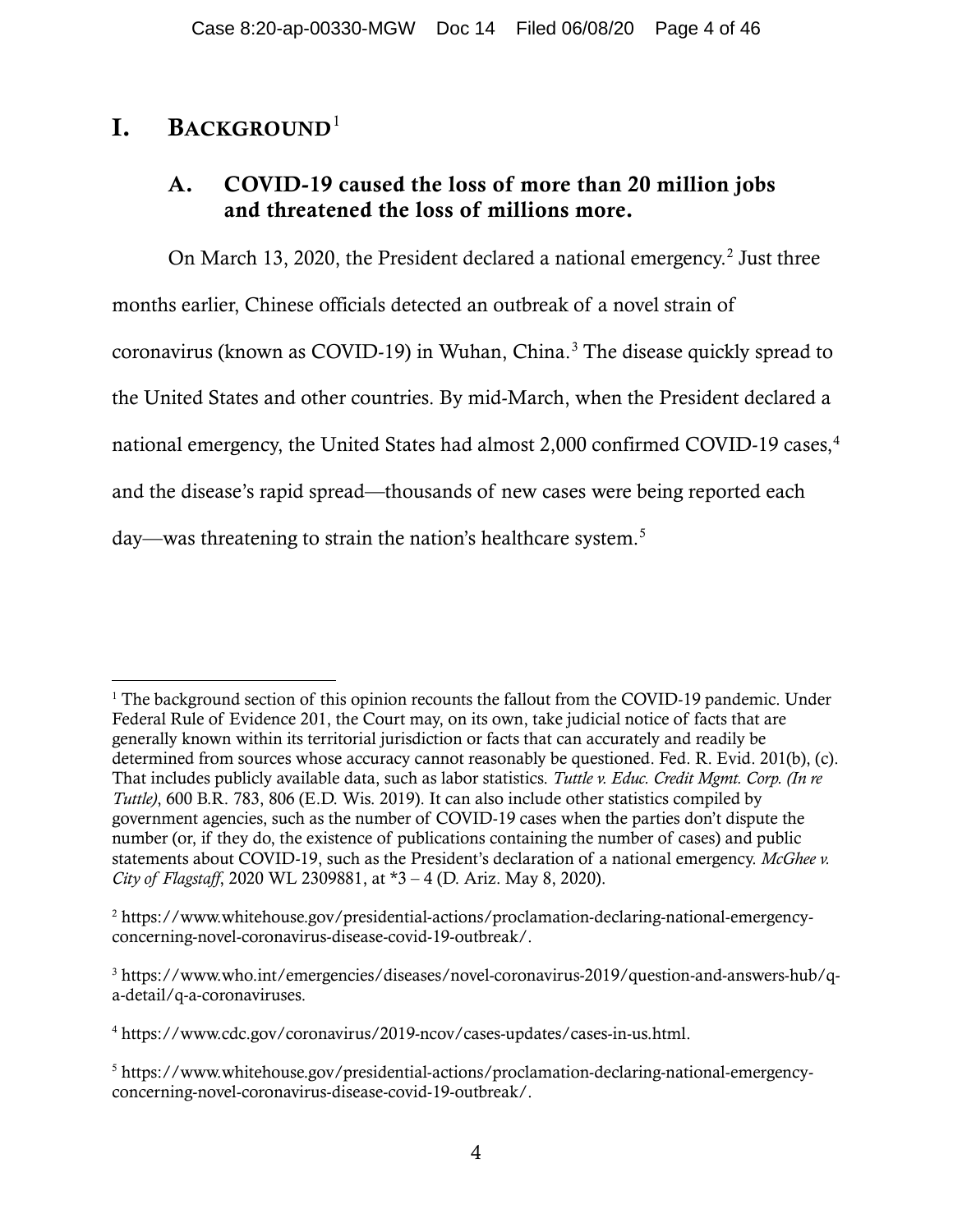# I. BACKGROUND<sup>[1](#page-3-0)</sup>

# A. COVID-19 caused the loss of more than 20 million jobs and threatened the loss of millions more.

On March 13, [2](#page-3-1)020, the President declared a national emergency.<sup>2</sup> Just three months earlier, Chinese officials detected an outbreak of a novel strain of coronavirus (known as COVID-19) in Wuhan, China.<sup>[3](#page-3-2)</sup> The disease quickly spread to the United States and other countries. By mid-March, when the President declared a national emergency, the United States had almost 2,000 confirmed COVID-19 cases, [4](#page-3-3) and the disease's rapid spread—thousands of new cases were being reported each day—was threatening to strain the nation's healthcare system.<sup>[5](#page-3-4)</sup>

<span id="page-3-0"></span><sup>&</sup>lt;sup>1</sup> The background section of this opinion recounts the fallout from the COVID-19 pandemic. Under Federal Rule of Evidence 201, the Court may, on its own, take judicial notice of facts that are generally known within its territorial jurisdiction or facts that can accurately and readily be determined from sources whose accuracy cannot reasonably be questioned. Fed. R. Evid. 201(b), (c). That includes publicly available data, such as labor statistics. *Tuttle v. Educ. Credit Mgmt. Corp. (In re Tuttle)*, 600 B.R. 783, 806 (E.D. Wis. 2019). It can also include other statistics compiled by government agencies, such as the number of COVID-19 cases when the parties don't dispute the number (or, if they do, the existence of publications containing the number of cases) and public statements about COVID-19, such as the President's declaration of a national emergency. *McGhee v. City of Flagstaff*, 2020 WL 2309881, at \*3 – 4 (D. Ariz. May 8, 2020).

<span id="page-3-1"></span><sup>2</sup> https://www.whitehouse.gov/presidential-actions/proclamation-declaring-national-emergencyconcerning-novel-coronavirus-disease-covid-19-outbreak/.

<span id="page-3-2"></span><sup>3</sup> https://www.who.int/emergencies/diseases/novel-coronavirus-2019/question-and-answers-hub/qa-detail/q-a-coronaviruses.

<span id="page-3-3"></span><sup>4</sup> https://www.cdc.gov/coronavirus/2019-ncov/cases-updates/cases-in-us.html.

<span id="page-3-4"></span><sup>5</sup> https://www.whitehouse.gov/presidential-actions/proclamation-declaring-national-emergencyconcerning-novel-coronavirus-disease-covid-19-outbreak/.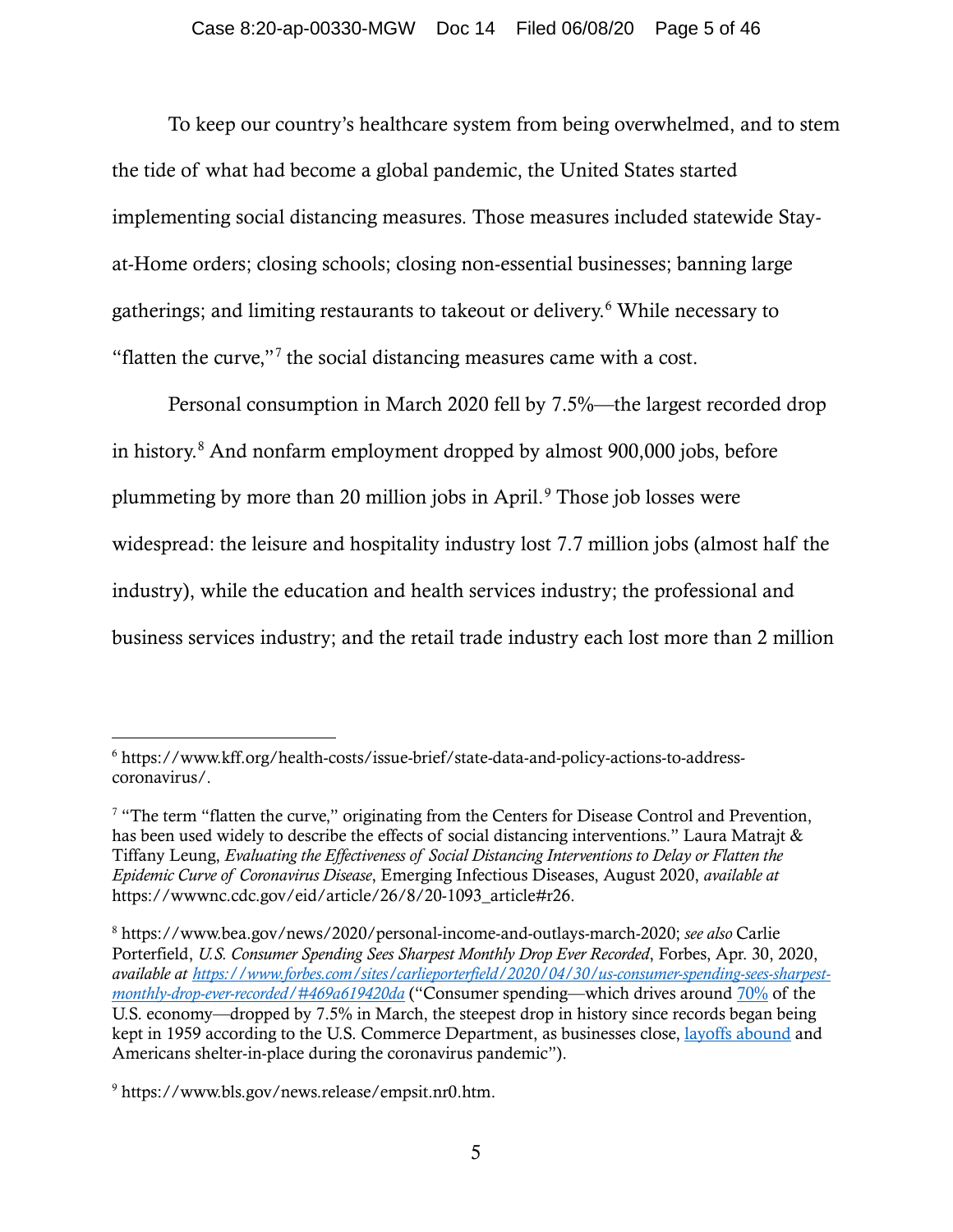To keep our country's healthcare system from being overwhelmed, and to stem the tide of what had become a global pandemic, the United States started implementing social distancing measures. Those measures included statewide Stayat-Home orders; closing schools; closing non-essential businesses; banning large gatherings; and limiting restaurants to takeout or delivery.[6](#page-4-0) While necessary to "flatten the curve,"[7](#page-4-1) the social distancing measures came with a cost.

Personal consumption in March 2020 fell by 7.5%—the largest recorded drop in history. [8](#page-4-2) And nonfarm employment dropped by almost 900,000 jobs, before plummeting by more than 20 million jobs in April.<sup>[9](#page-4-3)</sup> Those job losses were widespread: the leisure and hospitality industry lost 7.7 million jobs (almost half the industry), while the education and health services industry; the professional and business services industry; and the retail trade industry each lost more than 2 million

<span id="page-4-0"></span><sup>6</sup> https://www.kff.org/health-costs/issue-brief/state-data-and-policy-actions-to-addresscoronavirus/.

<span id="page-4-1"></span><sup>&</sup>lt;sup>7</sup> "The term "flatten the curve," originating from the Centers for Disease Control and Prevention, has been used widely to describe the effects of social distancing interventions." Laura Matrajt & Tiffany Leung, *Evaluating the Effectiveness of Social Distancing Interventions to Delay or Flatten the Epidemic Curve of Coronavirus Disease*, Emerging Infectious Diseases, August 2020, *available at*  https://wwwnc.cdc.gov/eid/article/26/8/20-1093\_article#r26.

<span id="page-4-2"></span><sup>8</sup> https://www.bea.gov/news/2020/personal-income-and-outlays-march-2020; *see also* Carlie Porterfield, *U.S. Consumer Spending Sees Sharpest Monthly Drop Ever Recorded*, Forbes, Apr. 30, 2020, *available at [https://www.forbes.com/sites/carlieporterfield/2020/04/30/us-consumer-spending-sees-sharpest](https://www.forbes.com/sites/carlieporterfield/2020/04/30/us-consumer-spending-sees-sharpest-monthly-drop-ever-recorded/#469a619420da)[monthly-drop-ever-recorded/#469a619420da](https://www.forbes.com/sites/carlieporterfield/2020/04/30/us-consumer-spending-sees-sharpest-monthly-drop-ever-recorded/#469a619420da)* ("Consumer spending—which drives around [70%](https://apnews.com/9c131da2823fd4ec0823749920a3e9f7) of the U.S. economy—dropped by 7.5% in March, the steepest drop in history since records began being kept in 1959 according to the U.S. Commerce Department, as businesses close, [layoffs abound](https://www.forbes.com/sites/lisettevoytko/2020/04/29/coronavirus-layoffs-boeing-cuts-10-of-workforce-amid-pandemic/#5b8499c03487) and Americans shelter-in-place during the coronavirus pandemic").

<span id="page-4-3"></span><sup>9</sup> https://www.bls.gov/news.release/empsit.nr0.htm.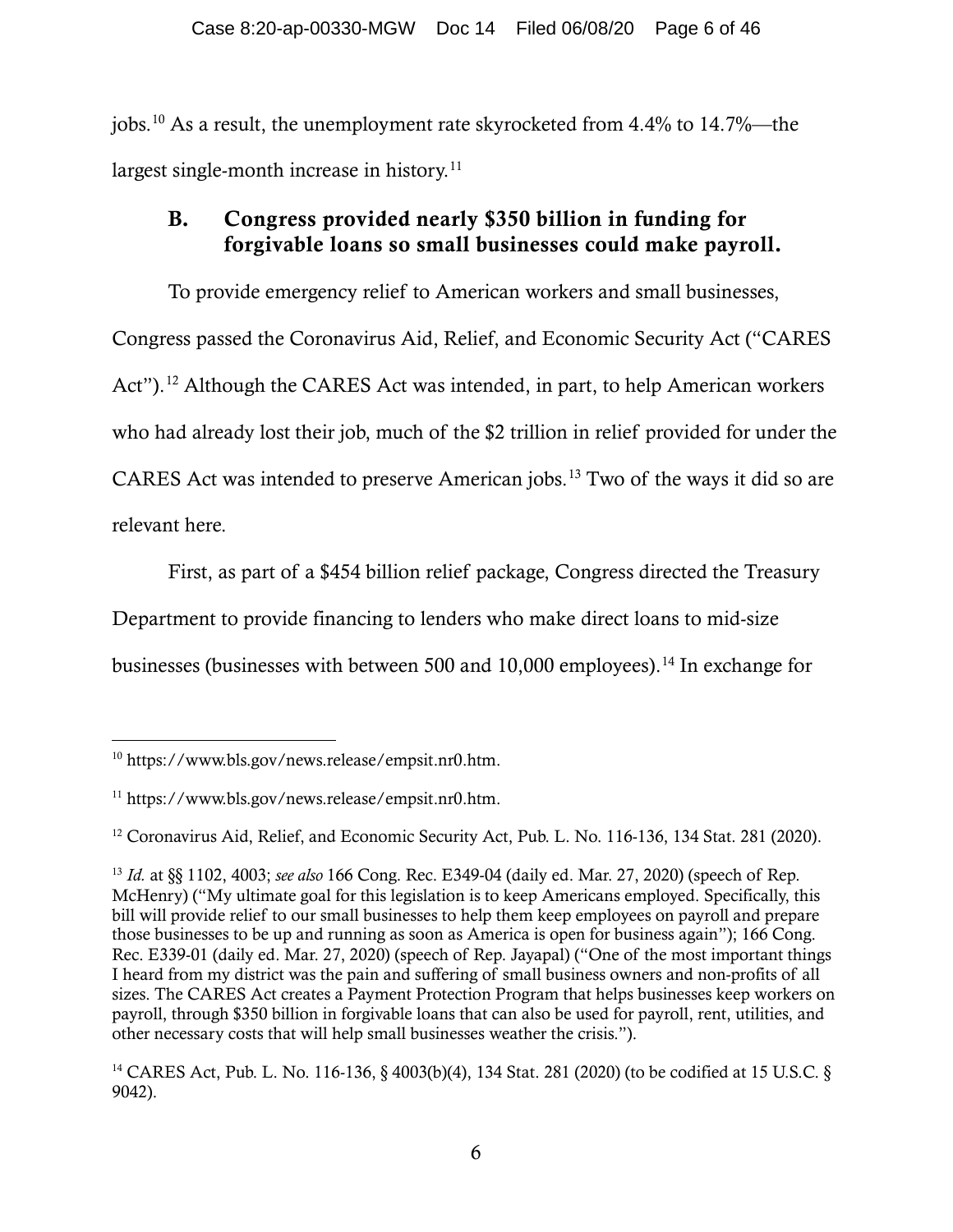jobs.[10](#page-5-0) As a result, the unemployment rate skyrocketed from 4.4% to 14.7%—the largest single-month increase in history.<sup>[11](#page-5-1)</sup>

## B. Congress provided nearly \$350 billion in funding for forgivable loans so small businesses could make payroll.

To provide emergency relief to American workers and small businesses, Congress passed the Coronavirus Aid, Relief, and Economic Security Act ("CARES Act").<sup>[12](#page-5-2)</sup> Although the CARES Act was intended, in part, to help American workers who had already lost their job, much of the \$2 trillion in relief provided for under the CARES Act was intended to preserve American jobs. [13](#page-5-3) Two of the ways it did so are relevant here.

First, as part of a \$454 billion relief package, Congress directed the Treasury Department to provide financing to lenders who make direct loans to mid-size businesses (businesses with between 500 and 10,000 employees).<sup>[14](#page-5-4)</sup> In exchange for

<span id="page-5-0"></span><sup>10</sup> https://www.bls.gov/news.release/empsit.nr0.htm.

<span id="page-5-1"></span><sup>11</sup> https://www.bls.gov/news.release/empsit.nr0.htm.

<span id="page-5-2"></span><sup>&</sup>lt;sup>12</sup> Coronavirus Aid, Relief, and Economic Security Act, Pub. L. No. 116-136, 134 Stat. 281 (2020).

<span id="page-5-3"></span><sup>13</sup> *Id.* at §§ 1102, 4003; *see also* 166 Cong. Rec. E349-04 (daily ed. Mar. 27, 2020) (speech of Rep. McHenry) ("My ultimate goal for this legislation is to keep Americans employed. Specifically, this bill will provide relief to our small businesses to help them keep employees on payroll and prepare those businesses to be up and running as soon as America is open for business again"); 166 Cong. Rec. E339-01 (daily ed. Mar. 27, 2020) (speech of Rep. Jayapal) ("One of the most important things I heard from my district was the pain and suffering of small business owners and non-profits of all sizes. The CARES Act creates a Payment Protection Program that helps businesses keep workers on payroll, through \$350 billion in forgivable loans that can also be used for payroll, rent, utilities, and other necessary costs that will help small businesses weather the crisis.").

<span id="page-5-4"></span><sup>14</sup> CARES Act, Pub. L. No. 116-136, § 4003(b)(4), 134 Stat. 281 (2020) (to be codified at 15 U.S.C. § 9042).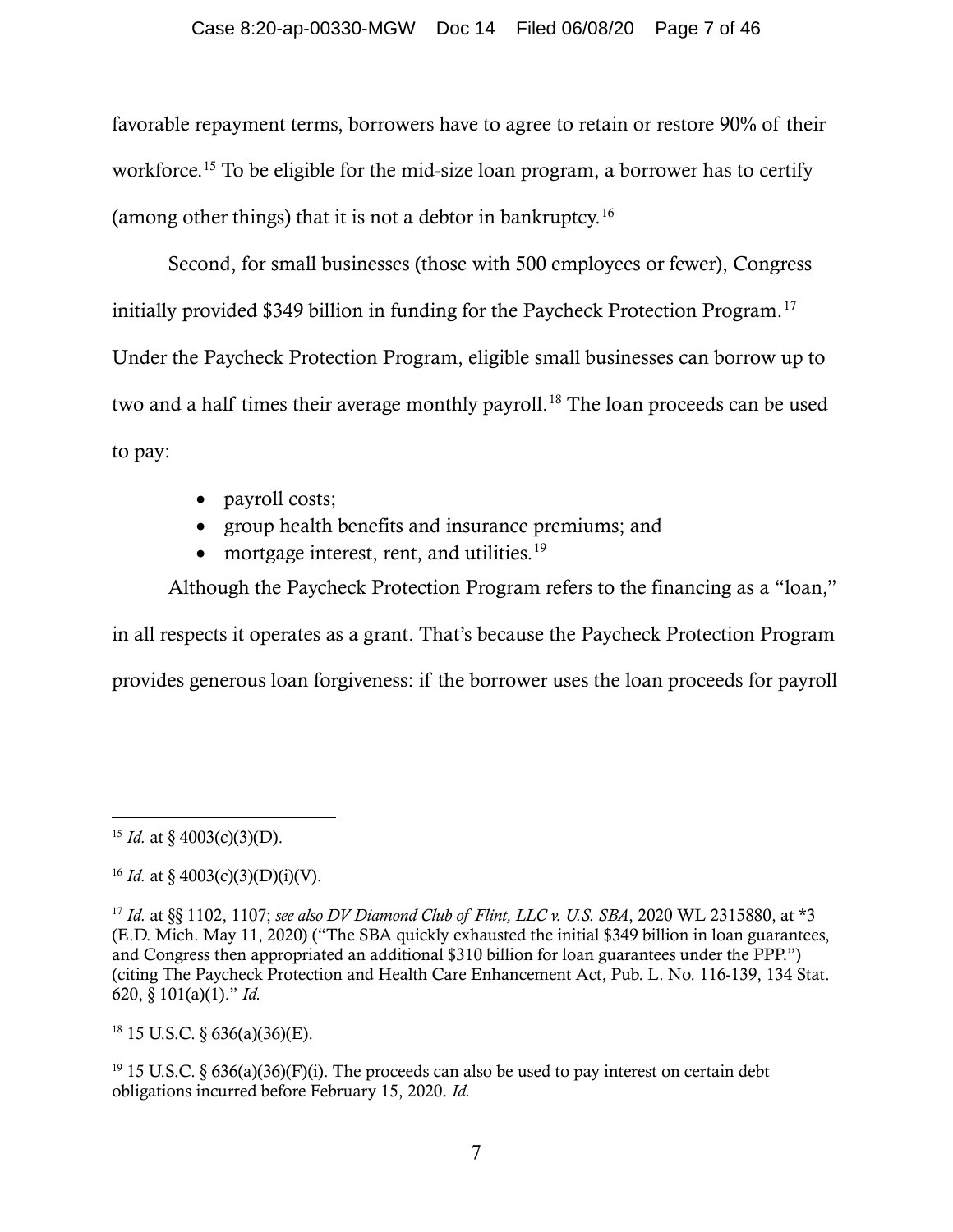favorable repayment terms, borrowers have to agree to retain or restore 90% of their workforce.<sup>[15](#page-6-0)</sup> To be eligible for the mid-size loan program, a borrower has to certify (among other things) that it is not a debtor in bankruptcy.[16](#page-6-1)

Second, for small businesses (those with 500 employees or fewer), Congress initially provided \$349 billion in funding for the Paycheck Protection Program.<sup>[17](#page-6-2)</sup> Under the Paycheck Protection Program, eligible small businesses can borrow up to two and a half times their average monthly payroll. [18](#page-6-3) The loan proceeds can be used to pay:

- payroll costs;
- group health benefits and insurance premiums; and
- mortgage interest, rent, and utilities.<sup>[19](#page-6-4)</sup>

Although the Paycheck Protection Program refers to the financing as a "loan," in all respects it operates as a grant. That's because the Paycheck Protection Program provides generous loan forgiveness: if the borrower uses the loan proceeds for payroll

<span id="page-6-3"></span> $18$  15 U.S.C. § 636(a)(36)(E).

<span id="page-6-4"></span> $19$  15 U.S.C. § 636(a)(36)(F)(i). The proceeds can also be used to pay interest on certain debt obligations incurred before February 15, 2020. *Id.*

<span id="page-6-0"></span><sup>&</sup>lt;sup>15</sup> *Id.* at § 4003(c)(3)(D).

<span id="page-6-1"></span><sup>&</sup>lt;sup>16</sup> *Id.* at § 4003(c)(3)(D)(i)(V).

<span id="page-6-2"></span><sup>17</sup> *Id.* at §§ 1102, 1107; *see also DV Diamond Club of Flint, LLC v. U.S. SBA*, 2020 WL 2315880, at \*3 (E.D. Mich. May 11, 2020) ("The SBA quickly exhausted the initial \$349 billion in loan guarantees, and Congress then appropriated an additional \$310 billion for loan guarantees under the PPP.") (citing The Paycheck Protection and Health Care Enhancement Act, Pub. L. No. 116-139, 134 Stat. 620, § 101(a)(1)." *Id.*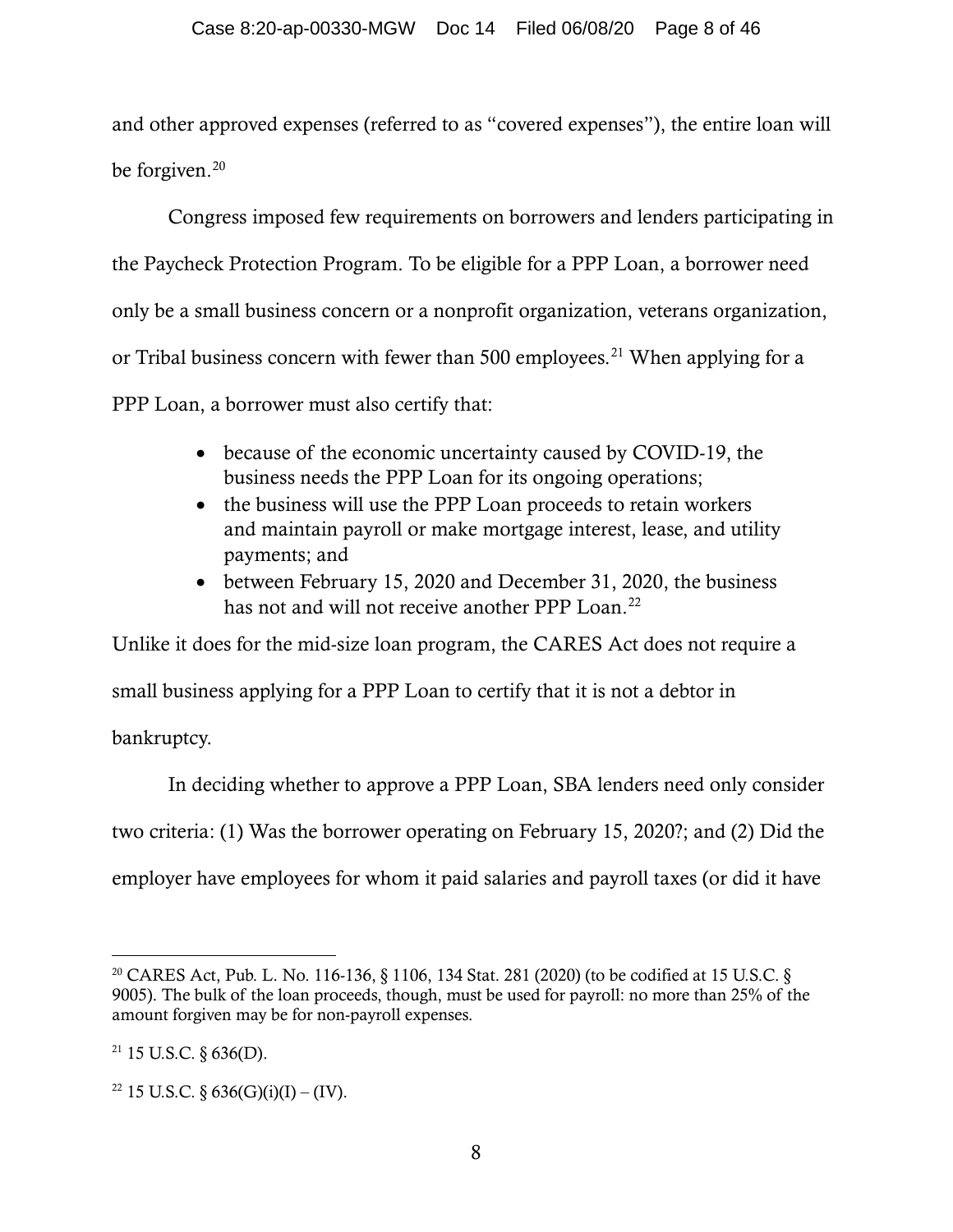and other approved expenses (referred to as "covered expenses"), the entire loan will be forgiven. [20](#page-7-0)

Congress imposed few requirements on borrowers and lenders participating in the Paycheck Protection Program. To be eligible for a PPP Loan, a borrower need only be a small business concern or a nonprofit organization, veterans organization, or Tribal business concern with fewer than 500 employees.<sup>[21](#page-7-1)</sup> When applying for a PPP Loan, a borrower must also certify that:

- because of the economic uncertainty caused by COVID-19, the business needs the PPP Loan for its ongoing operations;
- the business will use the PPP Loan proceeds to retain workers and maintain payroll or make mortgage interest, lease, and utility payments; and
- between February 15, 2020 and December 31, 2020, the business has not and will not receive another PPP Loan.<sup>[22](#page-7-2)</sup>

Unlike it does for the mid-size loan program, the CARES Act does not require a

small business applying for a PPP Loan to certify that it is not a debtor in

bankruptcy.

In deciding whether to approve a PPP Loan, SBA lenders need only consider two criteria: (1) Was the borrower operating on February 15, 2020?; and (2) Did the employer have employees for whom it paid salaries and payroll taxes (or did it have

<span id="page-7-0"></span><sup>20</sup> CARES Act, Pub. L. No. 116-136, § 1106, 134 Stat. 281 (2020) (to be codified at 15 U.S.C. § 9005). The bulk of the loan proceeds, though, must be used for payroll: no more than 25% of the amount forgiven may be for non-payroll expenses.

<span id="page-7-1"></span> $21$  15 U.S.C. § 636(D).

<span id="page-7-2"></span><sup>&</sup>lt;sup>22</sup> 15 U.S.C. § 636(G)(i)(I) – (IV).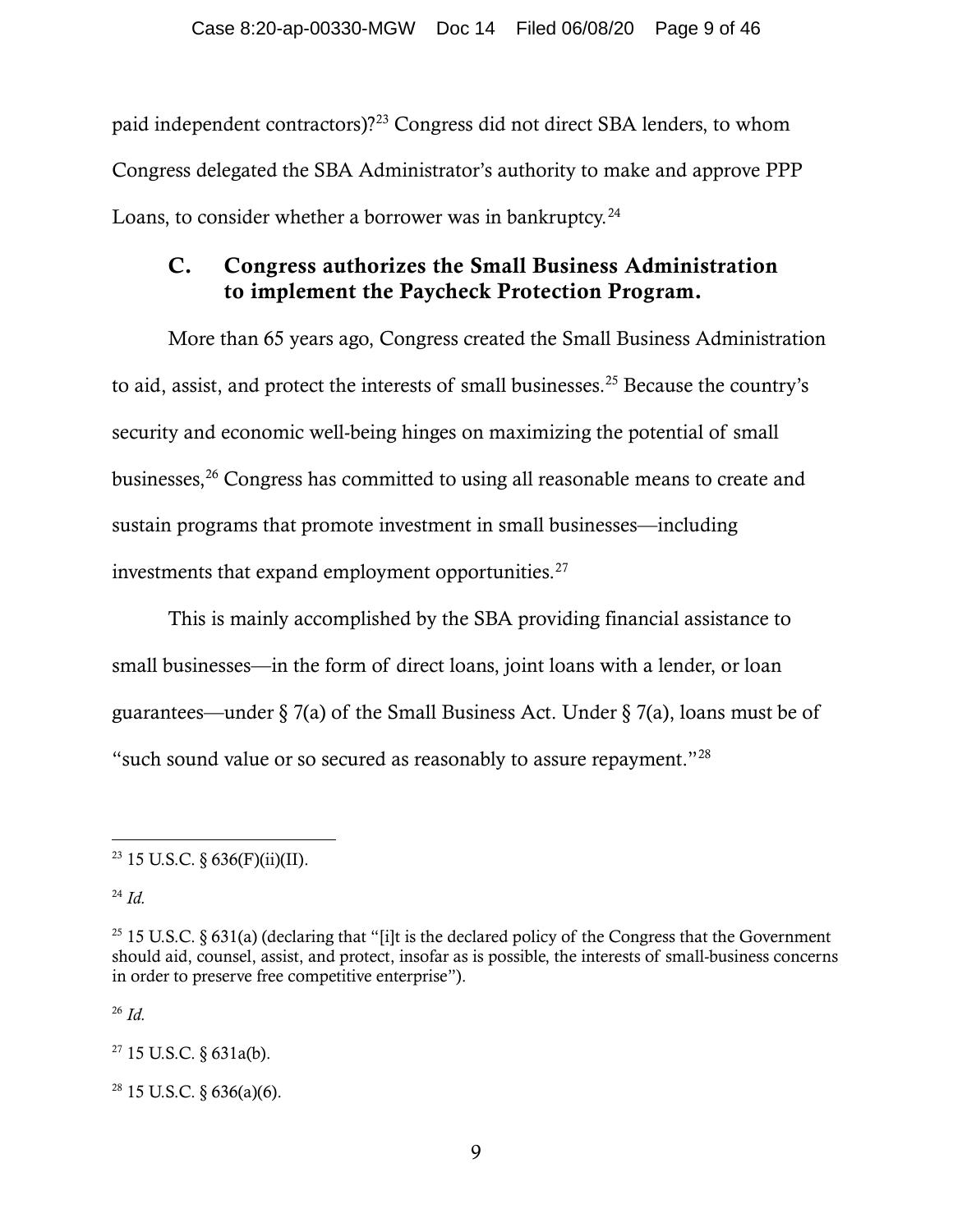paid independent contractors)?[23](#page-8-0) Congress did not direct SBA lenders, to whom Congress delegated the SBA Administrator's authority to make and approve PPP Loans, to consider whether a borrower was in bankruptcy. $^{24}$  $^{24}$  $^{24}$ 

## C. Congress authorizes the Small Business Administration to implement the Paycheck Protection Program.

More than 65 years ago, Congress created the Small Business Administration to aid, assist, and protect the interests of small businesses. [25](#page-8-2) Because the country's security and economic well-being hinges on maximizing the potential of small businesses,[26](#page-8-3) Congress has committed to using all reasonable means to create and sustain programs that promote investment in small businesses—including investments that expand employment opportunities.<sup>[27](#page-8-4)</sup>

This is mainly accomplished by the SBA providing financial assistance to small businesses—in the form of direct loans, joint loans with a lender, or loan guarantees—under § 7(a) of the Small Business Act. Under § 7(a), loans must be of "such sound value or so secured as reasonably to assure repayment."[28](#page-8-5)

<span id="page-8-1"></span><sup>24</sup> *Id.*

<span id="page-8-3"></span><sup>26</sup> *Id.*

<span id="page-8-4"></span> $27$  15 U.S.C. § 631a(b).

<span id="page-8-5"></span> $28$  15 U.S.C. § 636(a)(6).

<span id="page-8-0"></span><sup>&</sup>lt;sup>23</sup> 15 U.S.C. § 636(F)(ii)(II).

<span id="page-8-2"></span><sup>&</sup>lt;sup>25</sup> 15 U.S.C. § 631(a) (declaring that "[i]t is the declared policy of the Congress that the Government should aid, counsel, assist, and protect, insofar as is possible, the interests of small-business concerns in order to preserve free competitive enterprise").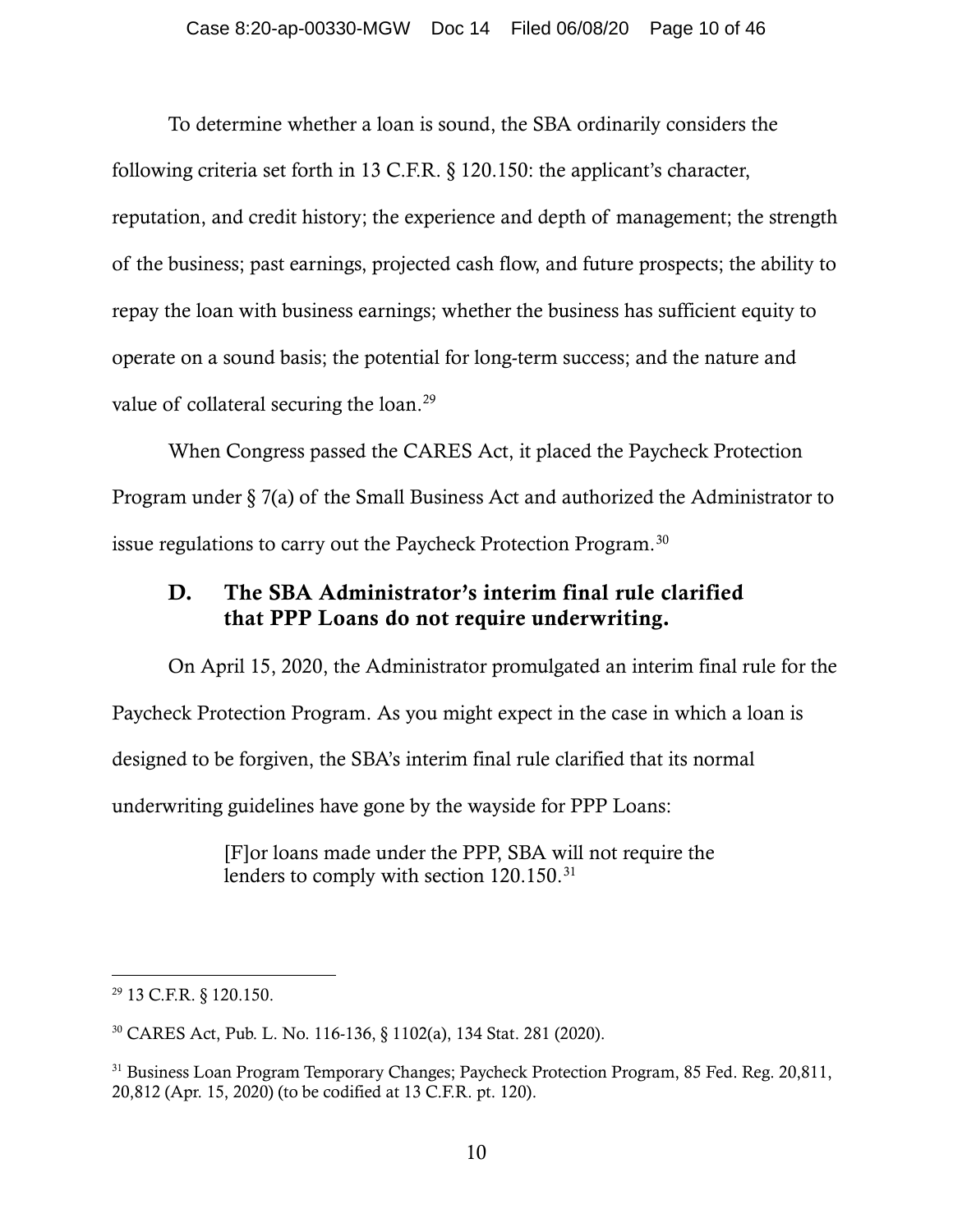To determine whether a loan is sound, the SBA ordinarily considers the following criteria set forth in 13 C.F.R. § 120.150: the applicant's character, reputation, and credit history; the experience and depth of management; the strength of the business; past earnings, projected cash flow, and future prospects; the ability to repay the loan with business earnings; whether the business has sufficient equity to operate on a sound basis; the potential for long-term success; and the nature and value of collateral securing the loan.<sup>[29](#page-9-0)</sup>

When Congress passed the CARES Act, it placed the Paycheck Protection Program under § 7(a) of the Small Business Act and authorized the Administrator to issue regulations to carry out the Paycheck Protection Program.<sup>[30](#page-9-1)</sup>

## D. The SBA Administrator's interim final rule clarified that PPP Loans do not require underwriting.

On April 15, 2020, the Administrator promulgated an interim final rule for the Paycheck Protection Program. As you might expect in the case in which a loan is designed to be forgiven, the SBA's interim final rule clarified that its normal underwriting guidelines have gone by the wayside for PPP Loans:

> [F]or loans made under the PPP, SBA will not require the lenders to comply with section 120.150.<sup>[31](#page-9-2)</sup>

<span id="page-9-0"></span><sup>29</sup> 13 C.F.R. § 120.150.

<span id="page-9-1"></span><sup>30</sup> CARES Act, Pub. L. No. 116-136, § 1102(a), 134 Stat. 281 (2020).

<span id="page-9-2"></span><sup>&</sup>lt;sup>31</sup> Business Loan Program Temporary Changes; Paycheck Protection Program, 85 Fed. Reg. 20,811, 20,812 (Apr. 15, 2020) (to be codified at 13 C.F.R. pt. 120).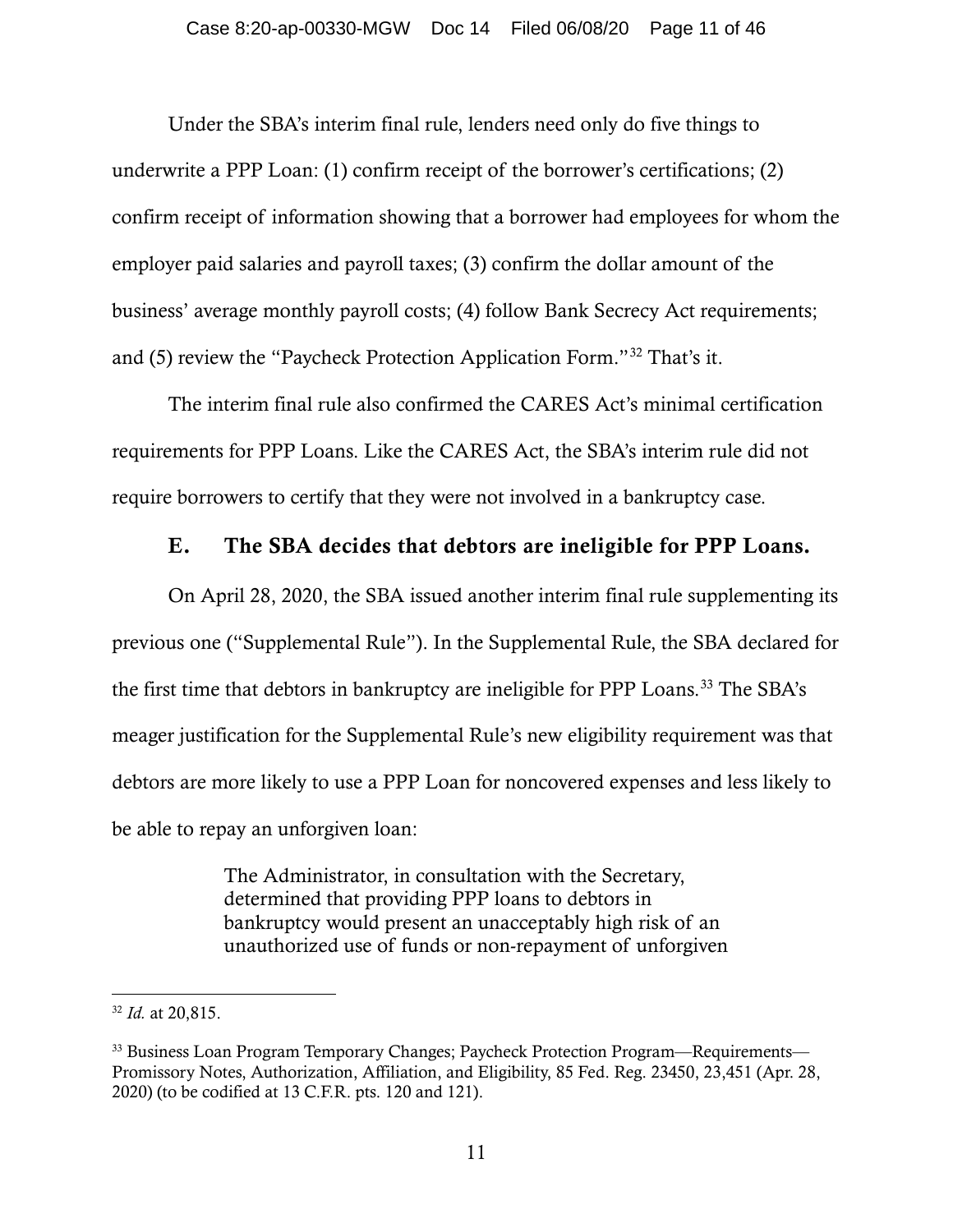Under the SBA's interim final rule, lenders need only do five things to underwrite a PPP Loan: (1) confirm receipt of the borrower's certifications; (2) confirm receipt of information showing that a borrower had employees for whom the employer paid salaries and payroll taxes; (3) confirm the dollar amount of the business' average monthly payroll costs; (4) follow Bank Secrecy Act requirements; and (5) review the "Paycheck Protection Application Form."[32](#page-10-0) That's it.

The interim final rule also confirmed the CARES Act's minimal certification requirements for PPP Loans. Like the CARES Act, the SBA's interim rule did not require borrowers to certify that they were not involved in a bankruptcy case.

## E. The SBA decides that debtors are ineligible for PPP Loans.

On April 28, 2020, the SBA issued another interim final rule supplementing its previous one ("Supplemental Rule"). In the Supplemental Rule, the SBA declared for the first time that debtors in bankruptcy are ineligible for PPP Loans.<sup>[33](#page-10-1)</sup> The SBA's meager justification for the Supplemental Rule's new eligibility requirement was that debtors are more likely to use a PPP Loan for noncovered expenses and less likely to be able to repay an unforgiven loan:

> The Administrator, in consultation with the Secretary, determined that providing PPP loans to debtors in bankruptcy would present an unacceptably high risk of an unauthorized use of funds or non-repayment of unforgiven

<span id="page-10-0"></span><sup>32</sup> *Id.* at 20,815.

<span id="page-10-1"></span><sup>&</sup>lt;sup>33</sup> Business Loan Program Temporary Changes; Paycheck Protection Program—Requirements— Promissory Notes, Authorization, Affiliation, and Eligibility, 85 Fed. Reg. 23450, 23,451 (Apr. 28, 2020) (to be codified at 13 C.F.R. pts. 120 and 121).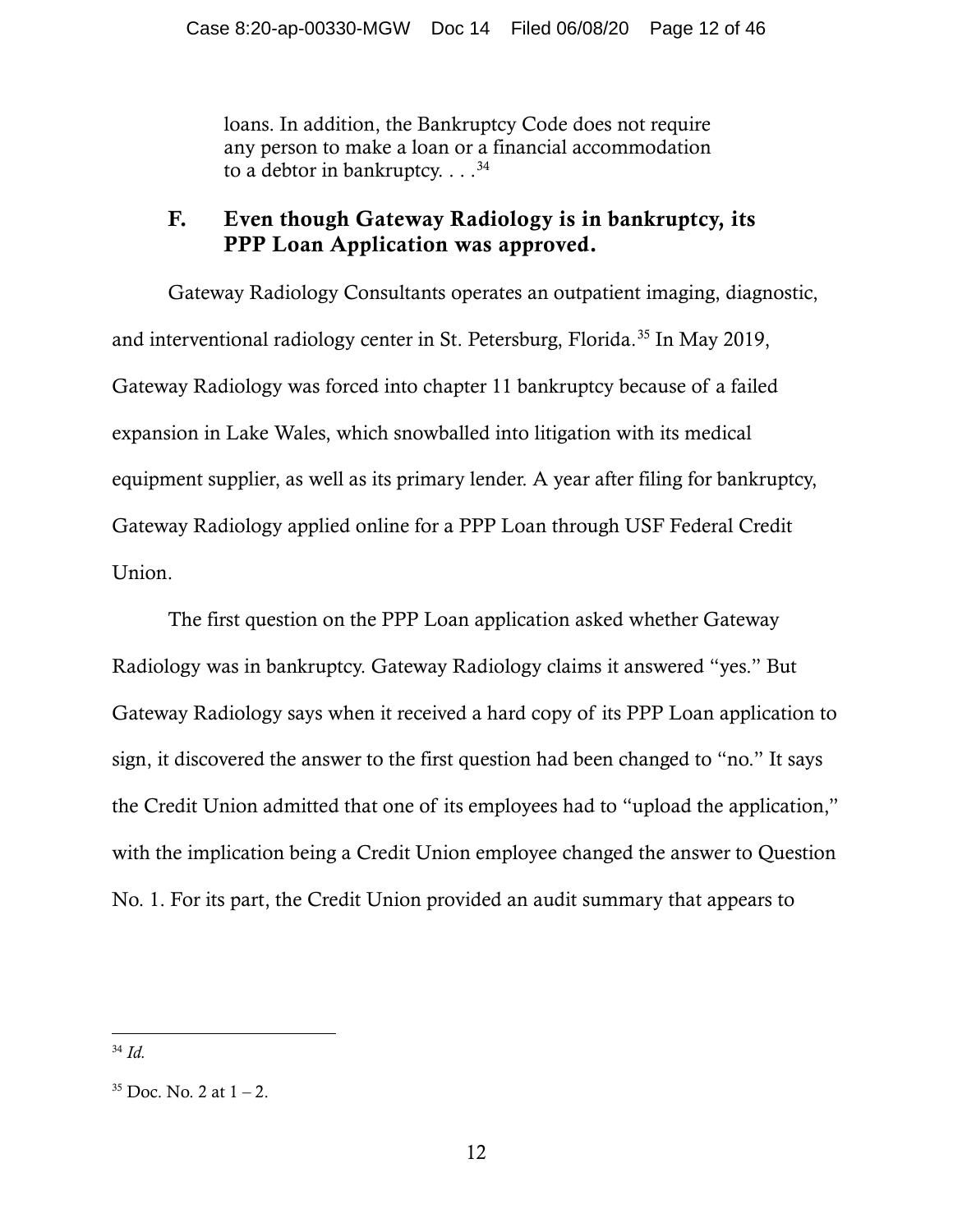loans. In addition, the Bankruptcy Code does not require any person to make a loan or a financial accommodation to a debtor in bankruptcy.  $\dots$ <sup>[34](#page-11-0)</sup>

## F. Even though Gateway Radiology is in bankruptcy, its PPP Loan Application was approved.

Gateway Radiology Consultants operates an outpatient imaging, diagnostic, and interventional radiology center in St. Petersburg, Florida.<sup>[35](#page-11-1)</sup> In May 2019, Gateway Radiology was forced into chapter 11 bankruptcy because of a failed expansion in Lake Wales, which snowballed into litigation with its medical equipment supplier, as well as its primary lender. A year after filing for bankruptcy, Gateway Radiology applied online for a PPP Loan through USF Federal Credit Union.

The first question on the PPP Loan application asked whether Gateway Radiology was in bankruptcy. Gateway Radiology claims it answered "yes." But Gateway Radiology says when it received a hard copy of its PPP Loan application to sign, it discovered the answer to the first question had been changed to "no." It says the Credit Union admitted that one of its employees had to "upload the application," with the implication being a Credit Union employee changed the answer to Question No. 1. For its part, the Credit Union provided an audit summary that appears to

<span id="page-11-0"></span><sup>34</sup> *Id.*

<span id="page-11-1"></span> $35$  Doc. No. 2 at  $1 - 2$ .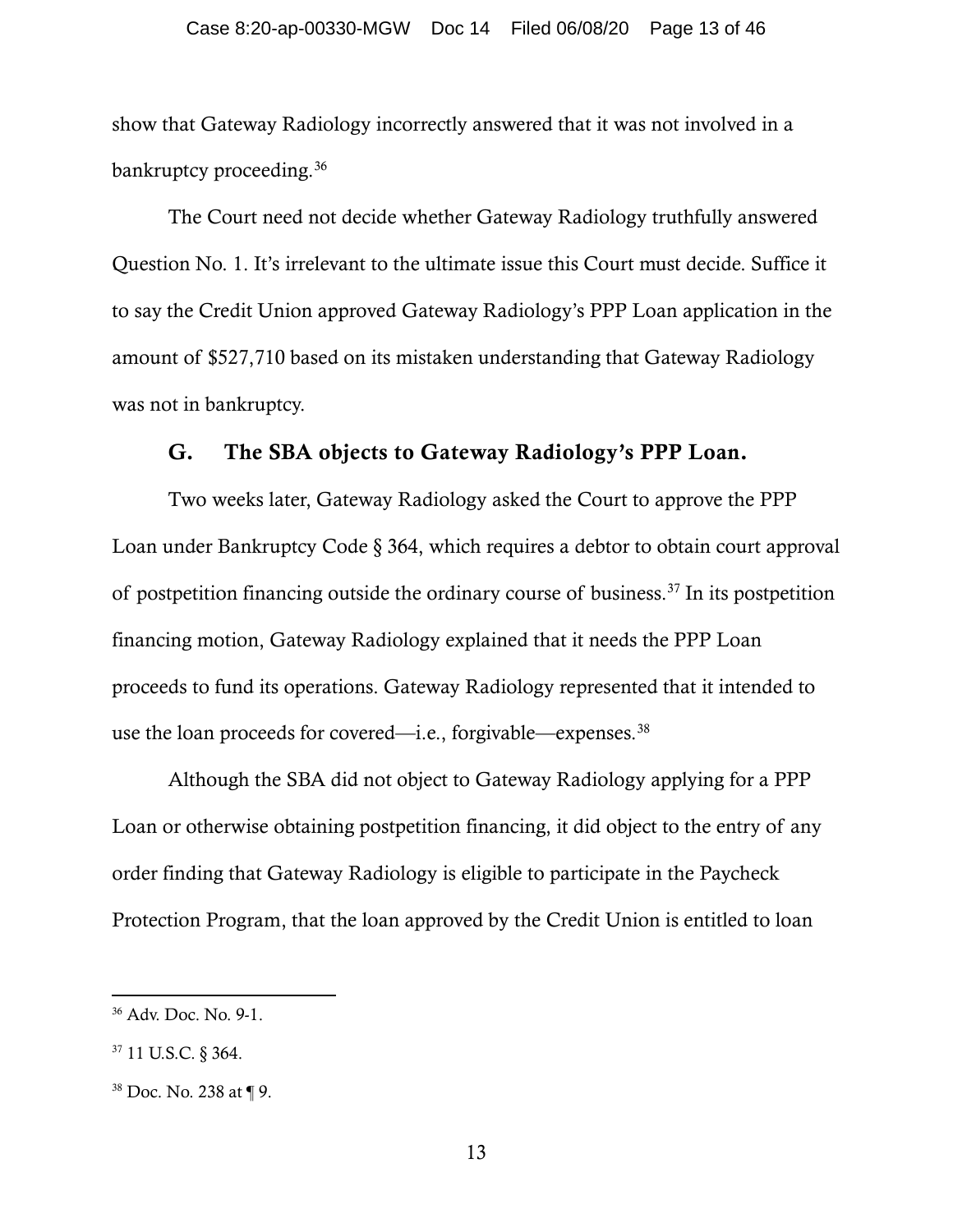show that Gateway Radiology incorrectly answered that it was not involved in a bankruptcy proceeding.<sup>[36](#page-12-0)</sup>

The Court need not decide whether Gateway Radiology truthfully answered Question No. 1. It's irrelevant to the ultimate issue this Court must decide. Suffice it to say the Credit Union approved Gateway Radiology's PPP Loan application in the amount of \$527,710 based on its mistaken understanding that Gateway Radiology was not in bankruptcy.

## G. The SBA objects to Gateway Radiology's PPP Loan.

Two weeks later, Gateway Radiology asked the Court to approve the PPP Loan under Bankruptcy Code § 364, which requires a debtor to obtain court approval of postpetition financing outside the ordinary course of business.<sup>[37](#page-12-1)</sup> In its postpetition financing motion, Gateway Radiology explained that it needs the PPP Loan proceeds to fund its operations. Gateway Radiology represented that it intended to use the loan proceeds for covered—i.e., forgivable—expenses.<sup>[38](#page-12-2)</sup>

Although the SBA did not object to Gateway Radiology applying for a PPP Loan or otherwise obtaining postpetition financing, it did object to the entry of any order finding that Gateway Radiology is eligible to participate in the Paycheck Protection Program, that the loan approved by the Credit Union is entitled to loan

<span id="page-12-0"></span><sup>36</sup> Adv. Doc. No. 9-1.

<span id="page-12-1"></span><sup>37</sup> 11 U.S.C. § 364.

<span id="page-12-2"></span><sup>38</sup> Doc. No. 238 at ¶ 9.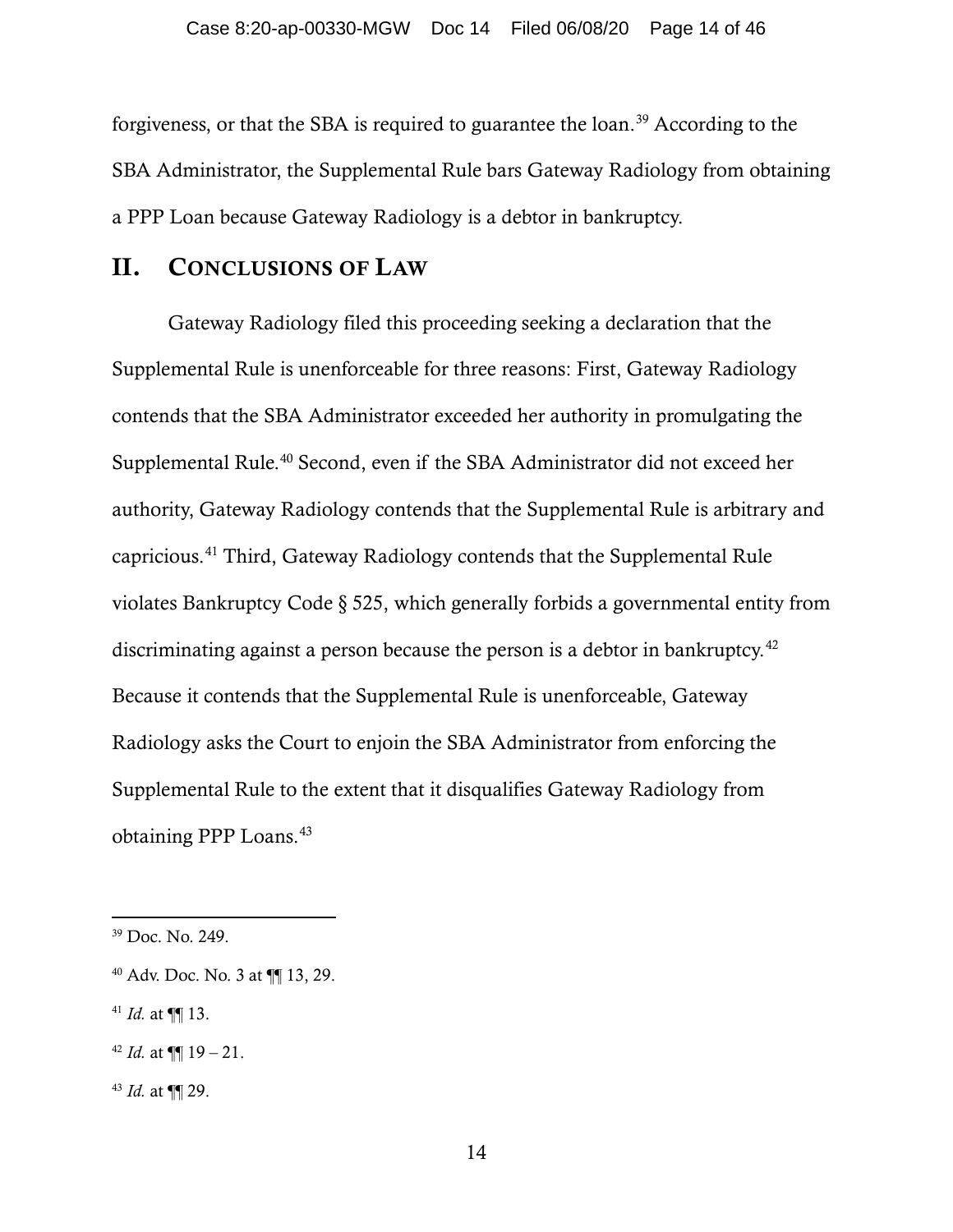forgiveness, or that the SBA is required to guarantee the loan. [39](#page-13-0) According to the SBA Administrator, the Supplemental Rule bars Gateway Radiology from obtaining a PPP Loan because Gateway Radiology is a debtor in bankruptcy.

## II. CONCLUSIONS OF LAW

Gateway Radiology filed this proceeding seeking a declaration that the Supplemental Rule is unenforceable for three reasons: First, Gateway Radiology contends that the SBA Administrator exceeded her authority in promulgating the Supplemental Rule.<sup>[40](#page-13-1)</sup> Second, even if the SBA Administrator did not exceed her authority, Gateway Radiology contends that the Supplemental Rule is arbitrary and capricious.[41](#page-13-2) Third, Gateway Radiology contends that the Supplemental Rule violates Bankruptcy Code § 525, which generally forbids a governmental entity from discriminating against a person because the person is a debtor in bankruptcy.<sup>[42](#page-13-3)</sup> Because it contends that the Supplemental Rule is unenforceable, Gateway Radiology asks the Court to enjoin the SBA Administrator from enforcing the Supplemental Rule to the extent that it disqualifies Gateway Radiology from obtaining PPP Loans. [43](#page-13-4)

<span id="page-13-2"></span> $41$  *Id.* at  $\P\P$  13.

<span id="page-13-0"></span><sup>39</sup> Doc. No. 249.

<span id="page-13-1"></span><sup>40</sup> Adv. Doc. No. 3 at ¶¶ 13, 29.

<span id="page-13-3"></span><sup>&</sup>lt;sup>42</sup> *Id.* at  $\P$  19 – 21.

<span id="page-13-4"></span><sup>43</sup> *Id.* at ¶¶ 29.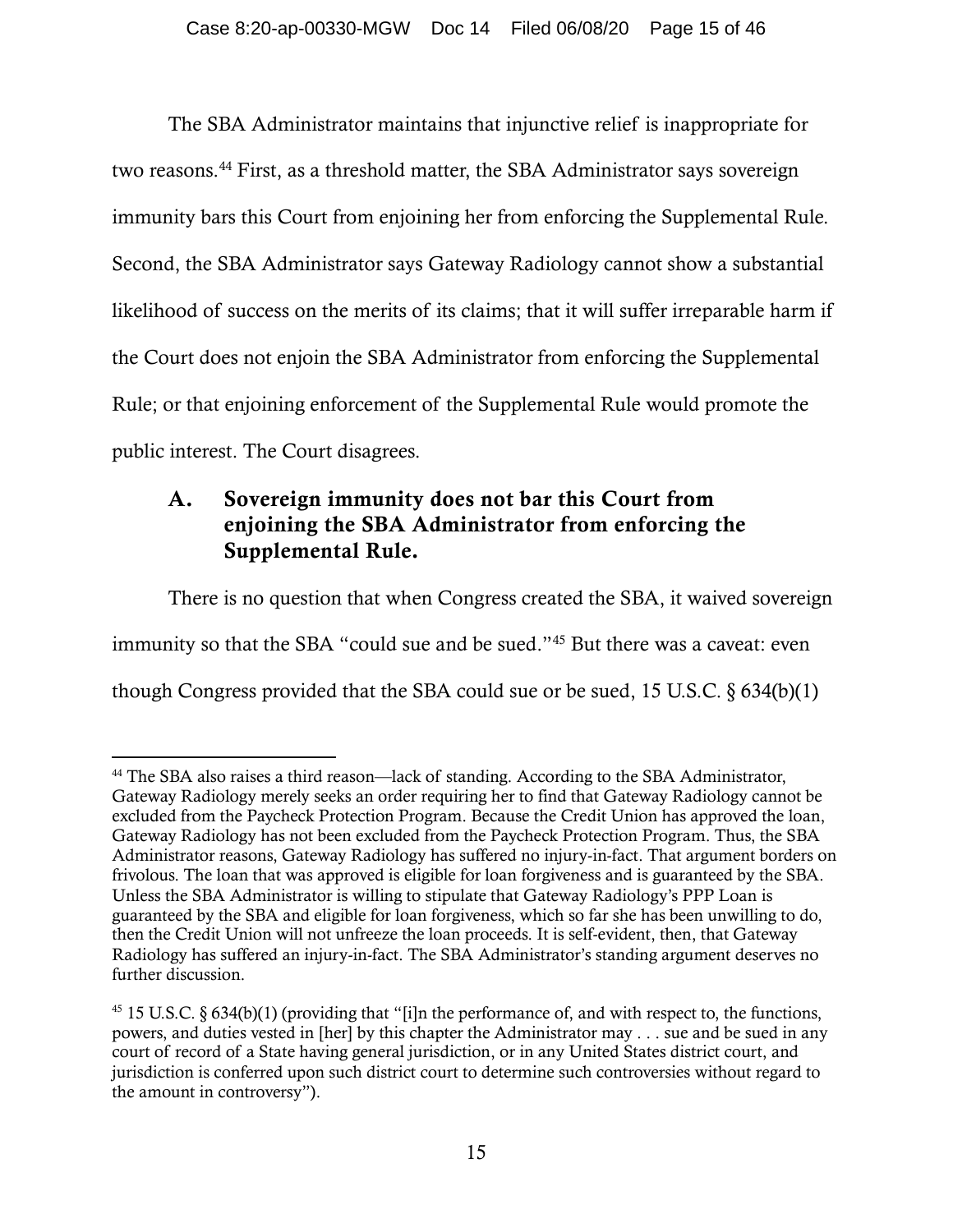The SBA Administrator maintains that injunctive relief is inappropriate for two reasons.[44](#page-14-0) First, as a threshold matter, the SBA Administrator says sovereign immunity bars this Court from enjoining her from enforcing the Supplemental Rule. Second, the SBA Administrator says Gateway Radiology cannot show a substantial likelihood of success on the merits of its claims; that it will suffer irreparable harm if the Court does not enjoin the SBA Administrator from enforcing the Supplemental Rule; or that enjoining enforcement of the Supplemental Rule would promote the public interest. The Court disagrees.

# A. Sovereign immunity does not bar this Court from enjoining the SBA Administrator from enforcing the Supplemental Rule.

There is no question that when Congress created the SBA, it waived sovereign immunity so that the SBA "could sue and be sued."[45](#page-14-1) But there was a caveat: even though Congress provided that the SBA could sue or be sued, 15 U.S.C. § 634(b)(1)

<span id="page-14-0"></span><sup>44</sup> The SBA also raises a third reason—lack of standing. According to the SBA Administrator, Gateway Radiology merely seeks an order requiring her to find that Gateway Radiology cannot be excluded from the Paycheck Protection Program. Because the Credit Union has approved the loan, Gateway Radiology has not been excluded from the Paycheck Protection Program. Thus, the SBA Administrator reasons, Gateway Radiology has suffered no injury-in-fact. That argument borders on frivolous. The loan that was approved is eligible for loan forgiveness and is guaranteed by the SBA. Unless the SBA Administrator is willing to stipulate that Gateway Radiology's PPP Loan is guaranteed by the SBA and eligible for loan forgiveness, which so far she has been unwilling to do, then the Credit Union will not unfreeze the loan proceeds. It is self-evident, then, that Gateway Radiology has suffered an injury-in-fact. The SBA Administrator's standing argument deserves no further discussion.

<span id="page-14-1"></span> $45$  15 U.S.C. § 634(b)(1) (providing that "[i]n the performance of, and with respect to, the functions, powers, and duties vested in [her] by this chapter the Administrator may . . . sue and be sued in any court of record of a State having general jurisdiction, or in any United States district court, and jurisdiction is conferred upon such district court to determine such controversies without regard to the amount in controversy").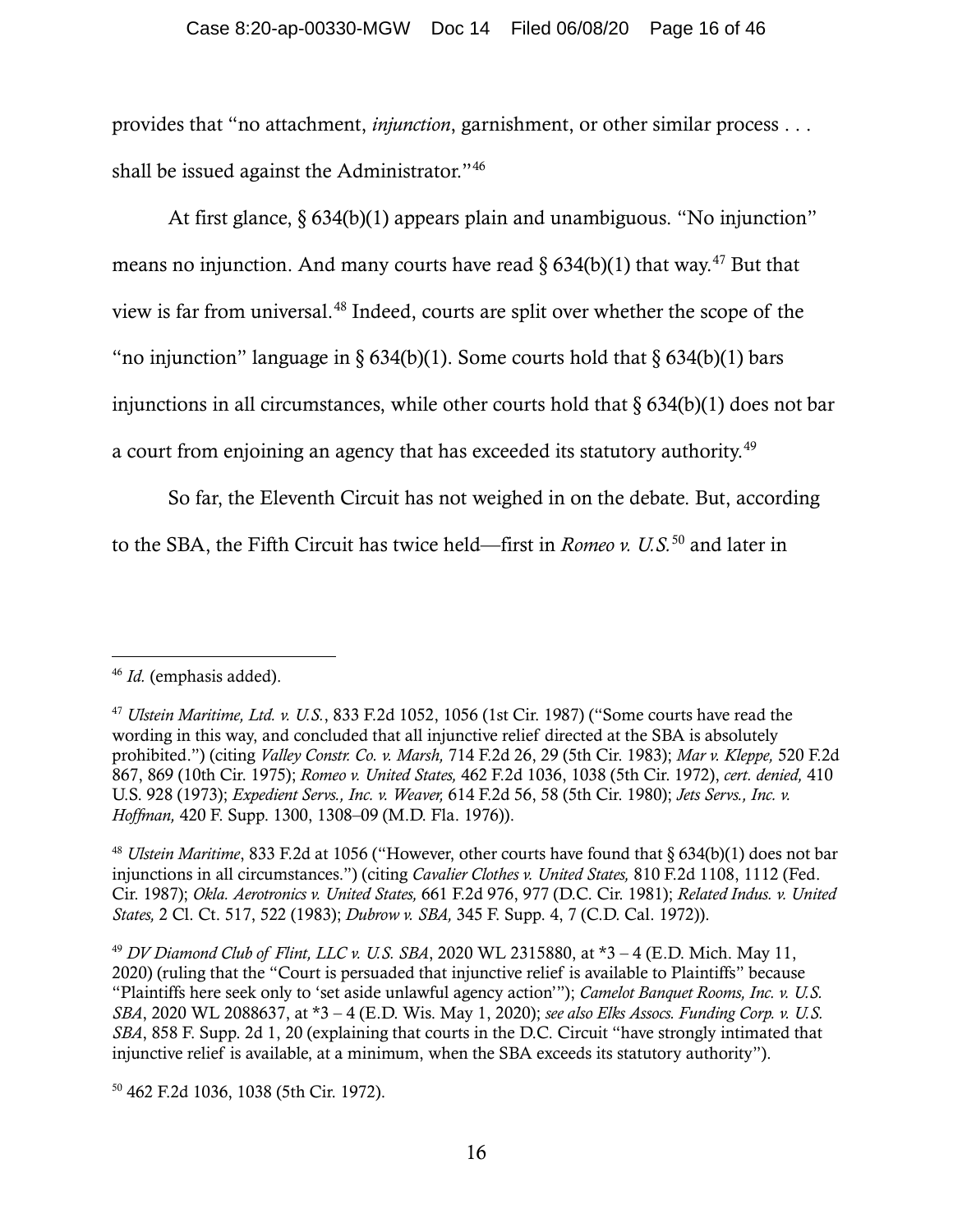#### Case 8:20-ap-00330-MGW Doc 14 Filed 06/08/20 Page 16 of 46

provides that "no attachment, *injunction*, garnishment, or other similar process . . . shall be issued against the Administrator."[46](#page-15-0)

At first glance, § 634(b)(1) appears plain and unambiguous. "No injunction" means no injunction. And many courts have read  $\S 634(b)(1)$  that way.<sup>[47](#page-15-1)</sup> But that view is far from universal.[48](#page-15-2) Indeed, courts are split over whether the scope of the "no injunction" language in §  $634(b)(1)$ . Some courts hold that §  $634(b)(1)$  bars injunctions in all circumstances, while other courts hold that  $\delta$  634(b)(1) does not bar a court from enjoining an agency that has exceeded its statutory authority.<sup>[49](#page-15-3)</sup>

So far, the Eleventh Circuit has not weighed in on the debate. But, according to the SBA, the Fifth Circuit has twice held—first in *Romeo v. U.S.*[50](#page-15-4) and later in

<span id="page-15-4"></span><sup>50</sup> 462 F.2d 1036, 1038 (5th Cir. 1972).

<span id="page-15-0"></span><sup>46</sup> *Id.* (emphasis added).

<span id="page-15-1"></span><sup>47</sup> *Ulstein Maritime, Ltd. v. U.S.*, 833 F.2d 1052, 1056 (1st Cir. 1987) ("Some courts have read the wording in this way, and concluded that all injunctive relief directed at the SBA is absolutely prohibited.") (citing *Valley Constr. Co. v. Marsh,* 714 F.2d 26, 29 (5th Cir. 1983); *Mar v. Kleppe,* 520 F.2d 867, 869 (10th Cir. 1975); *Romeo v. United States,* 462 F.2d 1036, 1038 (5th Cir. 1972), *cert. denied,* 410 U.S. 928 (1973); *Expedient Servs., Inc. v. Weaver,* 614 F.2d 56, 58 (5th Cir. 1980); *Jets Servs., Inc. v. Hoffman,* 420 F. Supp. 1300, 1308–09 (M.D. Fla. 1976)).

<span id="page-15-2"></span><sup>48</sup> *Ulstein Maritime*, 833 F.2d at 1056 ("However, other courts have found that § 634(b)(1) does not bar injunctions in all circumstances.") (citing *Cavalier Clothes v. United States,* 810 F.2d 1108, 1112 (Fed. Cir. 1987); *Okla. Aerotronics v. United States,* 661 F.2d 976, 977 (D.C. Cir. 1981); *Related Indus. v. United States,* 2 Cl. Ct. 517, 522 (1983); *Dubrow v. SBA,* 345 F. Supp. 4, 7 (C.D. Cal. 1972)).

<span id="page-15-3"></span><sup>49</sup> *DV Diamond Club of Flint, LLC v. U.S. SBA*, 2020 WL 2315880, at \*3 – 4 (E.D. Mich. May 11, 2020) (ruling that the "Court is persuaded that injunctive relief is available to Plaintiffs" because "Plaintiffs here seek only to 'set aside unlawful agency action'"); *Camelot Banquet Rooms, Inc. v. U.S. SBA*, 2020 WL 2088637, at \*3 – 4 (E.D. Wis. May 1, 2020); *see also Elks Assocs. Funding Corp. v. U.S. SBA*, 858 F. Supp. 2d 1, 20 (explaining that courts in the D.C. Circuit "have strongly intimated that injunctive relief is available, at a minimum, when the SBA exceeds its statutory authority").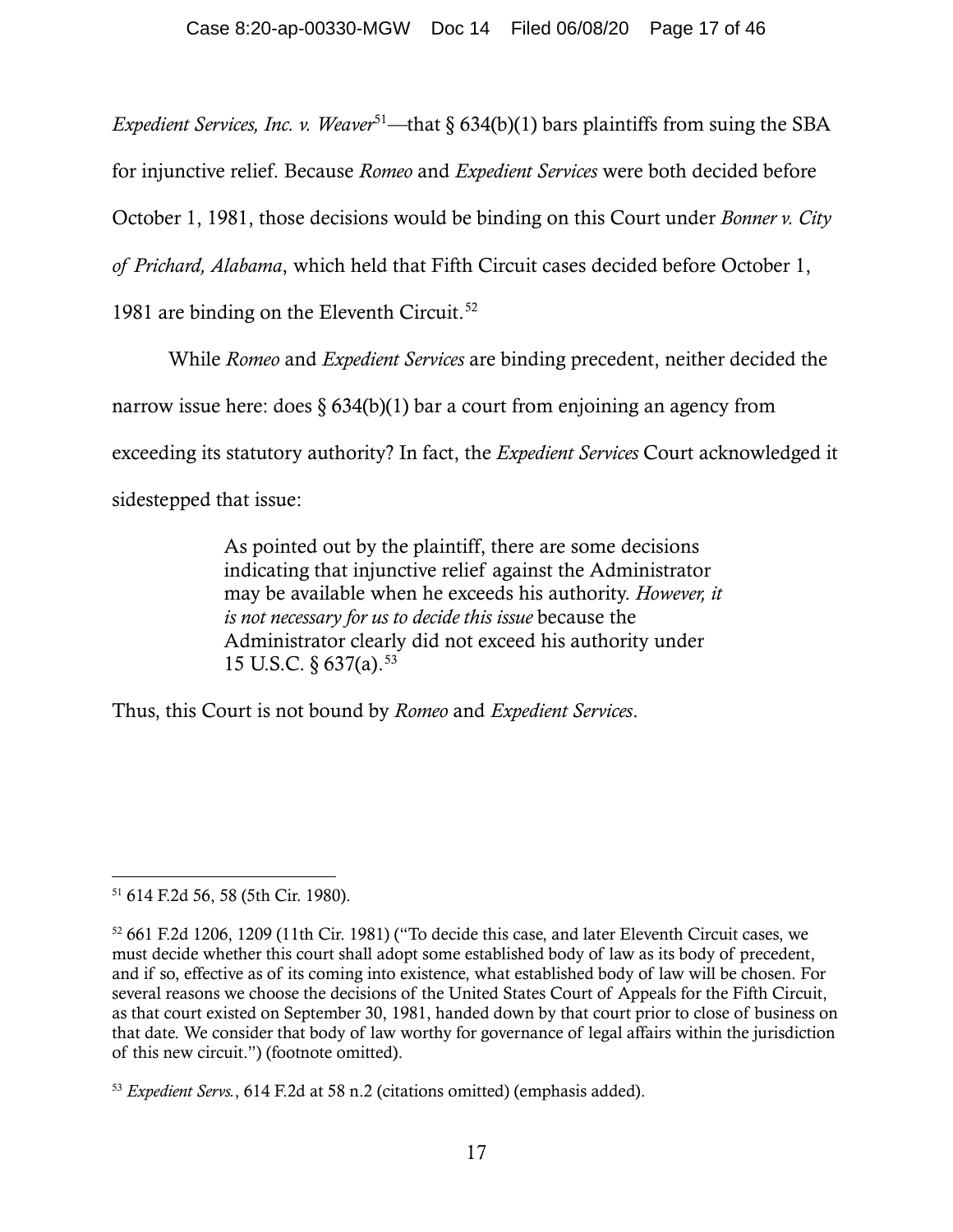*Expedient Services, Inc. v. Weaver*<sup>[51](#page-16-0)</sup>—that § 634(b)(1) bars plaintiffs from suing the SBA

for injunctive relief. Because *Romeo* and *Expedient Services* were both decided before

October 1, 1981, those decisions would be binding on this Court under *Bonner v. City* 

*of Prichard, Alabama*, which held that Fifth Circuit cases decided before October 1,

1981 are binding on the Eleventh Circuit.<sup>[52](#page-16-1)</sup>

While *Romeo* and *Expedient Services* are binding precedent, neither decided the

narrow issue here: does  $\S 634(b)(1)$  bar a court from enjoining an agency from

exceeding its statutory authority? In fact, the *Expedient Services* Court acknowledged it

sidestepped that issue:

As pointed out by the plaintiff, there are some decisions indicating that injunctive relief against the Administrator may be available when he exceeds his authority. *However, it is not necessary for us to decide this issue* because the Administrator clearly did not exceed his authority under 15 U.S.C.  $\frac{637}{a}$ . [53](#page-16-2)

Thus, this Court is not bound by *Romeo* and *Expedient Services*.

<span id="page-16-0"></span><sup>51</sup> 614 F.2d 56, 58 (5th Cir. 1980).

<span id="page-16-1"></span><sup>52</sup> 661 F.2d 1206, 1209 (11th Cir. 1981) ("To decide this case, and later Eleventh Circuit cases, we must decide whether this court shall adopt some established body of law as its body of precedent, and if so, effective as of its coming into existence, what established body of law will be chosen. For several reasons we choose the decisions of the United States Court of Appeals for the Fifth Circuit, as that court existed on September 30, 1981, handed down by that court prior to close of business on that date. We consider that body of law worthy for governance of legal affairs within the jurisdiction of this new circuit.") (footnote omitted).

<span id="page-16-2"></span><sup>53</sup> *Expedient Servs.*, 614 F.2d at 58 n.2 (citations omitted) (emphasis added).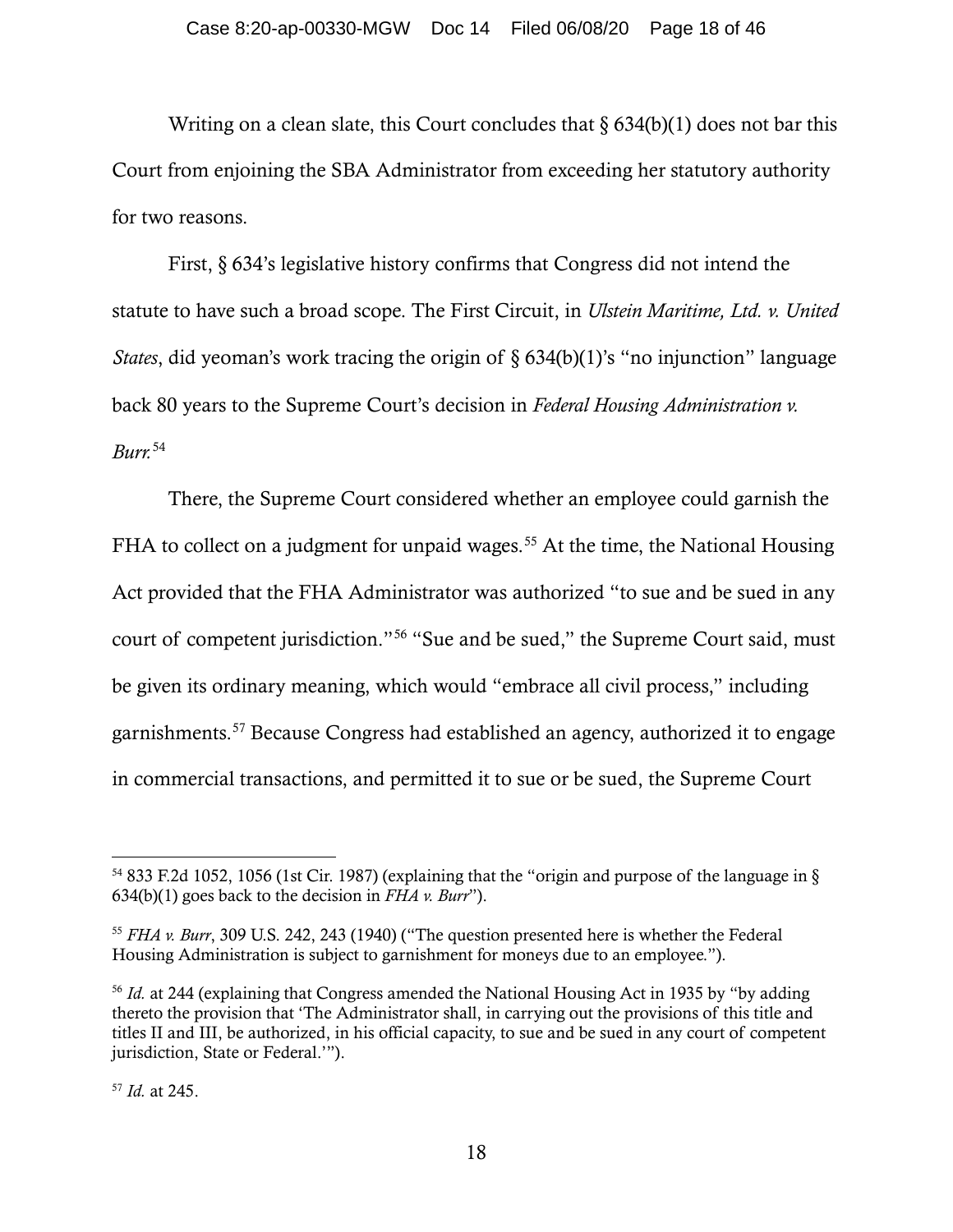Writing on a clean slate, this Court concludes that  $\S 634(b)(1)$  does not bar this Court from enjoining the SBA Administrator from exceeding her statutory authority for two reasons.

First, § 634's legislative history confirms that Congress did not intend the statute to have such a broad scope. The First Circuit, in *Ulstein Maritime, Ltd. v. United States*, did yeoman's work tracing the origin of § 634(b)(1)'s "no injunction" language back 80 years to the Supreme Court's decision in *Federal Housing Administration v. Burr.* [54](#page-17-0)

There, the Supreme Court considered whether an employee could garnish the FHA to collect on a judgment for unpaid wages.<sup>[55](#page-17-1)</sup> At the time, the National Housing Act provided that the FHA Administrator was authorized "to sue and be sued in any court of competent jurisdiction."[56](#page-17-2) "Sue and be sued," the Supreme Court said, must be given its ordinary meaning, which would "embrace all civil process," including garnishments.[57](#page-17-3) Because Congress had established an agency, authorized it to engage in commercial transactions, and permitted it to sue or be sued, the Supreme Court

<span id="page-17-0"></span><sup>54</sup> 833 F.2d 1052, 1056 (1st Cir. 1987) (explaining that the "origin and purpose of the language in § 634(b)(1) goes back to the decision in *FHA v. Burr*").

<span id="page-17-1"></span><sup>55</sup> *FHA v. Burr*, 309 U.S. 242, 243 (1940) ("The question presented here is whether the Federal Housing Administration is subject to garnishment for moneys due to an employee.").

<span id="page-17-2"></span><sup>56</sup> *Id.* at 244 (explaining that Congress amended the National Housing Act in 1935 by "by adding thereto the provision that 'The Administrator shall, in carrying out the provisions of this title and titles II and III, be authorized, in his official capacity, to sue and be sued in any court of competent jurisdiction, State or Federal.'").

<span id="page-17-3"></span><sup>57</sup> *Id.* at 245.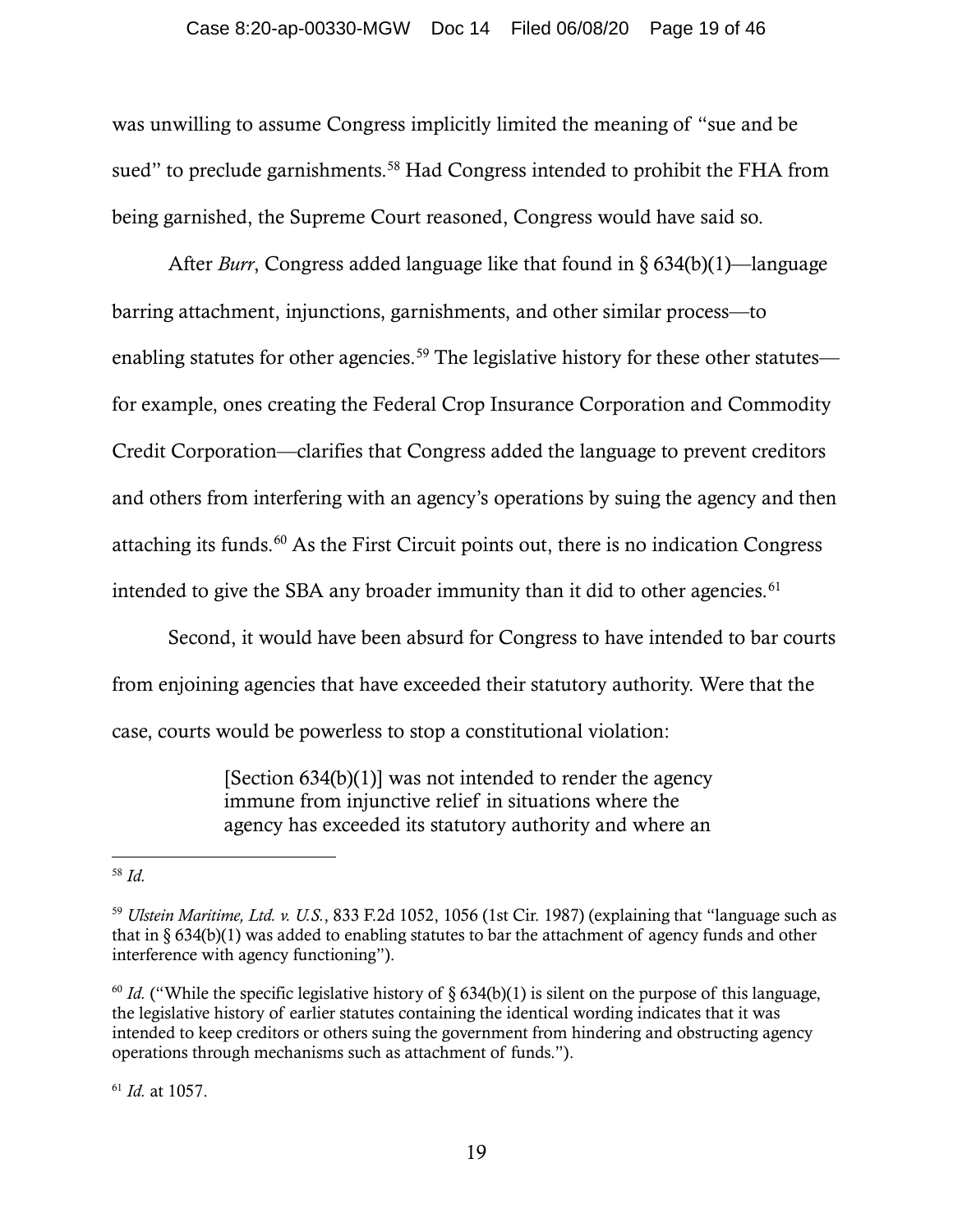#### Case 8:20-ap-00330-MGW Doc 14 Filed 06/08/20 Page 19 of 46

was unwilling to assume Congress implicitly limited the meaning of "sue and be sued" to preclude garnishments.<sup>[58](#page-18-0)</sup> Had Congress intended to prohibit the FHA from being garnished, the Supreme Court reasoned, Congress would have said so.

After *Burr*, Congress added language like that found in § 634(b)(1)—language barring attachment, injunctions, garnishments, and other similar process—to enabling statutes for other agencies.<sup>[59](#page-18-1)</sup> The legislative history for these other statutes for example, ones creating the Federal Crop Insurance Corporation and Commodity Credit Corporation—clarifies that Congress added the language to prevent creditors and others from interfering with an agency's operations by suing the agency and then attaching its funds.[60](#page-18-2) As the First Circuit points out, there is no indication Congress intended to give the SBA any broader immunity than it did to other agencies.<sup>[61](#page-18-3)</sup>

Second, it would have been absurd for Congress to have intended to bar courts from enjoining agencies that have exceeded their statutory authority. Were that the case, courts would be powerless to stop a constitutional violation:

> [Section  $634(b)(1)$ ] was not intended to render the agency immune from injunctive relief in situations where the agency has exceeded its statutory authority and where an

<span id="page-18-3"></span><sup>61</sup> *Id.* at 1057.

<span id="page-18-0"></span><sup>58</sup> *Id.*

<span id="page-18-1"></span><sup>59</sup> *Ulstein Maritime, Ltd. v. U.S.*, 833 F.2d 1052, 1056 (1st Cir. 1987) (explaining that "language such as that in § 634(b)(1) was added to enabling statutes to bar the attachment of agency funds and other interference with agency functioning").

<span id="page-18-2"></span><sup>&</sup>lt;sup>60</sup> *Id.* ("While the specific legislative history of § 634(b)(1) is silent on the purpose of this language, the legislative history of earlier statutes containing the identical wording indicates that it was intended to keep creditors or others suing the government from hindering and obstructing agency operations through mechanisms such as attachment of funds.").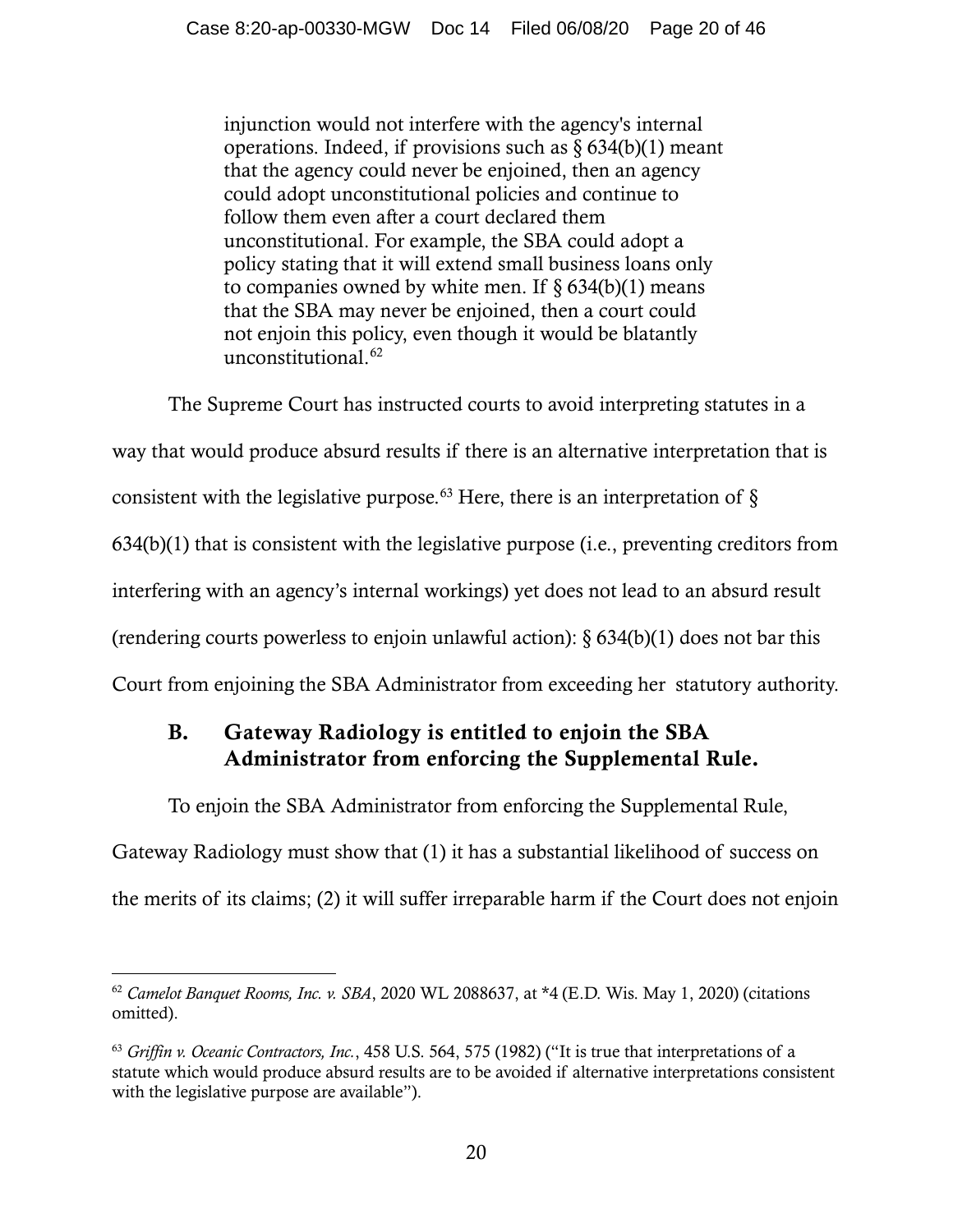injunction would not interfere with the agency's internal operations. Indeed, if provisions such as  $\S 634(b)(1)$  meant that the agency could never be enjoined, then an agency could adopt unconstitutional policies and continue to follow them even after a court declared them unconstitutional. For example, the SBA could adopt a policy stating that it will extend small business loans only to companies owned by white men. If  $\S$  634(b)(1) means that the SBA may never be enjoined, then a court could not enjoin this policy, even though it would be blatantly unconstitutional.[62](#page-19-0)

The Supreme Court has instructed courts to avoid interpreting statutes in a way that would produce absurd results if there is an alternative interpretation that is consistent with the legislative purpose.<sup>[63](#page-19-1)</sup> Here, there is an interpretation of  $\S$ 634(b)(1) that is consistent with the legislative purpose (i.e., preventing creditors from interfering with an agency's internal workings) yet does not lead to an absurd result (rendering courts powerless to enjoin unlawful action):  $\S 634(b)(1)$  does not bar this Court from enjoining the SBA Administrator from exceeding her statutory authority.

# B. Gateway Radiology is entitled to enjoin the SBA Administrator from enforcing the Supplemental Rule.

To enjoin the SBA Administrator from enforcing the Supplemental Rule,

Gateway Radiology must show that (1) it has a substantial likelihood of success on the merits of its claims; (2) it will suffer irreparable harm if the Court does not enjoin

<span id="page-19-0"></span><sup>62</sup> *Camelot Banquet Rooms, Inc. v. SBA*, 2020 WL 2088637, at \*4 (E.D. Wis. May 1, 2020) (citations omitted).

<span id="page-19-1"></span><sup>63</sup> *Griffin v. Oceanic Contractors, Inc.*, 458 U.S. 564, 575 (1982) ("It is true that interpretations of a statute which would produce absurd results are to be avoided if alternative interpretations consistent with the legislative purpose are available").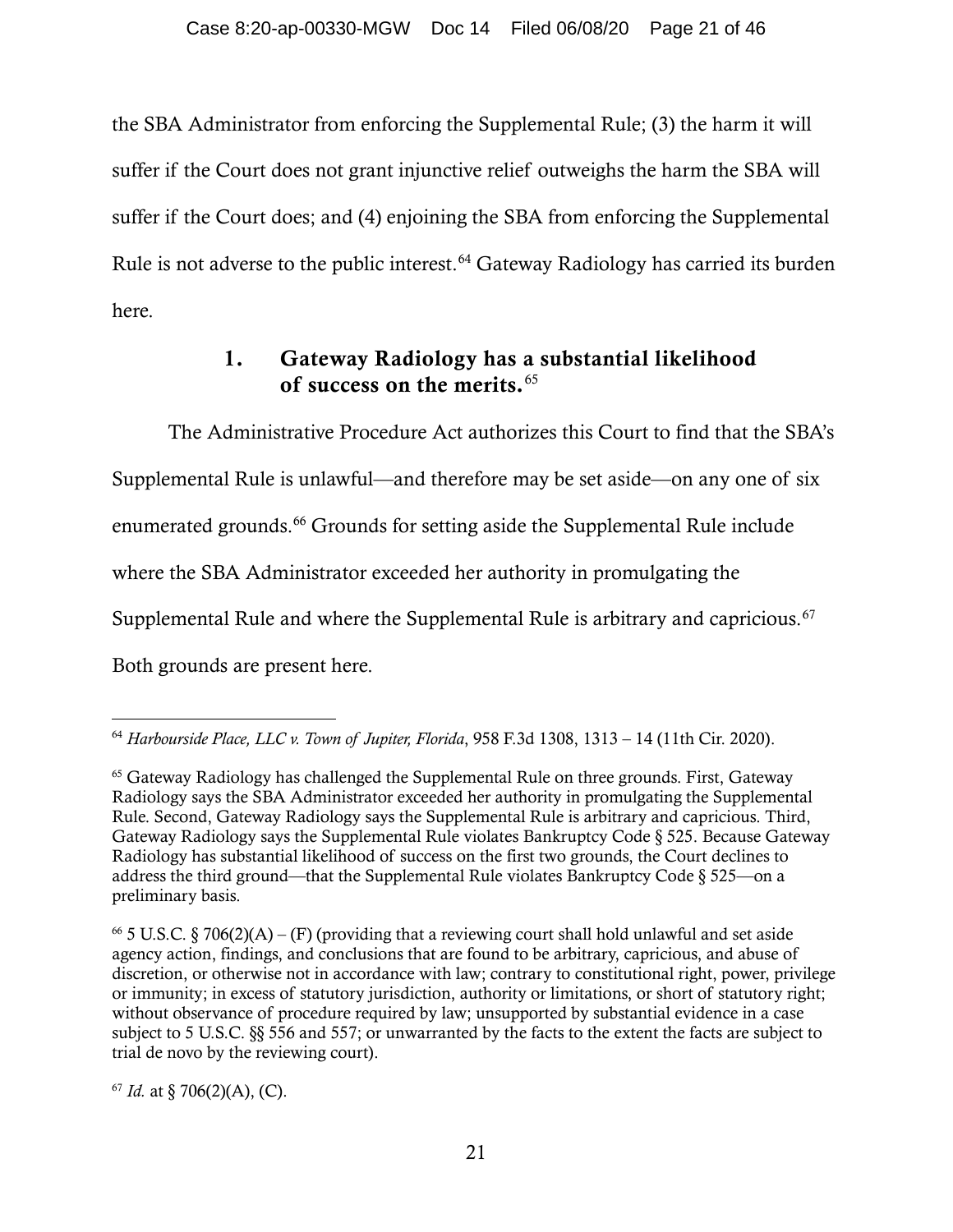the SBA Administrator from enforcing the Supplemental Rule; (3) the harm it will suffer if the Court does not grant injunctive relief outweighs the harm the SBA will suffer if the Court does; and (4) enjoining the SBA from enforcing the Supplemental Rule is not adverse to the public interest.<sup>[64](#page-20-0)</sup> Gateway Radiology has carried its burden here.

## 1. Gateway Radiology has a substantial likelihood of success on the merits.<sup>[65](#page-20-1)</sup>

The Administrative Procedure Act authorizes this Court to find that the SBA's Supplemental Rule is unlawful—and therefore may be set aside—on any one of six enumerated grounds.<sup>[66](#page-20-2)</sup> Grounds for setting aside the Supplemental Rule include where the SBA Administrator exceeded her authority in promulgating the Supplemental Rule and where the Supplemental Rule is arbitrary and capricious.<sup>[67](#page-20-3)</sup> Both grounds are present here.

<span id="page-20-3"></span> $67$  *Id.* at § 706(2)(A), (C).

<span id="page-20-0"></span><sup>64</sup> *Harbourside Place, LLC v. Town of Jupiter, Florida*, 958 F.3d 1308, 1313 – 14 (11th Cir. 2020).

<span id="page-20-1"></span><sup>&</sup>lt;sup>65</sup> Gateway Radiology has challenged the Supplemental Rule on three grounds. First, Gateway Radiology says the SBA Administrator exceeded her authority in promulgating the Supplemental Rule. Second, Gateway Radiology says the Supplemental Rule is arbitrary and capricious. Third, Gateway Radiology says the Supplemental Rule violates Bankruptcy Code § 525. Because Gateway Radiology has substantial likelihood of success on the first two grounds, the Court declines to address the third ground—that the Supplemental Rule violates Bankruptcy Code  $\S 525$ —on a preliminary basis.

<span id="page-20-2"></span><sup>&</sup>lt;sup>66</sup> 5 U.S.C. § 706(2)(A) – (F) (providing that a reviewing court shall hold unlawful and set aside agency action, findings, and conclusions that are found to be arbitrary, capricious, and abuse of discretion, or otherwise not in accordance with law; contrary to constitutional right, power, privilege or immunity; in excess of statutory jurisdiction, authority or limitations, or short of statutory right; without observance of procedure required by law; unsupported by substantial evidence in a case subject to 5 U.S.C. §§ 556 and 557; or unwarranted by the facts to the extent the facts are subject to trial de novo by the reviewing court).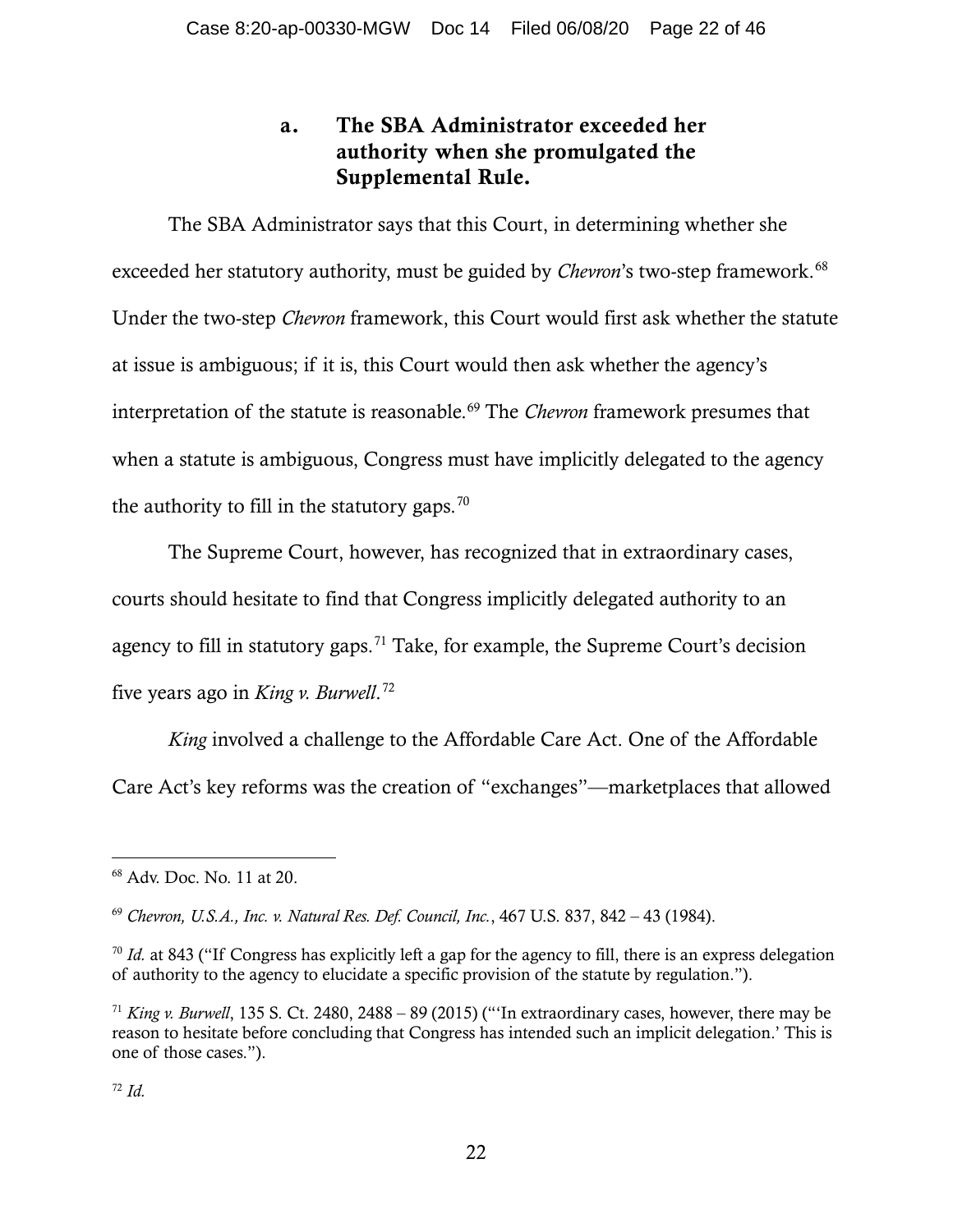# a. The SBA Administrator exceeded her authority when she promulgated the Supplemental Rule.

The SBA Administrator says that this Court, in determining whether she exceeded her statutory authority, must be guided by *Chevron*'s two-step framework.<sup>[68](#page-21-0)</sup> Under the two-step *Chevron* framework, this Court would first ask whether the statute at issue is ambiguous; if it is, this Court would then ask whether the agency's interpretation of the statute is reasonable.<sup>[69](#page-21-1)</sup> The *Chevron* framework presumes that when a statute is ambiguous, Congress must have implicitly delegated to the agency the authority to fill in the statutory gaps.<sup>[70](#page-21-2)</sup>

The Supreme Court, however, has recognized that in extraordinary cases, courts should hesitate to find that Congress implicitly delegated authority to an agency to fill in statutory gaps.<sup>[71](#page-21-3)</sup> Take, for example, the Supreme Court's decision five years ago in *King v. Burwell*. [72](#page-21-4)

*King* involved a challenge to the Affordable Care Act. One of the Affordable Care Act's key reforms was the creation of "exchanges"—marketplaces that allowed

<span id="page-21-0"></span><sup>68</sup> Adv. Doc. No. 11 at 20.

<span id="page-21-1"></span><sup>69</sup> *Chevron, U.S.A., Inc. v. Natural Res. Def. Council, Inc.*, 467 U.S. 837, 842 – 43 (1984).

<span id="page-21-2"></span><sup>&</sup>lt;sup>70</sup> *Id.* at 843 ("If Congress has explicitly left a gap for the agency to fill, there is an express delegation of authority to the agency to elucidate a specific provision of the statute by regulation.").

<span id="page-21-4"></span><span id="page-21-3"></span><sup>71</sup> *King v. Burwell*, 135 S. Ct. 2480, 2488 – 89 (2015) ("'In extraordinary cases, however, there may be reason to hesitate before concluding that Congress has intended such an implicit delegation.' This is one of those cases.").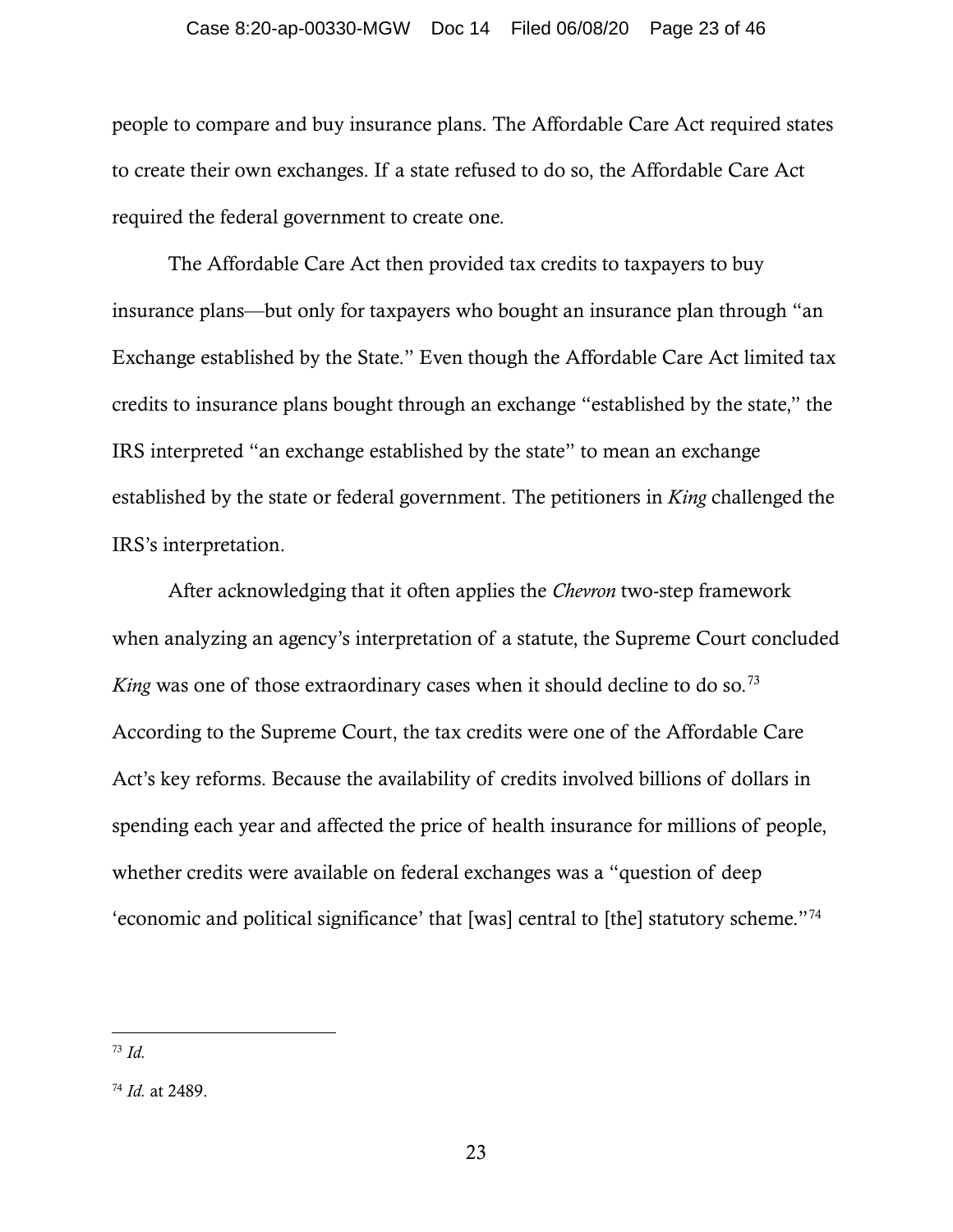### Case 8:20-ap-00330-MGW Doc 14 Filed 06/08/20 Page 23 of 46

people to compare and buy insurance plans. The Affordable Care Act required states to create their own exchanges. If a state refused to do so, the Affordable Care Act required the federal government to create one.

The Affordable Care Act then provided tax credits to taxpayers to buy insurance plans—but only for taxpayers who bought an insurance plan through "an Exchange established by the State." Even though the Affordable Care Act limited tax credits to insurance plans bought through an exchange "established by the state," the IRS interpreted "an exchange established by the state" to mean an exchange established by the state or federal government. The petitioners in *King* challenged the IRS's interpretation.

After acknowledging that it often applies the *Chevron* two-step framework when analyzing an agency's interpretation of a statute, the Supreme Court concluded *King* was one of those extraordinary cases when it should decline to do so.<sup>[73](#page-22-0)</sup> According to the Supreme Court, the tax credits were one of the Affordable Care Act's key reforms. Because the availability of credits involved billions of dollars in spending each year and affected the price of health insurance for millions of people, whether credits were available on federal exchanges was a "question of deep 'economic and political significance' that [was] central to [the] statutory scheme."[74](#page-22-1)

<span id="page-22-0"></span><sup>73</sup> *Id.*

<span id="page-22-1"></span><sup>74</sup> *Id.* at 2489.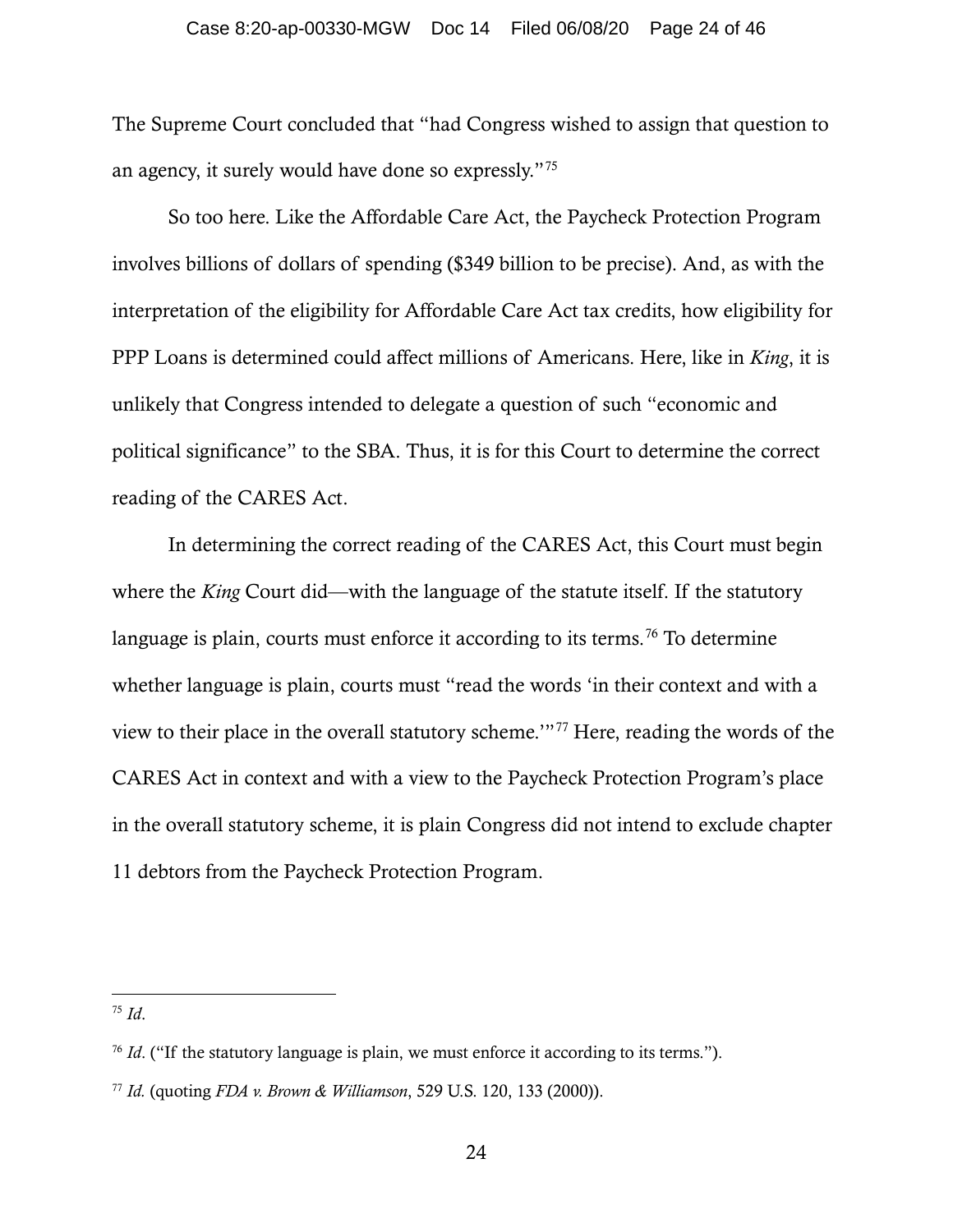The Supreme Court concluded that "had Congress wished to assign that question to an agency, it surely would have done so expressly."[75](#page-23-0)

So too here. Like the Affordable Care Act, the Paycheck Protection Program involves billions of dollars of spending (\$349 billion to be precise). And, as with the interpretation of the eligibility for Affordable Care Act tax credits, how eligibility for PPP Loans is determined could affect millions of Americans. Here, like in *King*, it is unlikely that Congress intended to delegate a question of such "economic and political significance" to the SBA. Thus, it is for this Court to determine the correct reading of the CARES Act.

In determining the correct reading of the CARES Act, this Court must begin where the *King* Court did—with the language of the statute itself. If the statutory language is plain, courts must enforce it according to its terms.<sup>[76](#page-23-1)</sup> To determine whether language is plain, courts must "read the words 'in their context and with a view to their place in the overall statutory scheme.'"[77](#page-23-2) Here, reading the words of the CARES Act in context and with a view to the Paycheck Protection Program's place in the overall statutory scheme, it is plain Congress did not intend to exclude chapter 11 debtors from the Paycheck Protection Program.

<span id="page-23-0"></span><sup>75</sup> *Id*.

<span id="page-23-1"></span><sup>&</sup>lt;sup>76</sup> *Id.* ("If the statutory language is plain, we must enforce it according to its terms.").

<span id="page-23-2"></span><sup>77</sup> *Id.* (quoting *FDA v. Brown & Williamson*, 529 U.S. 120, 133 (2000)).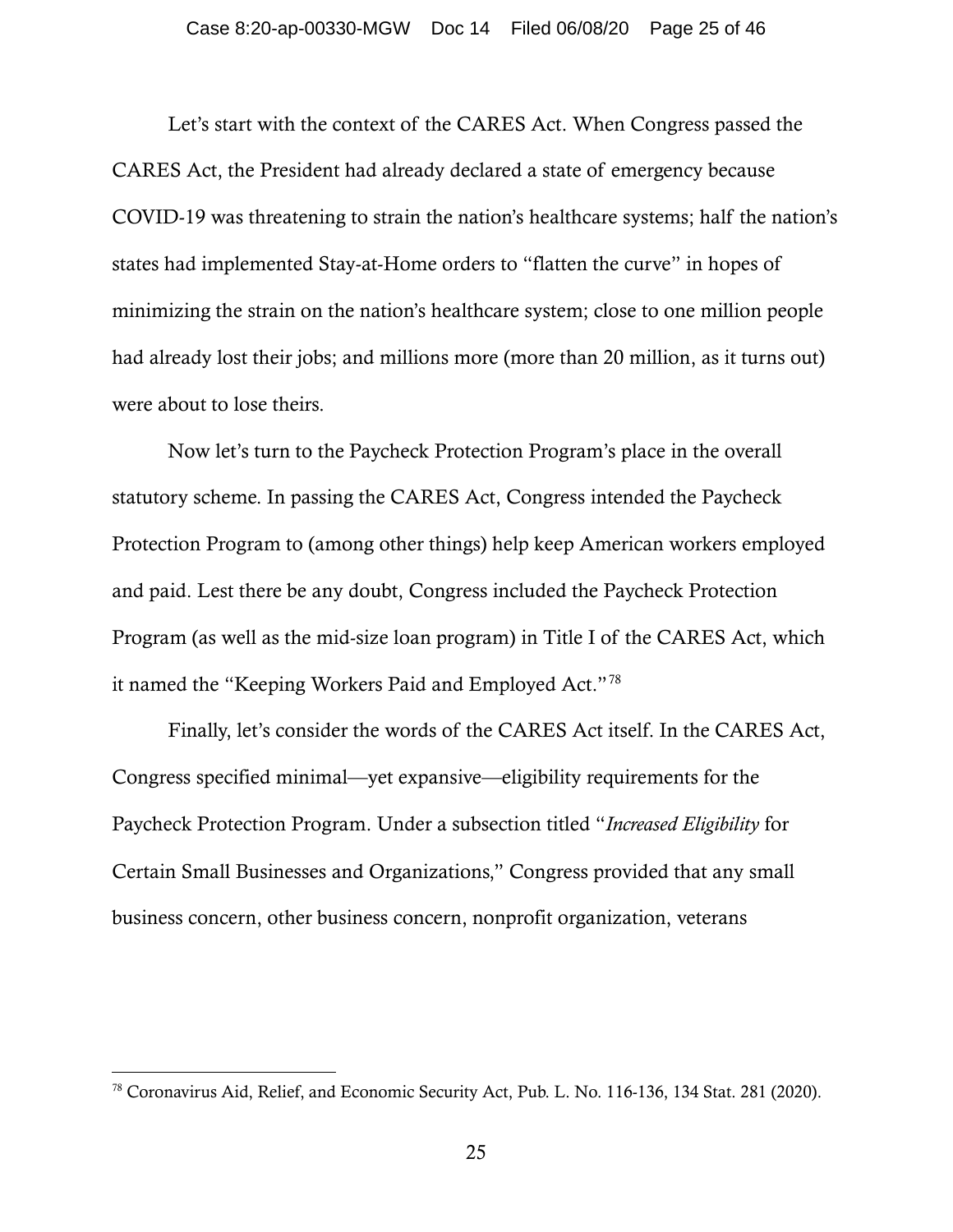Let's start with the context of the CARES Act. When Congress passed the CARES Act, the President had already declared a state of emergency because COVID-19 was threatening to strain the nation's healthcare systems; half the nation's states had implemented Stay-at-Home orders to "flatten the curve" in hopes of minimizing the strain on the nation's healthcare system; close to one million people had already lost their jobs; and millions more (more than 20 million, as it turns out) were about to lose theirs.

Now let's turn to the Paycheck Protection Program's place in the overall statutory scheme. In passing the CARES Act, Congress intended the Paycheck Protection Program to (among other things) help keep American workers employed and paid. Lest there be any doubt, Congress included the Paycheck Protection Program (as well as the mid-size loan program) in Title I of the CARES Act, which it named the "Keeping Workers Paid and Employed Act."[78](#page-24-0)

Finally, let's consider the words of the CARES Act itself. In the CARES Act, Congress specified minimal—yet expansive—eligibility requirements for the Paycheck Protection Program. Under a subsection titled "*Increased Eligibility* for Certain Small Businesses and Organizations," Congress provided that any small business concern, other business concern, nonprofit organization, veterans

<span id="page-24-0"></span><sup>78</sup> Coronavirus Aid, Relief, and Economic Security Act, Pub. L. No. 116-136, 134 Stat. 281 (2020).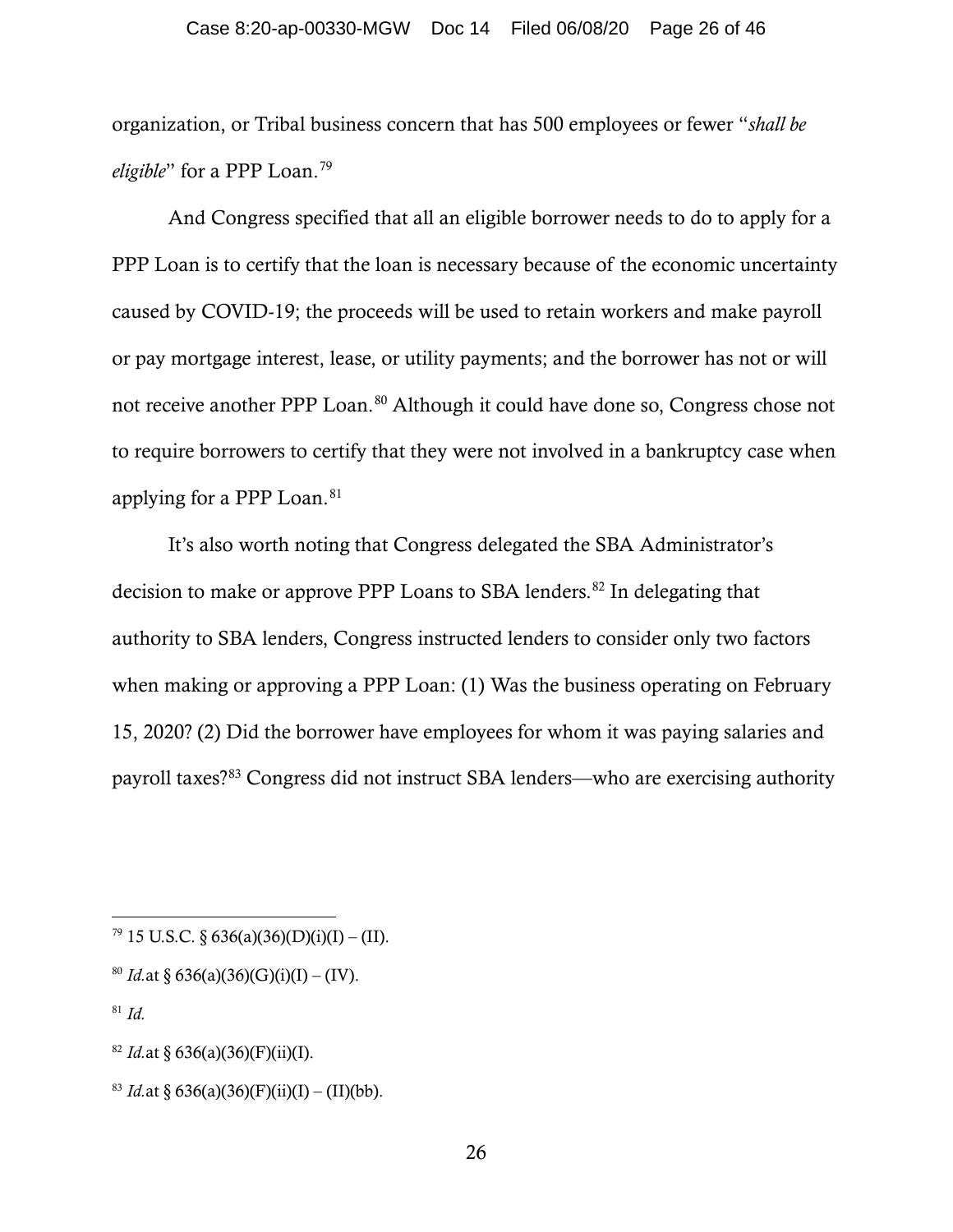### Case 8:20-ap-00330-MGW Doc 14 Filed 06/08/20 Page 26 of 46

organization, or Tribal business concern that has 500 employees or fewer "*shall be eligible*" for a PPP Loan. [79](#page-25-0)

And Congress specified that all an eligible borrower needs to do to apply for a PPP Loan is to certify that the loan is necessary because of the economic uncertainty caused by COVID-19; the proceeds will be used to retain workers and make payroll or pay mortgage interest, lease, or utility payments; and the borrower has not or will not receive another PPP Loan.<sup>[80](#page-25-1)</sup> Although it could have done so, Congress chose not to require borrowers to certify that they were not involved in a bankruptcy case when applying for a PPP Loan. [81](#page-25-2)

It's also worth noting that Congress delegated the SBA Administrator's decision to make or approve PPP Loans to SBA lenders.<sup>[82](#page-25-3)</sup> In delegating that authority to SBA lenders, Congress instructed lenders to consider only two factors when making or approving a PPP Loan: (1) Was the business operating on February 15, 2020? (2) Did the borrower have employees for whom it was paying salaries and payroll taxes?[83](#page-25-4) Congress did not instruct SBA lenders—who are exercising authority

<span id="page-25-0"></span> $79$  15 U.S.C. § 636(a)(36)(D)(i)(I) – (II).

<span id="page-25-1"></span><sup>&</sup>lt;sup>80</sup> *Id.*at § 636(a)(36)(G)(i)(I) – (IV).

<span id="page-25-2"></span><sup>81</sup> *Id.*

<span id="page-25-3"></span><sup>&</sup>lt;sup>82</sup> *Id.*at § 636(a)(36)(F)(ii)(I).

<span id="page-25-4"></span><sup>&</sup>lt;sup>83</sup> *Id.*at § 636(a)(36)(F)(ii)(I) – (II)(bb).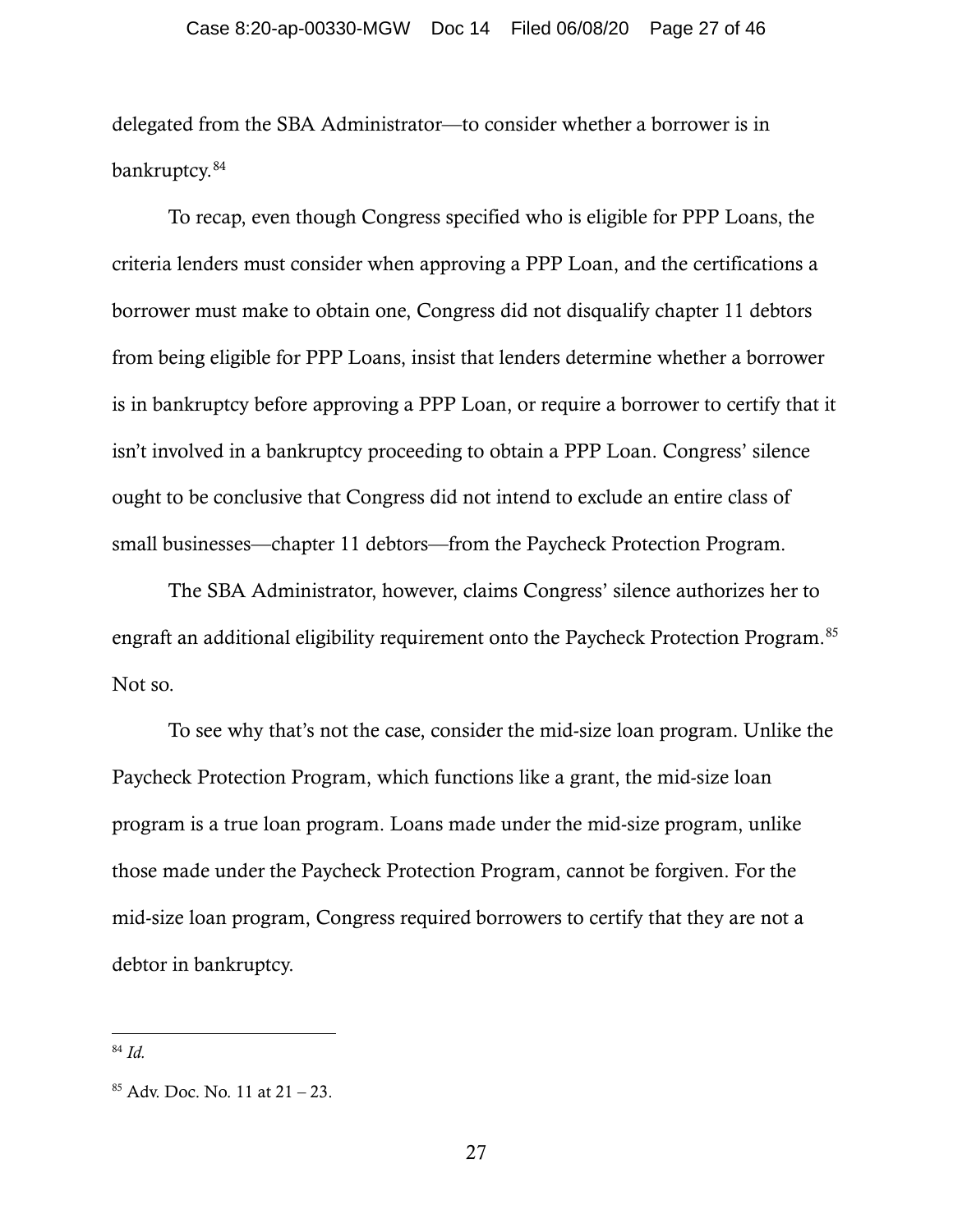delegated from the SBA Administrator—to consider whether a borrower is in bankruptcy. [84](#page-26-0)

To recap, even though Congress specified who is eligible for PPP Loans, the criteria lenders must consider when approving a PPP Loan, and the certifications a borrower must make to obtain one, Congress did not disqualify chapter 11 debtors from being eligible for PPP Loans, insist that lenders determine whether a borrower is in bankruptcy before approving a PPP Loan, or require a borrower to certify that it isn't involved in a bankruptcy proceeding to obtain a PPP Loan. Congress' silence ought to be conclusive that Congress did not intend to exclude an entire class of small businesses—chapter 11 debtors—from the Paycheck Protection Program.

The SBA Administrator, however, claims Congress' silence authorizes her to engraft an additional eligibility requirement onto the Paycheck Protection Program. [85](#page-26-1) Not so.

To see why that's not the case, consider the mid-size loan program. Unlike the Paycheck Protection Program, which functions like a grant, the mid-size loan program is a true loan program. Loans made under the mid-size program, unlike those made under the Paycheck Protection Program, cannot be forgiven. For the mid-size loan program, Congress required borrowers to certify that they are not a debtor in bankruptcy.

<span id="page-26-0"></span><sup>84</sup> *Id.*

<span id="page-26-1"></span> $85$  Adv. Doc. No. 11 at  $21 - 23$ .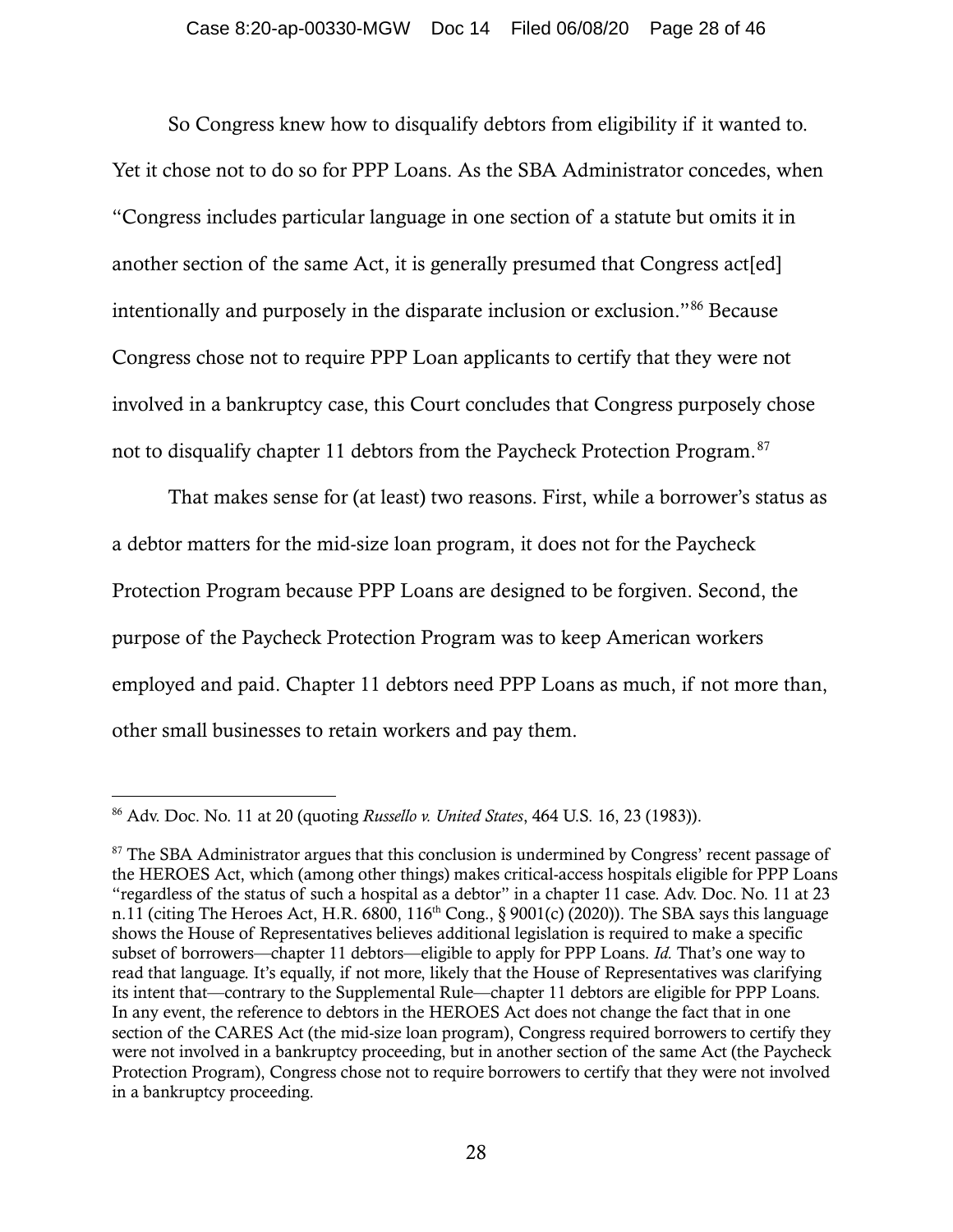So Congress knew how to disqualify debtors from eligibility if it wanted to. Yet it chose not to do so for PPP Loans. As the SBA Administrator concedes, when "Congress includes particular language in one section of a statute but omits it in another section of the same Act, it is generally presumed that Congress act [ed] intentionally and purposely in the disparate inclusion or exclusion."[86](#page-27-0) Because Congress chose not to require PPP Loan applicants to certify that they were not involved in a bankruptcy case, this Court concludes that Congress purposely chose not to disqualify chapter 11 debtors from the Paycheck Protection Program.[87](#page-27-1)

That makes sense for (at least) two reasons. First, while a borrower's status as a debtor matters for the mid-size loan program, it does not for the Paycheck Protection Program because PPP Loans are designed to be forgiven. Second, the purpose of the Paycheck Protection Program was to keep American workers employed and paid. Chapter 11 debtors need PPP Loans as much, if not more than, other small businesses to retain workers and pay them.

<span id="page-27-0"></span><sup>86</sup> Adv. Doc. No. 11 at 20 (quoting *Russello v. United States*, 464 U.S. 16, 23 (1983)).

<span id="page-27-1"></span><sup>&</sup>lt;sup>87</sup> The SBA Administrator argues that this conclusion is undermined by Congress' recent passage of the HEROES Act, which (among other things) makes critical-access hospitals eligible for PPP Loans "regardless of the status of such a hospital as a debtor" in a chapter 11 case. Adv. Doc. No. 11 at 23 n.11 (citing The Heroes Act, H.R. 6800,  $116<sup>th</sup>$  Cong., § 9001(c) (2020)). The SBA says this language shows the House of Representatives believes additional legislation is required to make a specific subset of borrowers—chapter 11 debtors—eligible to apply for PPP Loans. *Id.* That's one way to read that language. It's equally, if not more, likely that the House of Representatives was clarifying its intent that—contrary to the Supplemental Rule—chapter 11 debtors are eligible for PPP Loans. In any event, the reference to debtors in the HEROES Act does not change the fact that in one section of the CARES Act (the mid-size loan program), Congress required borrowers to certify they were not involved in a bankruptcy proceeding, but in another section of the same Act (the Paycheck Protection Program), Congress chose not to require borrowers to certify that they were not involved in a bankruptcy proceeding.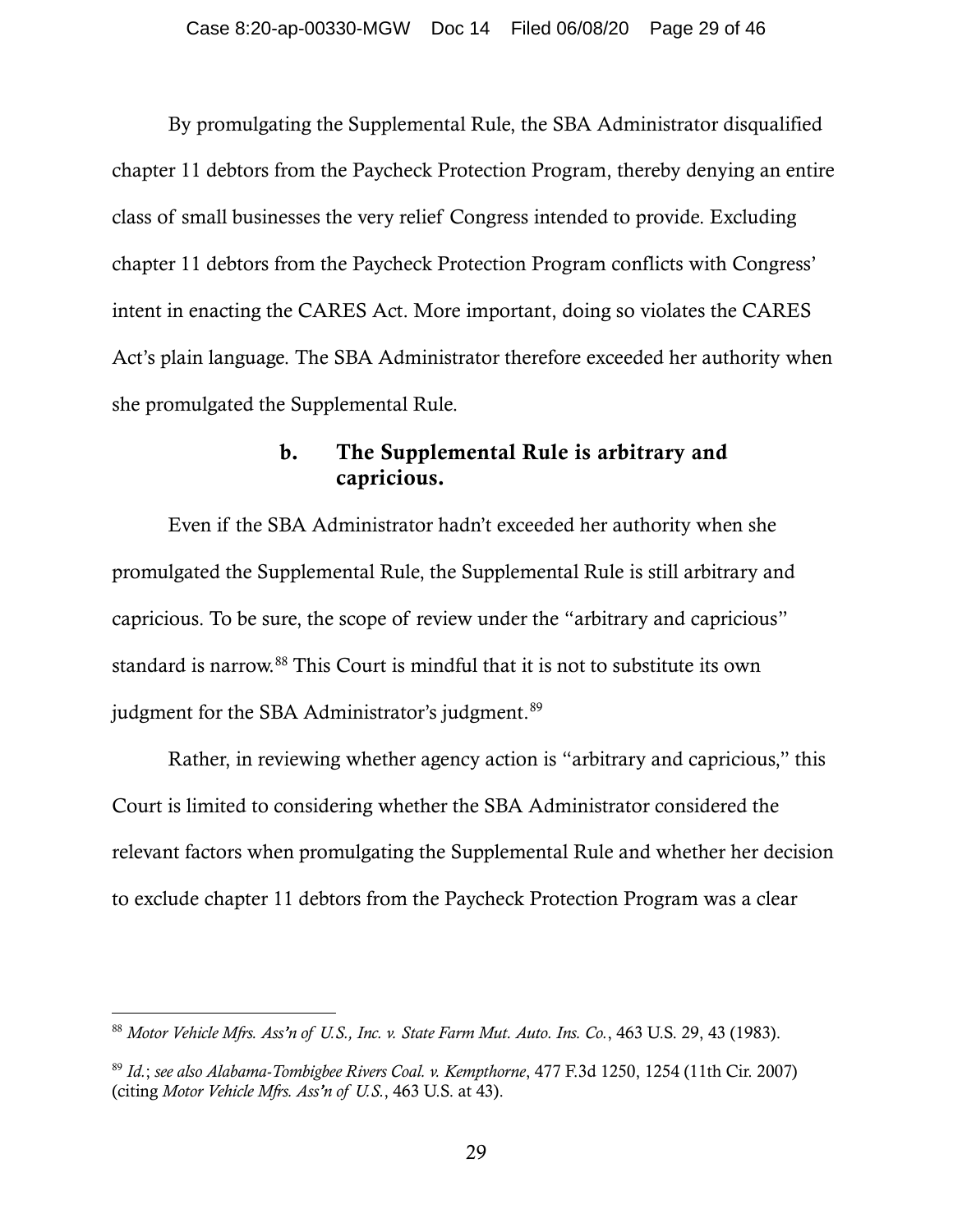By promulgating the Supplemental Rule, the SBA Administrator disqualified chapter 11 debtors from the Paycheck Protection Program, thereby denying an entire class of small businesses the very relief Congress intended to provide. Excluding chapter 11 debtors from the Paycheck Protection Program conflicts with Congress' intent in enacting the CARES Act. More important, doing so violates the CARES Act's plain language. The SBA Administrator therefore exceeded her authority when she promulgated the Supplemental Rule.

### b. The Supplemental Rule is arbitrary and capricious.

Even if the SBA Administrator hadn't exceeded her authority when she promulgated the Supplemental Rule, the Supplemental Rule is still arbitrary and capricious. To be sure, the scope of review under the "arbitrary and capricious" standard is narrow.<sup>[88](#page-28-0)</sup> This Court is mindful that it is not to substitute its own judgment for the SBA Administrator's judgment.<sup>[89](#page-28-1)</sup>

Rather, in reviewing whether agency action is "arbitrary and capricious," this Court is limited to considering whether the SBA Administrator considered the relevant factors when promulgating the Supplemental Rule and whether her decision to exclude chapter 11 debtors from the Paycheck Protection Program was a clear

<span id="page-28-0"></span><sup>88</sup> *Motor Vehicle Mfrs. Ass'n of U.S., Inc. v. State Farm Mut. Auto. Ins. Co.*, 463 U.S. 29, 43 (1983).

<span id="page-28-1"></span><sup>89</sup> *Id.*; *see also Alabama-Tombigbee Rivers Coal. v. Kempthorne*, 477 F.3d 1250, 1254 (11th Cir. 2007) (citing *Motor Vehicle Mfrs. Ass'n of U.S.*, 463 U.S. at 43).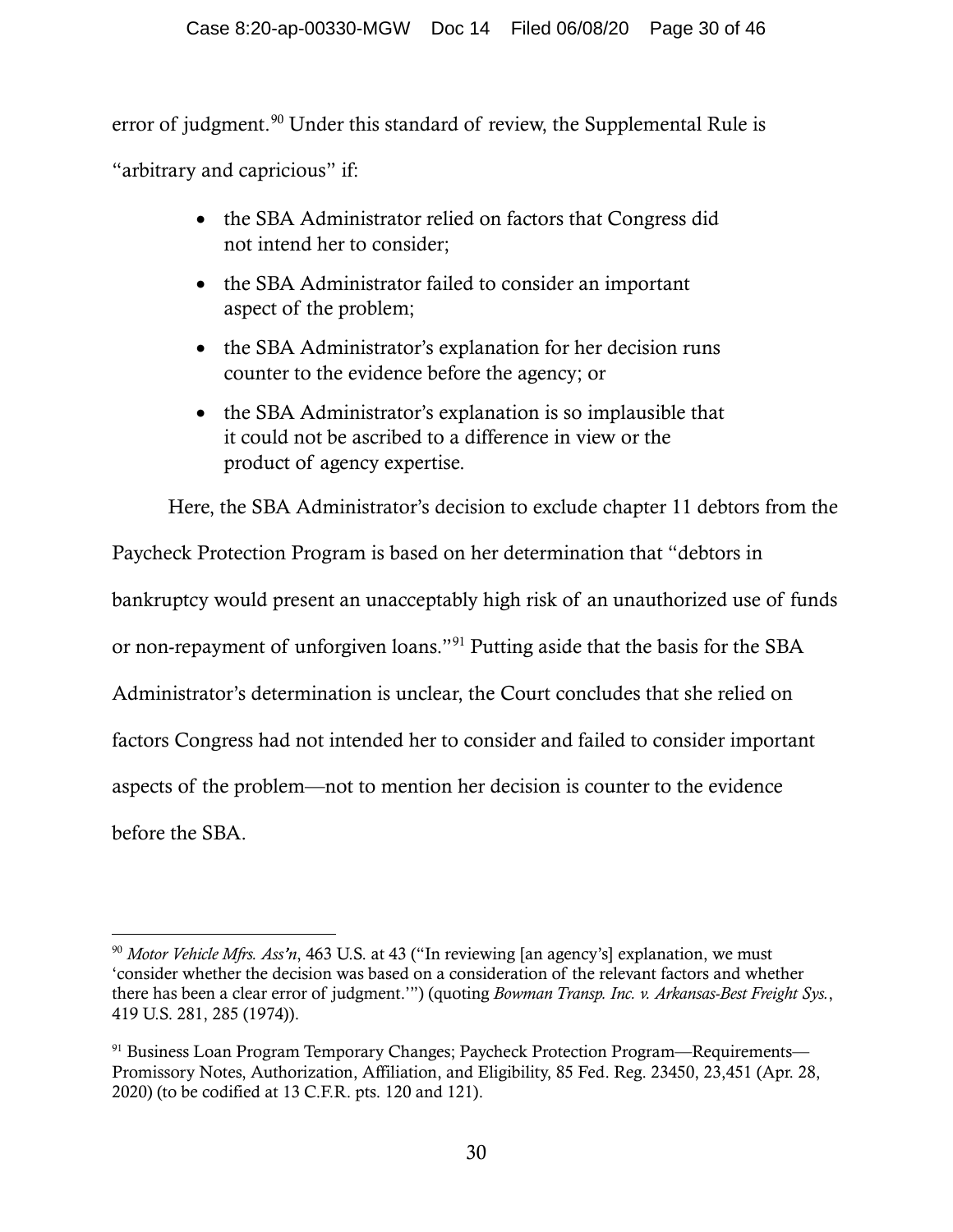error of judgment.<sup>[90](#page-29-0)</sup> Under this standard of review, the Supplemental Rule is

"arbitrary and capricious" if:

- the SBA Administrator relied on factors that Congress did not intend her to consider;
- the SBA Administrator failed to consider an important aspect of the problem;
- the SBA Administrator's explanation for her decision runs counter to the evidence before the agency; or
- the SBA Administrator's explanation is so implausible that it could not be ascribed to a difference in view or the product of agency expertise.

Here, the SBA Administrator's decision to exclude chapter 11 debtors from the

Paycheck Protection Program is based on her determination that "debtors in bankruptcy would present an unacceptably high risk of an unauthorized use of funds or non-repayment of unforgiven loans."[91](#page-29-1) Putting aside that the basis for the SBA Administrator's determination is unclear, the Court concludes that she relied on factors Congress had not intended her to consider and failed to consider important aspects of the problem—not to mention her decision is counter to the evidence before the SBA.

<span id="page-29-0"></span><sup>90</sup> *Motor Vehicle Mfrs. Ass'n*, 463 U.S. at 43 ("In reviewing [an agency's] explanation, we must 'consider whether the decision was based on a consideration of the relevant factors and whether there has been a clear error of judgment.'") (quoting *Bowman Transp. Inc. v. Arkansas-Best Freight Sys.*, 419 U.S. 281, 285 (1974)).

<span id="page-29-1"></span><sup>91</sup> Business Loan Program Temporary Changes; Paycheck Protection Program—Requirements— Promissory Notes, Authorization, Affiliation, and Eligibility, 85 Fed. Reg. 23450, 23,451 (Apr. 28, 2020) (to be codified at 13 C.F.R. pts. 120 and 121).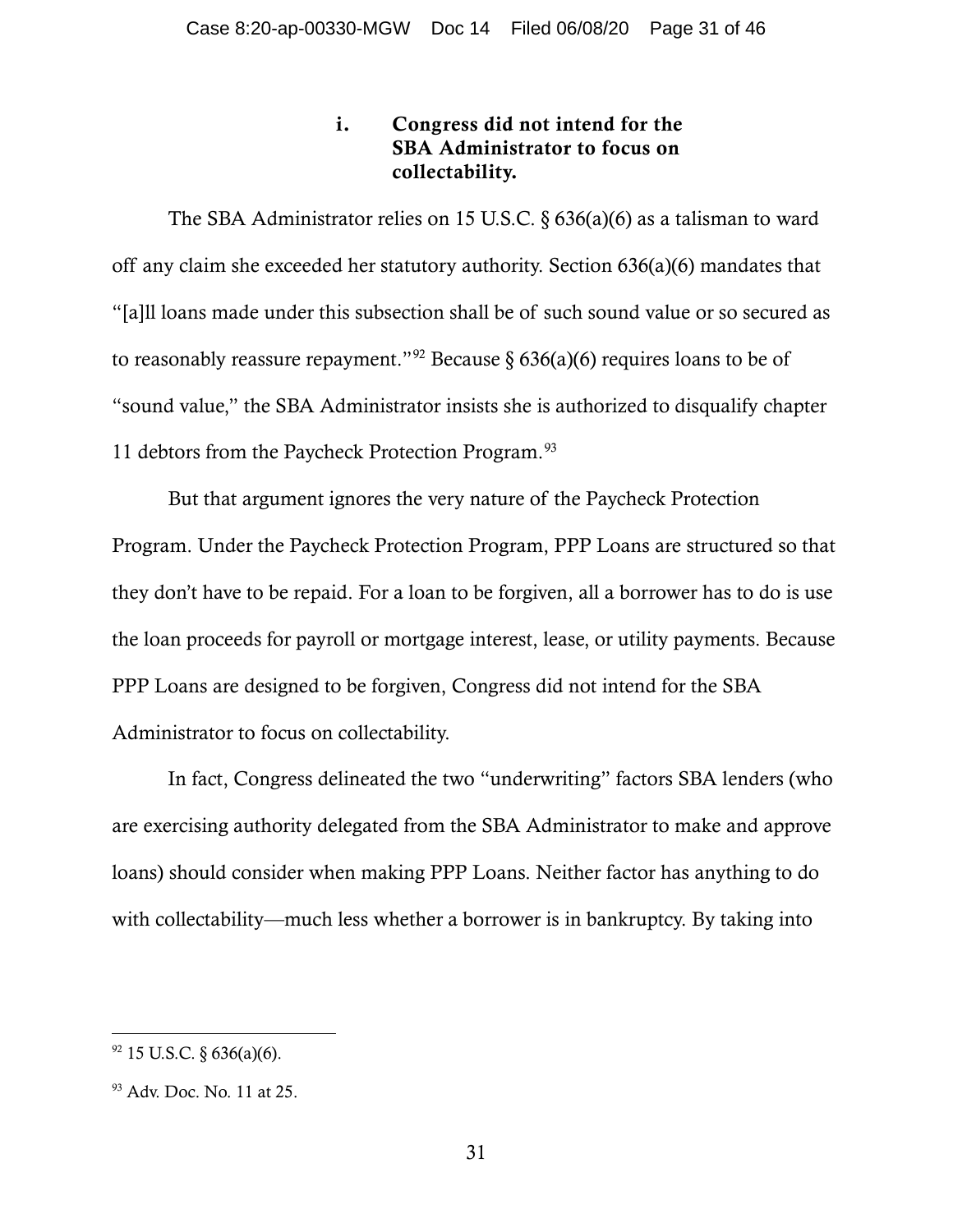## i. Congress did not intend for the SBA Administrator to focus on collectability.

The SBA Administrator relies on 15 U.S.C. § 636(a)(6) as a talisman to ward off any claim she exceeded her statutory authority. Section 636(a)(6) mandates that "[a]ll loans made under this subsection shall be of such sound value or so secured as to reasonably reassure repayment."<sup>[92](#page-30-0)</sup> Because § 636(a)(6) requires loans to be of "sound value," the SBA Administrator insists she is authorized to disqualify chapter 11 debtors from the Paycheck Protection Program.<sup>[93](#page-30-1)</sup>

But that argument ignores the very nature of the Paycheck Protection Program. Under the Paycheck Protection Program, PPP Loans are structured so that they don't have to be repaid. For a loan to be forgiven, all a borrower has to do is use the loan proceeds for payroll or mortgage interest, lease, or utility payments. Because PPP Loans are designed to be forgiven, Congress did not intend for the SBA Administrator to focus on collectability.

In fact, Congress delineated the two "underwriting" factors SBA lenders (who are exercising authority delegated from the SBA Administrator to make and approve loans) should consider when making PPP Loans. Neither factor has anything to do with collectability—much less whether a borrower is in bankruptcy. By taking into

<span id="page-30-0"></span> $92$  15 U.S.C. § 636(a)(6).

<span id="page-30-1"></span><sup>93</sup> Adv. Doc. No. 11 at 25.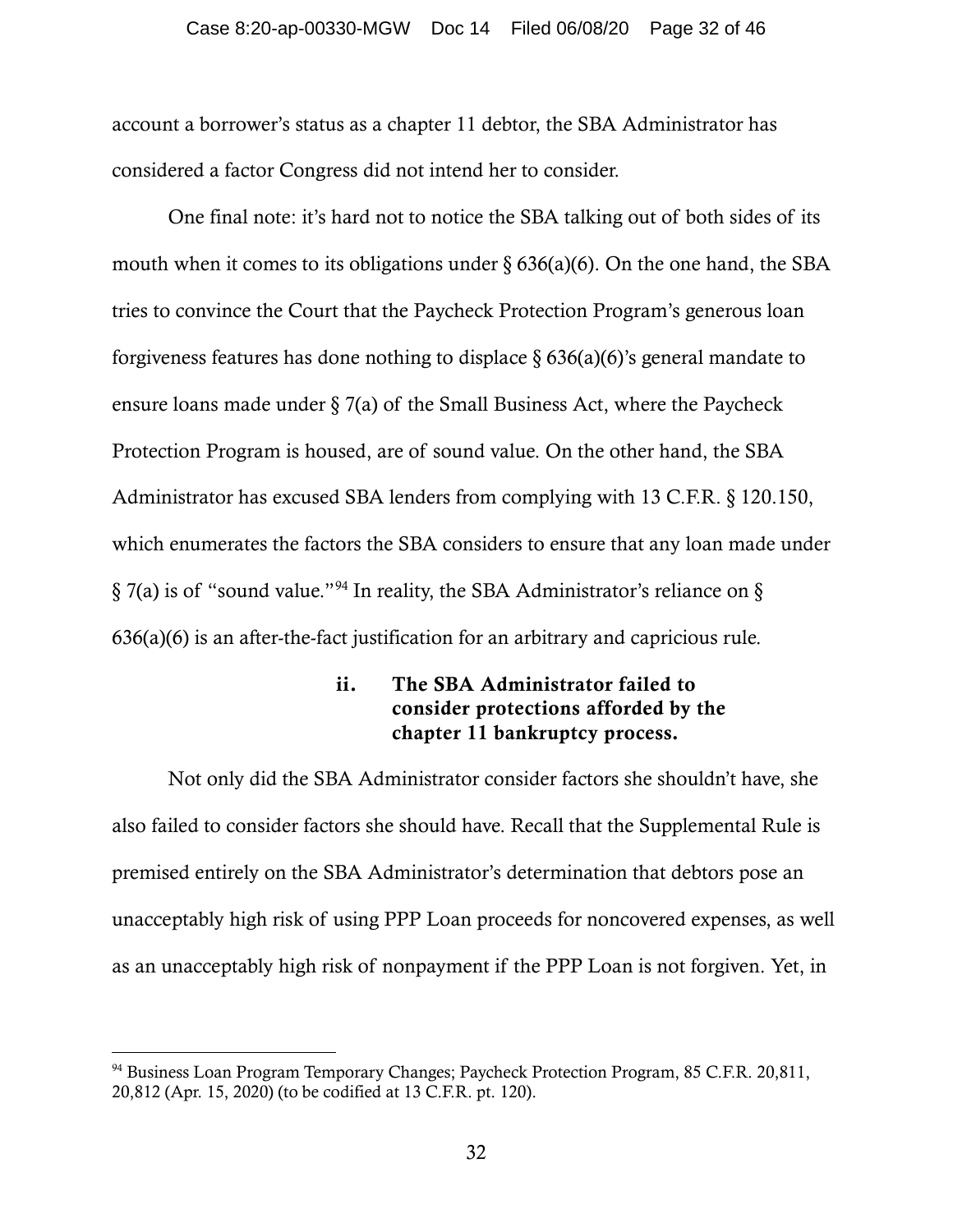#### Case 8:20-ap-00330-MGW Doc 14 Filed 06/08/20 Page 32 of 46

account a borrower's status as a chapter 11 debtor, the SBA Administrator has considered a factor Congress did not intend her to consider.

One final note: it's hard not to notice the SBA talking out of both sides of its mouth when it comes to its obligations under  $\S 636(a)(6)$ . On the one hand, the SBA tries to convince the Court that the Paycheck Protection Program's generous loan forgiveness features has done nothing to displace  $\S 636(a)(6)$ 's general mandate to ensure loans made under § 7(a) of the Small Business Act, where the Paycheck Protection Program is housed, are of sound value. On the other hand, the SBA Administrator has excused SBA lenders from complying with 13 C.F.R. § 120.150, which enumerates the factors the SBA considers to ensure that any loan made under § 7(a) is of "sound value."[94](#page-31-0) In reality, the SBA Administrator's reliance on § 636(a)(6) is an after-the-fact justification for an arbitrary and capricious rule.

## ii. The SBA Administrator failed to consider protections afforded by the chapter 11 bankruptcy process.

Not only did the SBA Administrator consider factors she shouldn't have, she also failed to consider factors she should have. Recall that the Supplemental Rule is premised entirely on the SBA Administrator's determination that debtors pose an unacceptably high risk of using PPP Loan proceeds for noncovered expenses, as well as an unacceptably high risk of nonpayment if the PPP Loan is not forgiven. Yet, in

<span id="page-31-0"></span><sup>&</sup>lt;sup>94</sup> Business Loan Program Temporary Changes; Paycheck Protection Program, 85 C.F.R. 20,811, 20,812 (Apr. 15, 2020) (to be codified at 13 C.F.R. pt. 120).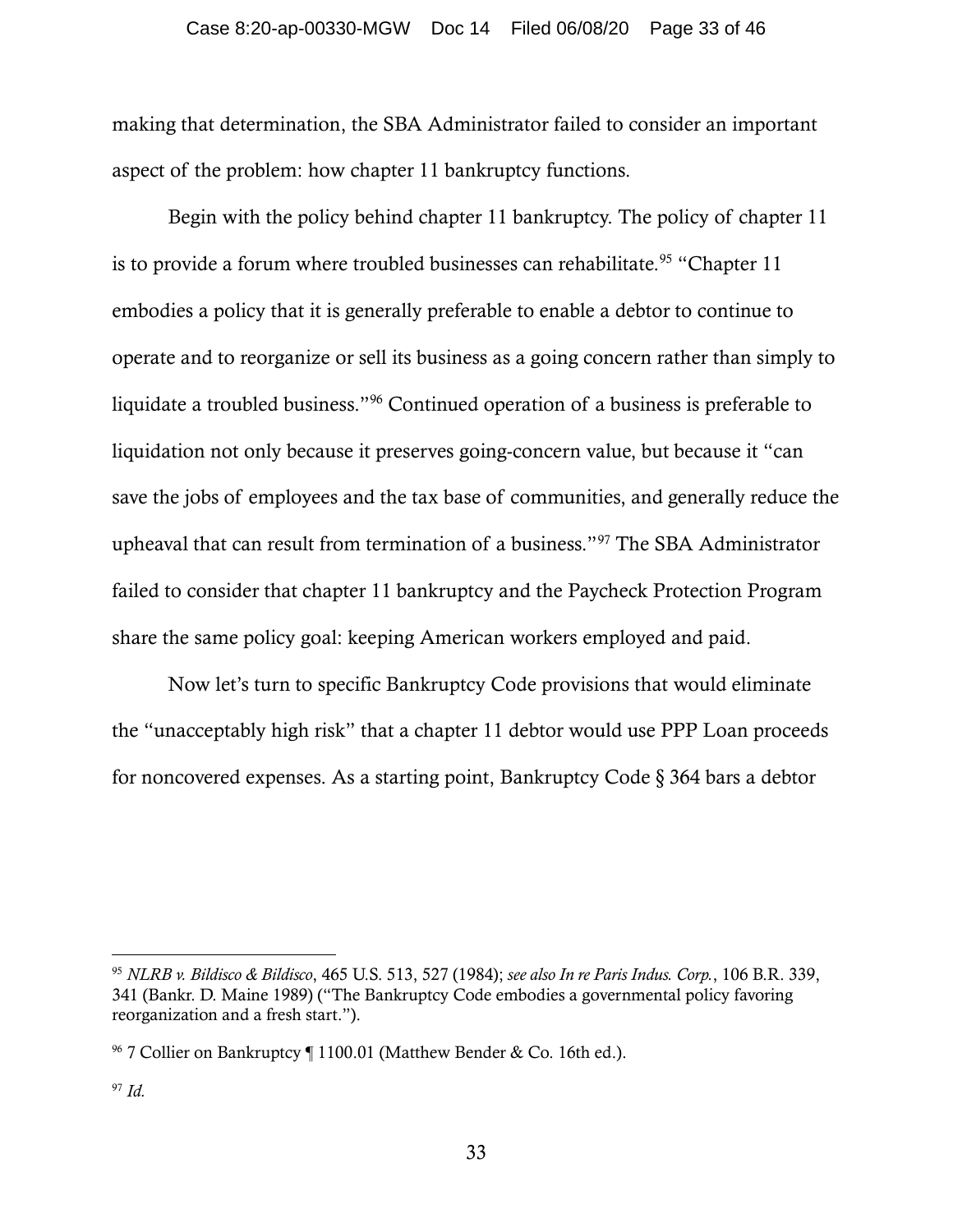making that determination, the SBA Administrator failed to consider an important aspect of the problem: how chapter 11 bankruptcy functions.

Begin with the policy behind chapter 11 bankruptcy. The policy of chapter 11 is to provide a forum where troubled businesses can rehabilitate.<sup>[95](#page-32-0)</sup> "Chapter 11 embodies a policy that it is generally preferable to enable a debtor to continue to operate and to reorganize or sell its business as a going concern rather than simply to liquidate a troubled business."[96](#page-32-1) Continued operation of a business is preferable to liquidation not only because it preserves going-concern value, but because it "can save the jobs of employees and the tax base of communities, and generally reduce the upheaval that can result from termination of a business."[97](#page-32-2) The SBA Administrator failed to consider that chapter 11 bankruptcy and the Paycheck Protection Program share the same policy goal: keeping American workers employed and paid.

Now let's turn to specific Bankruptcy Code provisions that would eliminate the "unacceptably high risk" that a chapter 11 debtor would use PPP Loan proceeds for noncovered expenses. As a starting point, Bankruptcy Code § 364 bars a debtor

<span id="page-32-0"></span><sup>95</sup> *NLRB v. Bildisco & Bildisco*, 465 U.S. 513, 527 (1984); *see also In re Paris Indus. Corp.*, 106 B.R. 339, 341 (Bankr. D. Maine 1989) ("The Bankruptcy Code embodies a governmental policy favoring reorganization and a fresh start.").

<span id="page-32-2"></span><span id="page-32-1"></span><sup>&</sup>lt;sup>96</sup> 7 Collier on Bankruptcy ¶ 1100.01 (Matthew Bender & Co. 16th ed.).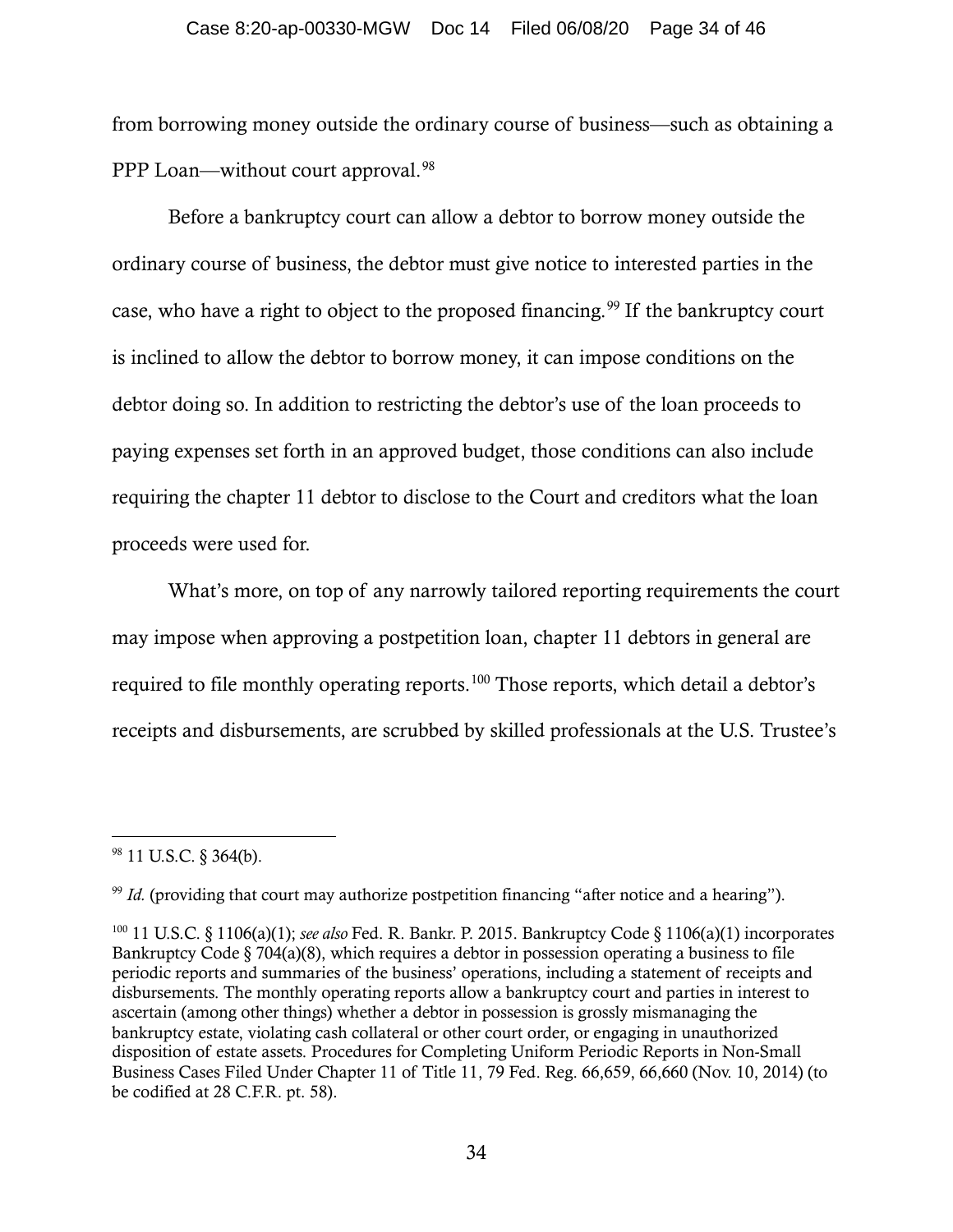#### Case 8:20-ap-00330-MGW Doc 14 Filed 06/08/20 Page 34 of 46

from borrowing money outside the ordinary course of business—such as obtaining a PPP Loan—without court approval.<sup>[98](#page-33-0)</sup>

Before a bankruptcy court can allow a debtor to borrow money outside the ordinary course of business, the debtor must give notice to interested parties in the case, who have a right to object to the proposed financing. [99](#page-33-1) If the bankruptcy court is inclined to allow the debtor to borrow money, it can impose conditions on the debtor doing so. In addition to restricting the debtor's use of the loan proceeds to paying expenses set forth in an approved budget, those conditions can also include requiring the chapter 11 debtor to disclose to the Court and creditors what the loan proceeds were used for.

What's more, on top of any narrowly tailored reporting requirements the court may impose when approving a postpetition loan, chapter 11 debtors in general are required to file monthly operating reports.<sup>[100](#page-33-2)</sup> Those reports, which detail a debtor's receipts and disbursements, are scrubbed by skilled professionals at the U.S. Trustee's

<span id="page-33-0"></span><sup>98</sup> 11 U.S.C. § 364(b).

<span id="page-33-1"></span><sup>&</sup>lt;sup>99</sup> *Id.* (providing that court may authorize postpetition financing "after notice and a hearing").

<span id="page-33-2"></span><sup>100</sup> 11 U.S.C. § 1106(a)(1); *see also* Fed. R. Bankr. P. 2015. Bankruptcy Code § 1106(a)(1) incorporates Bankruptcy Code  $\S 704(a)(8)$ , which requires a debtor in possession operating a business to file periodic reports and summaries of the business' operations, including a statement of receipts and disbursements. The monthly operating reports allow a bankruptcy court and parties in interest to ascertain (among other things) whether a debtor in possession is grossly mismanaging the bankruptcy estate, violating cash collateral or other court order, or engaging in unauthorized disposition of estate assets. Procedures for Completing Uniform Periodic Reports in Non-Small Business Cases Filed Under Chapter 11 of Title 11, 79 Fed. Reg. 66,659, 66,660 (Nov. 10, 2014) (to be codified at 28 C.F.R. pt. 58).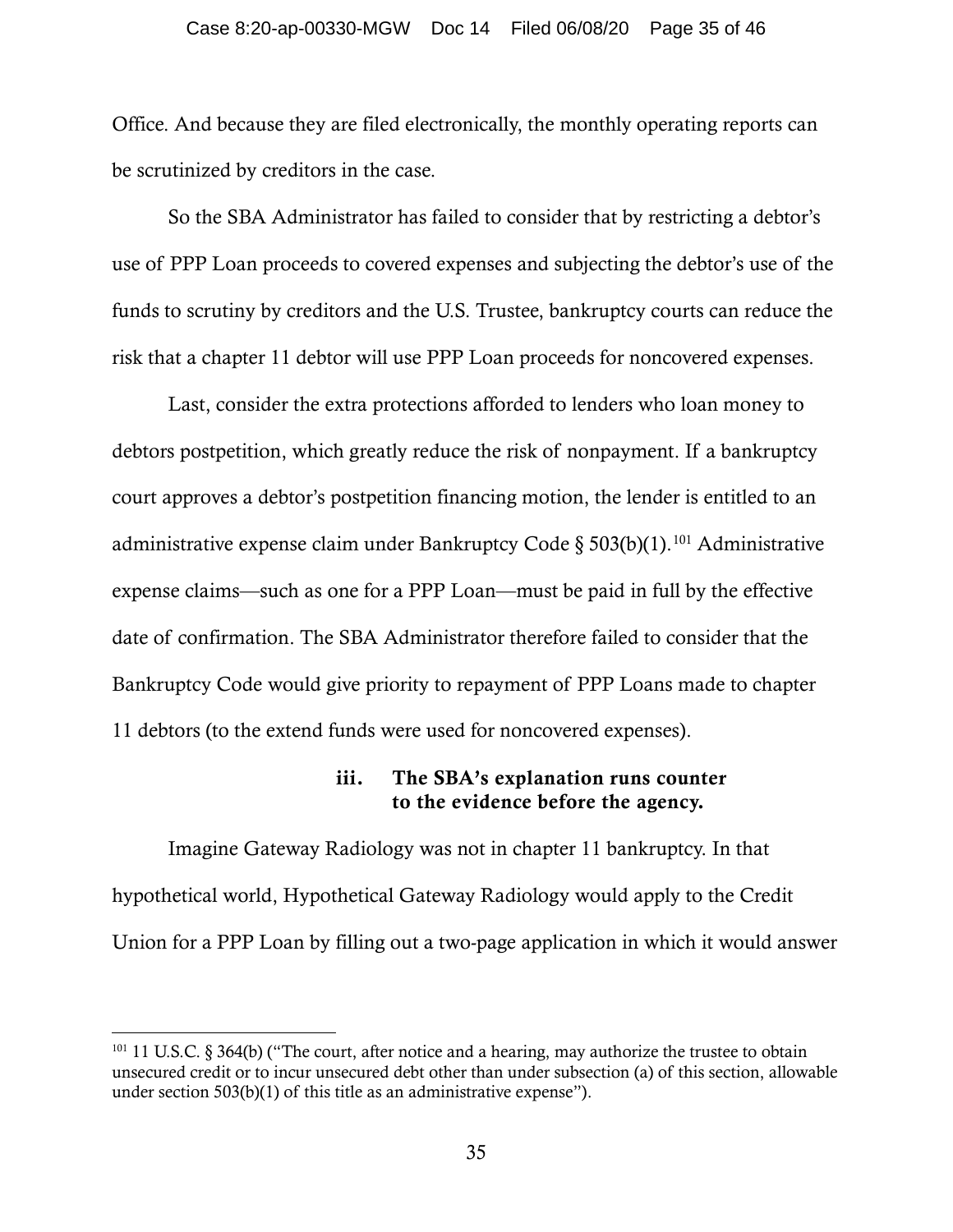#### Case 8:20-ap-00330-MGW Doc 14 Filed 06/08/20 Page 35 of 46

Office. And because they are filed electronically, the monthly operating reports can be scrutinized by creditors in the case.

So the SBA Administrator has failed to consider that by restricting a debtor's use of PPP Loan proceeds to covered expenses and subjecting the debtor's use of the funds to scrutiny by creditors and the U.S. Trustee, bankruptcy courts can reduce the risk that a chapter 11 debtor will use PPP Loan proceeds for noncovered expenses.

Last, consider the extra protections afforded to lenders who loan money to debtors postpetition, which greatly reduce the risk of nonpayment. If a bankruptcy court approves a debtor's postpetition financing motion, the lender is entitled to an administrative expense claim under Bankruptcy Code §  $503(b)(1)$ .<sup>[101](#page-34-0)</sup> Administrative expense claims—such as one for a PPP Loan—must be paid in full by the effective date of confirmation. The SBA Administrator therefore failed to consider that the Bankruptcy Code would give priority to repayment of PPP Loans made to chapter 11 debtors (to the extend funds were used for noncovered expenses).

### iii. The SBA's explanation runs counter to the evidence before the agency.

Imagine Gateway Radiology was not in chapter 11 bankruptcy. In that hypothetical world, Hypothetical Gateway Radiology would apply to the Credit Union for a PPP Loan by filling out a two-page application in which it would answer

<span id="page-34-0"></span><sup>&</sup>lt;sup>101</sup> 11 U.S.C. § 364(b) ("The court, after notice and a hearing, may authorize the trustee to obtain unsecured credit or to incur unsecured debt other than under subsection (a) of this section, allowable under section 503(b)(1) of this title as an administrative expense").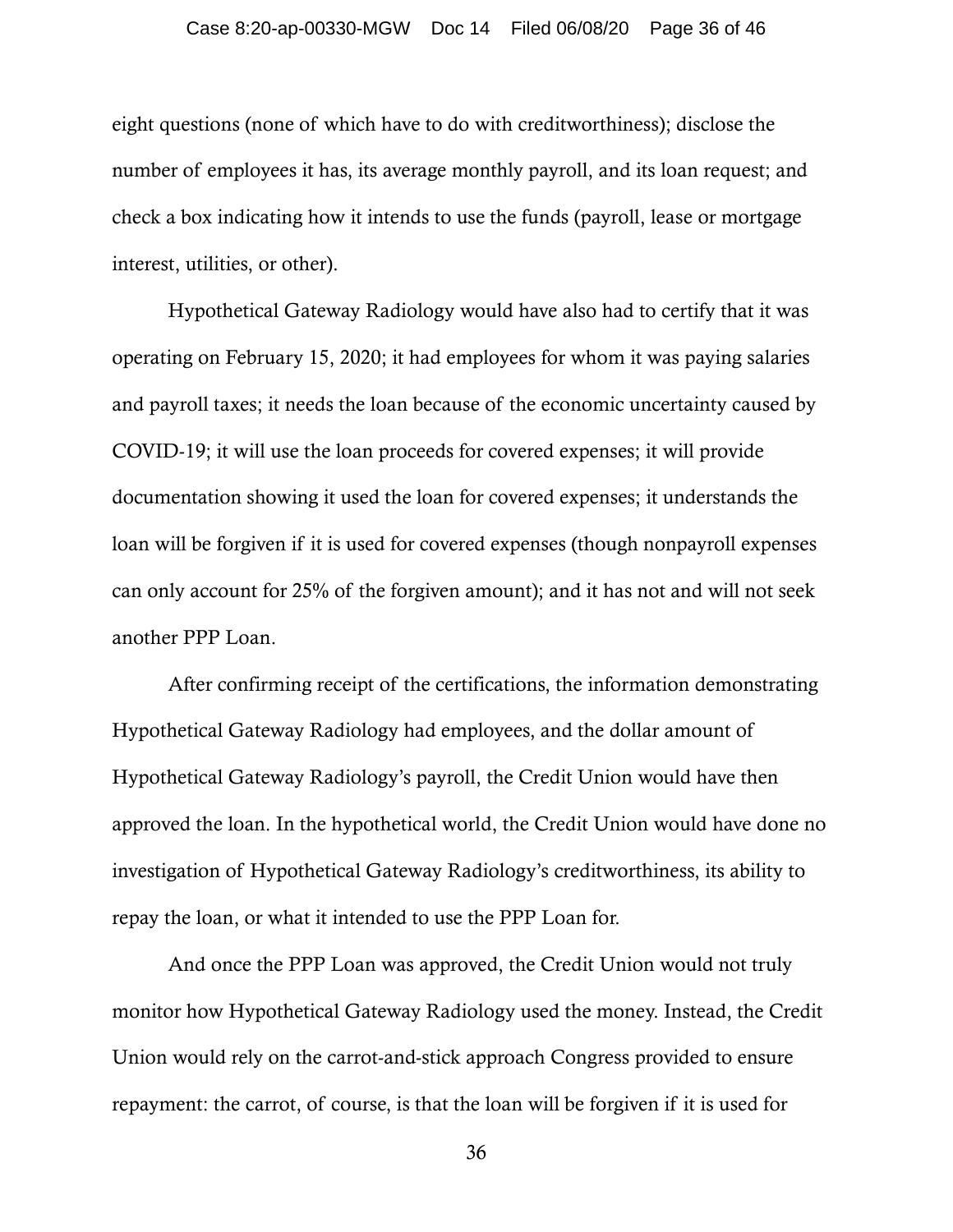### Case 8:20-ap-00330-MGW Doc 14 Filed 06/08/20 Page 36 of 46

eight questions (none of which have to do with creditworthiness); disclose the number of employees it has, its average monthly payroll, and its loan request; and check a box indicating how it intends to use the funds (payroll, lease or mortgage interest, utilities, or other).

Hypothetical Gateway Radiology would have also had to certify that it was operating on February 15, 2020; it had employees for whom it was paying salaries and payroll taxes; it needs the loan because of the economic uncertainty caused by COVID-19; it will use the loan proceeds for covered expenses; it will provide documentation showing it used the loan for covered expenses; it understands the loan will be forgiven if it is used for covered expenses (though nonpayroll expenses can only account for 25% of the forgiven amount); and it has not and will not seek another PPP Loan.

After confirming receipt of the certifications, the information demonstrating Hypothetical Gateway Radiology had employees, and the dollar amount of Hypothetical Gateway Radiology's payroll, the Credit Union would have then approved the loan. In the hypothetical world, the Credit Union would have done no investigation of Hypothetical Gateway Radiology's creditworthiness, its ability to repay the loan, or what it intended to use the PPP Loan for.

And once the PPP Loan was approved, the Credit Union would not truly monitor how Hypothetical Gateway Radiology used the money. Instead, the Credit Union would rely on the carrot-and-stick approach Congress provided to ensure repayment: the carrot, of course, is that the loan will be forgiven if it is used for

36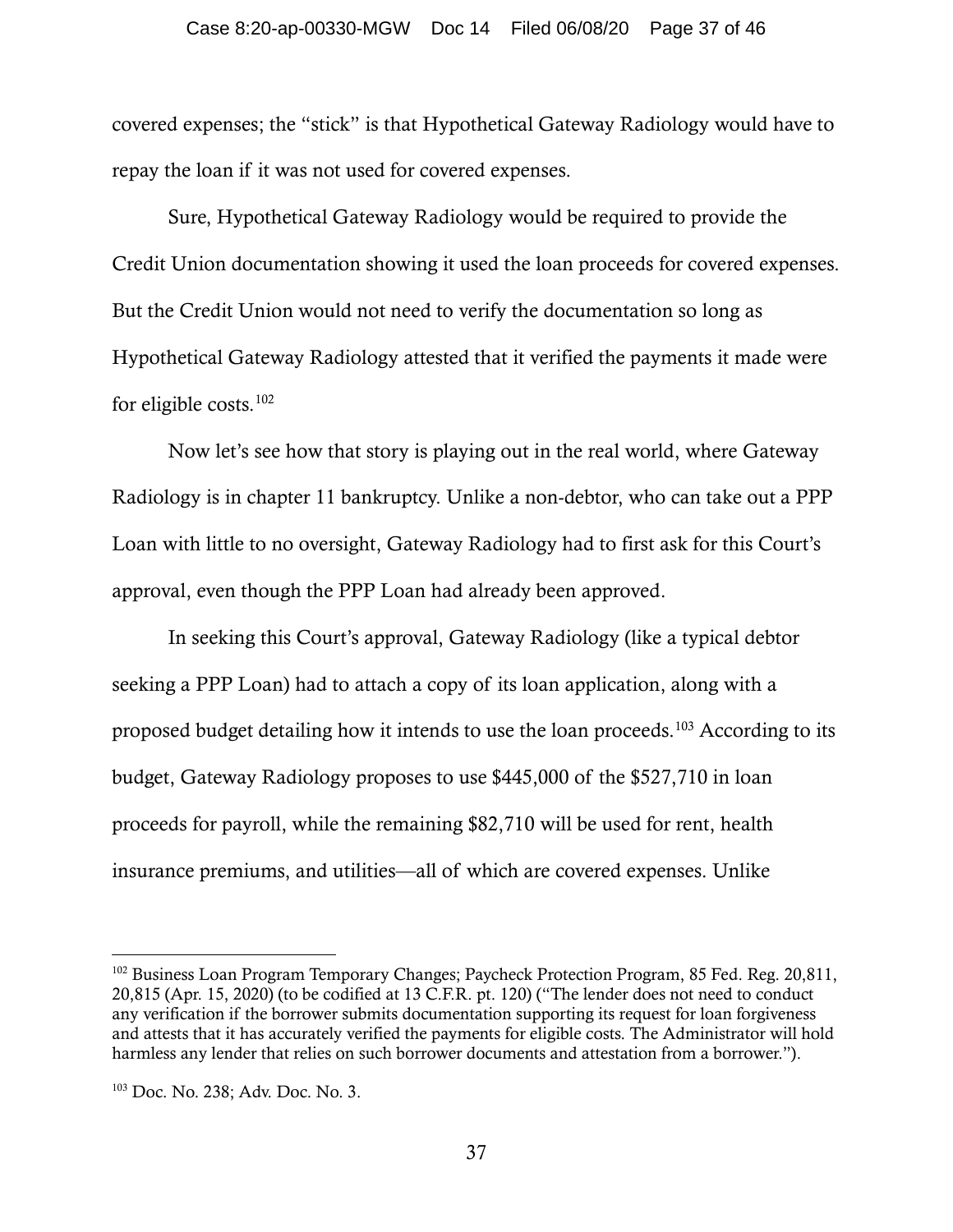#### Case 8:20-ap-00330-MGW Doc 14 Filed 06/08/20 Page 37 of 46

covered expenses; the "stick" is that Hypothetical Gateway Radiology would have to repay the loan if it was not used for covered expenses.

Sure, Hypothetical Gateway Radiology would be required to provide the Credit Union documentation showing it used the loan proceeds for covered expenses. But the Credit Union would not need to verify the documentation so long as Hypothetical Gateway Radiology attested that it verified the payments it made were for eligible costs. $102$ 

Now let's see how that story is playing out in the real world, where Gateway Radiology is in chapter 11 bankruptcy. Unlike a non-debtor, who can take out a PPP Loan with little to no oversight, Gateway Radiology had to first ask for this Court's approval, even though the PPP Loan had already been approved.

In seeking this Court's approval, Gateway Radiology (like a typical debtor seeking a PPP Loan) had to attach a copy of its loan application, along with a proposed budget detailing how it intends to use the loan proceeds.[103](#page-36-1) According to its budget, Gateway Radiology proposes to use \$445,000 of the \$527,710 in loan proceeds for payroll, while the remaining \$82,710 will be used for rent, health insurance premiums, and utilities—all of which are covered expenses. Unlike

<span id="page-36-0"></span><sup>&</sup>lt;sup>102</sup> Business Loan Program Temporary Changes; Paycheck Protection Program, 85 Fed. Reg. 20,811, 20,815 (Apr. 15, 2020) (to be codified at 13 C.F.R. pt. 120) ("The lender does not need to conduct any verification if the borrower submits documentation supporting its request for loan forgiveness and attests that it has accurately verified the payments for eligible costs. The Administrator will hold harmless any lender that relies on such borrower documents and attestation from a borrower.").

<span id="page-36-1"></span><sup>103</sup> Doc. No. 238; Adv. Doc. No. 3.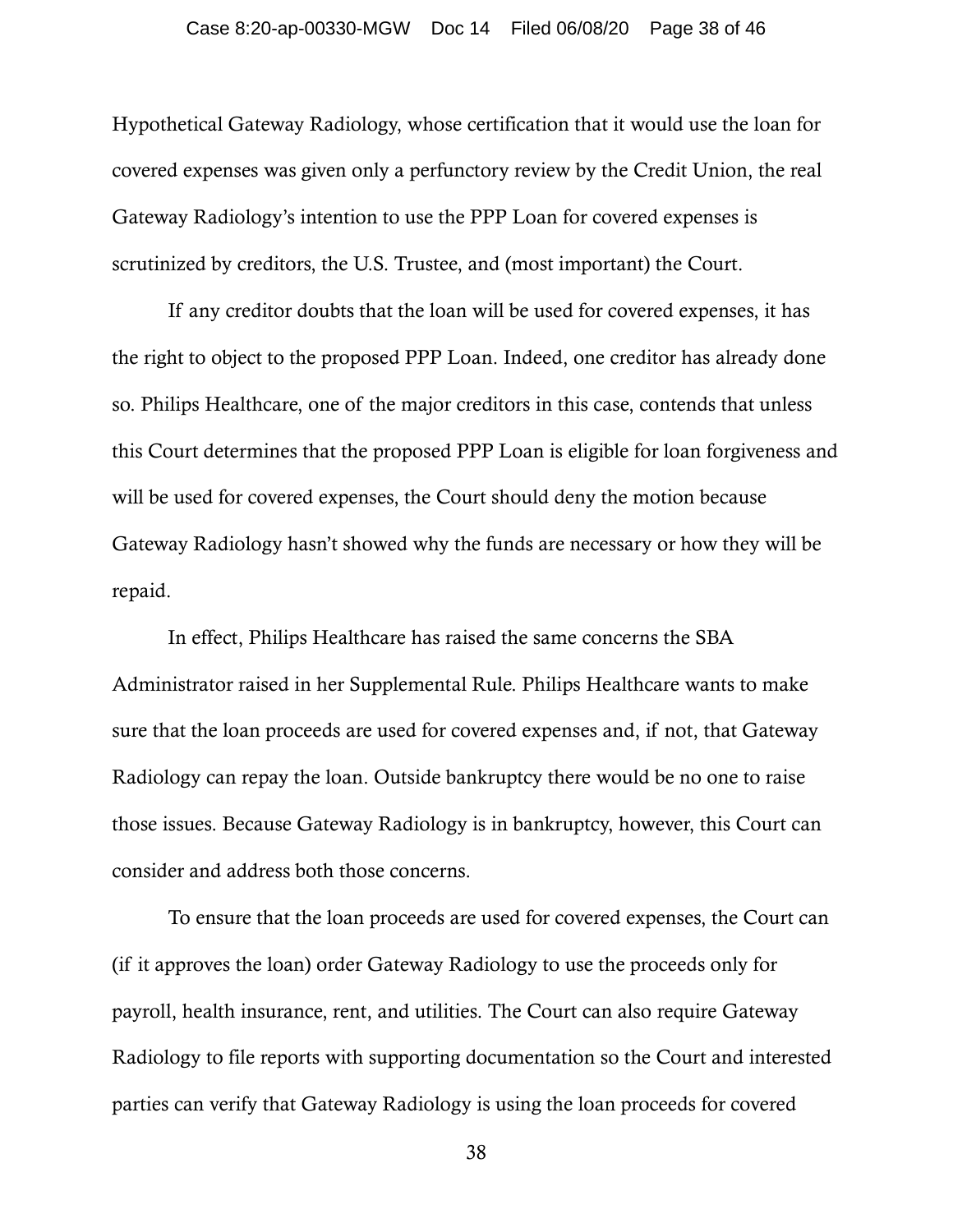#### Case 8:20-ap-00330-MGW Doc 14 Filed 06/08/20 Page 38 of 46

Hypothetical Gateway Radiology, whose certification that it would use the loan for covered expenses was given only a perfunctory review by the Credit Union, the real Gateway Radiology's intention to use the PPP Loan for covered expenses is scrutinized by creditors, the U.S. Trustee, and (most important) the Court.

If any creditor doubts that the loan will be used for covered expenses, it has the right to object to the proposed PPP Loan. Indeed, one creditor has already done so. Philips Healthcare, one of the major creditors in this case, contends that unless this Court determines that the proposed PPP Loan is eligible for loan forgiveness and will be used for covered expenses, the Court should deny the motion because Gateway Radiology hasn't showed why the funds are necessary or how they will be repaid.

In effect, Philips Healthcare has raised the same concerns the SBA Administrator raised in her Supplemental Rule. Philips Healthcare wants to make sure that the loan proceeds are used for covered expenses and, if not, that Gateway Radiology can repay the loan. Outside bankruptcy there would be no one to raise those issues. Because Gateway Radiology is in bankruptcy, however, this Court can consider and address both those concerns.

To ensure that the loan proceeds are used for covered expenses, the Court can (if it approves the loan) order Gateway Radiology to use the proceeds only for payroll, health insurance, rent, and utilities. The Court can also require Gateway Radiology to file reports with supporting documentation so the Court and interested parties can verify that Gateway Radiology is using the loan proceeds for covered

38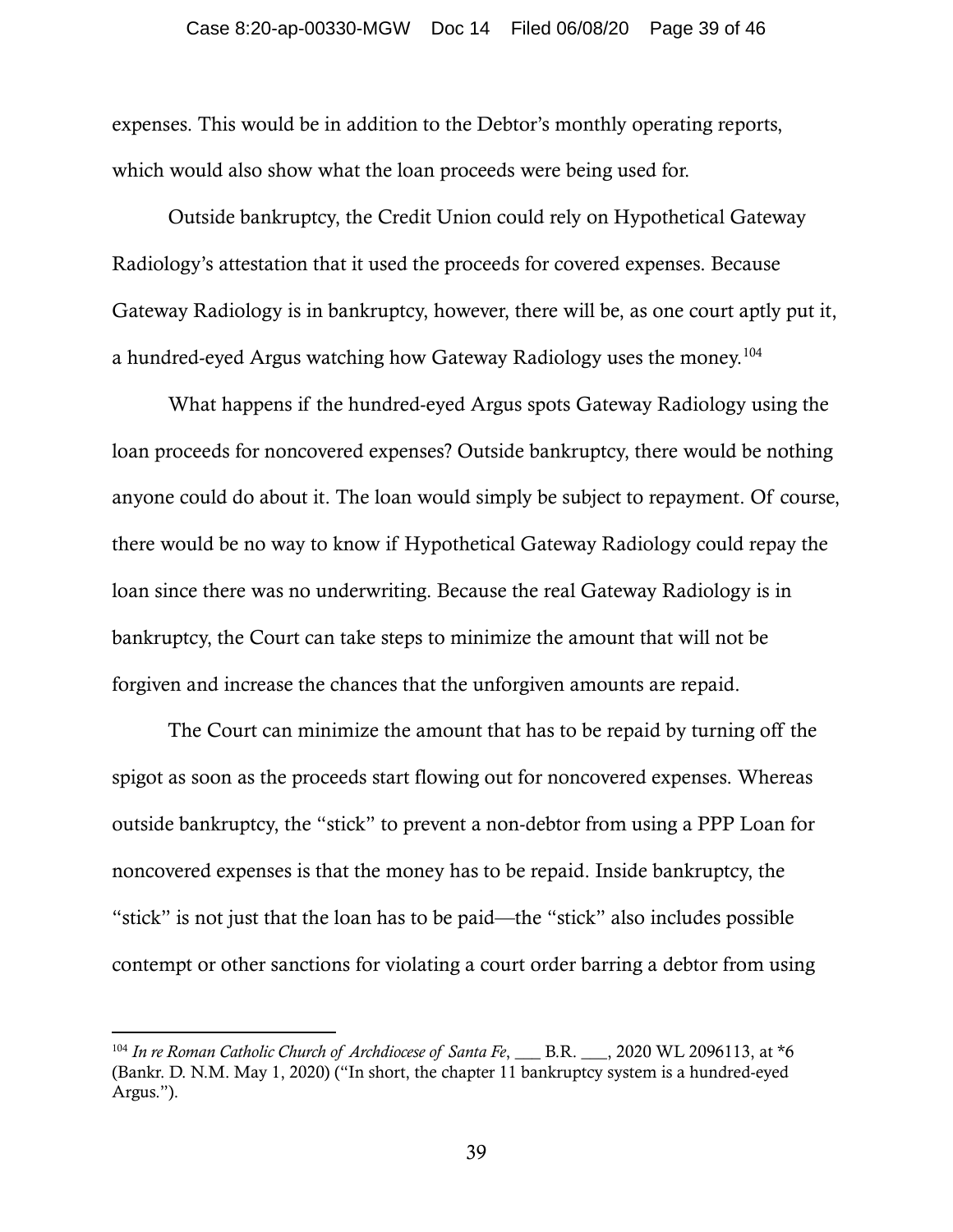#### Case 8:20-ap-00330-MGW Doc 14 Filed 06/08/20 Page 39 of 46

expenses. This would be in addition to the Debtor's monthly operating reports, which would also show what the loan proceeds were being used for.

Outside bankruptcy, the Credit Union could rely on Hypothetical Gateway Radiology's attestation that it used the proceeds for covered expenses. Because Gateway Radiology is in bankruptcy, however, there will be, as one court aptly put it, a hundred-eyed Argus watching how Gateway Radiology uses the money.<sup>104</sup>

What happens if the hundred-eyed Argus spots Gateway Radiology using the loan proceeds for noncovered expenses? Outside bankruptcy, there would be nothing anyone could do about it. The loan would simply be subject to repayment. Of course, there would be no way to know if Hypothetical Gateway Radiology could repay the loan since there was no underwriting. Because the real Gateway Radiology is in bankruptcy, the Court can take steps to minimize the amount that will not be forgiven and increase the chances that the unforgiven amounts are repaid.

The Court can minimize the amount that has to be repaid by turning off the spigot as soon as the proceeds start flowing out for noncovered expenses. Whereas outside bankruptcy, the "stick" to prevent a non-debtor from using a PPP Loan for noncovered expenses is that the money has to be repaid. Inside bankruptcy, the "stick" is not just that the loan has to be paid—the "stick" also includes possible contempt or other sanctions for violating a court order barring a debtor from using

<span id="page-38-0"></span><sup>&</sup>lt;sup>104</sup> In re Roman Catholic Church of Archdiocese of Santa Fe, \_\_\_ B.R. \_\_\_, 2020 WL 2096113, at \*6 (Bankr. D. N.M. May 1, 2020) ("In short, the chapter 11 bankruptcy system is a hundred-eyed Argus.").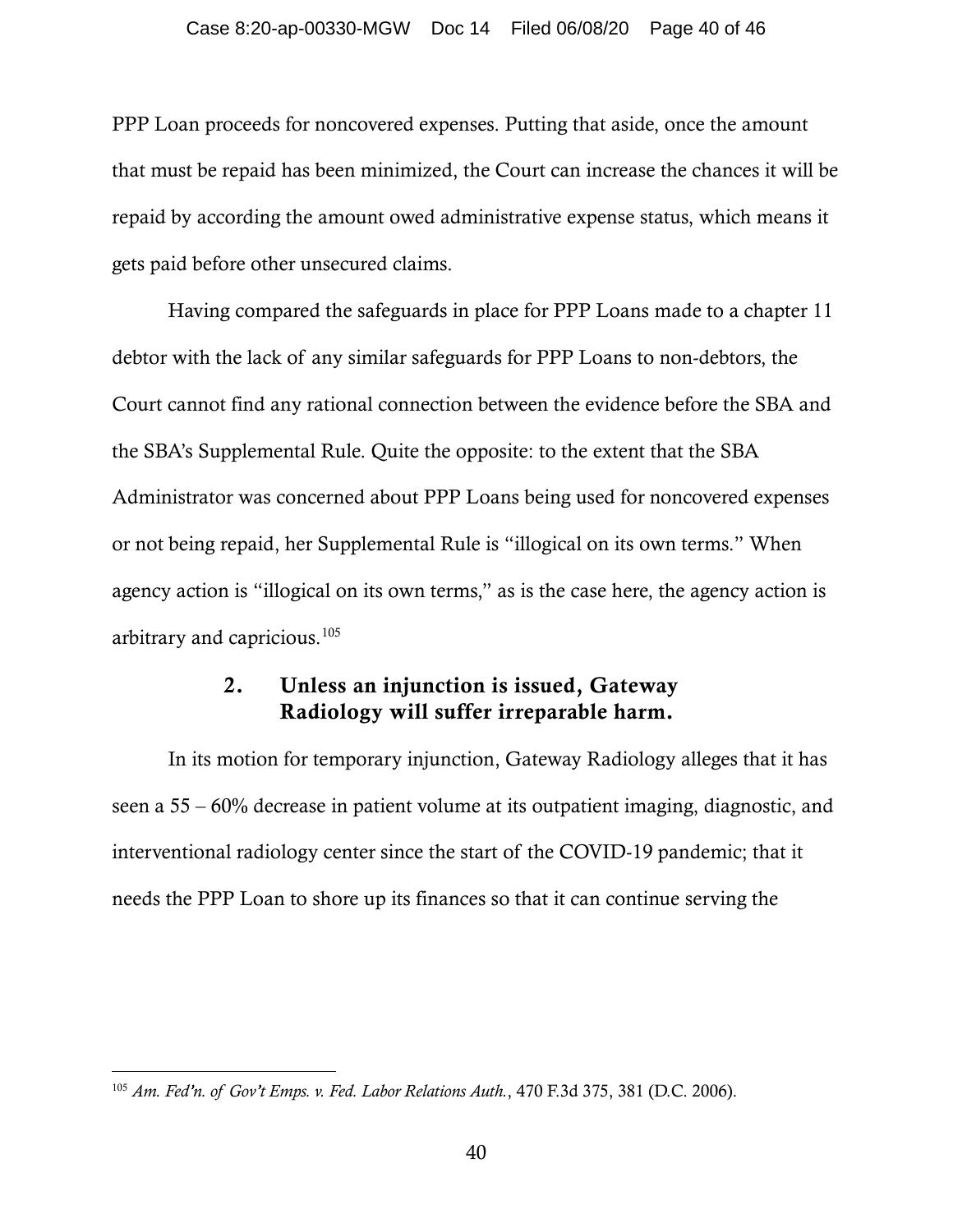#### Case 8:20-ap-00330-MGW Doc 14 Filed 06/08/20 Page 40 of 46

PPP Loan proceeds for noncovered expenses. Putting that aside, once the amount that must be repaid has been minimized, the Court can increase the chances it will be repaid by according the amount owed administrative expense status, which means it gets paid before other unsecured claims.

Having compared the safeguards in place for PPP Loans made to a chapter 11 debtor with the lack of any similar safeguards for PPP Loans to non-debtors, the Court cannot find any rational connection between the evidence before the SBA and the SBA's Supplemental Rule. Quite the opposite: to the extent that the SBA Administrator was concerned about PPP Loans being used for noncovered expenses or not being repaid, her Supplemental Rule is "illogical on its own terms." When agency action is "illogical on its own terms," as is the case here, the agency action is arbitrary and capricious.[105](#page-39-0)

## 2. Unless an injunction is issued, Gateway Radiology will suffer irreparable harm.

In its motion for temporary injunction, Gateway Radiology alleges that it has seen a 55 – 60% decrease in patient volume at its outpatient imaging, diagnostic, and interventional radiology center since the start of the COVID-19 pandemic; that it needs the PPP Loan to shore up its finances so that it can continue serving the

<span id="page-39-0"></span><sup>105</sup> *Am. Fed'n. of Gov't Emps. v. Fed. Labor Relations Auth.*, 470 F.3d 375, 381 (D.C. 2006).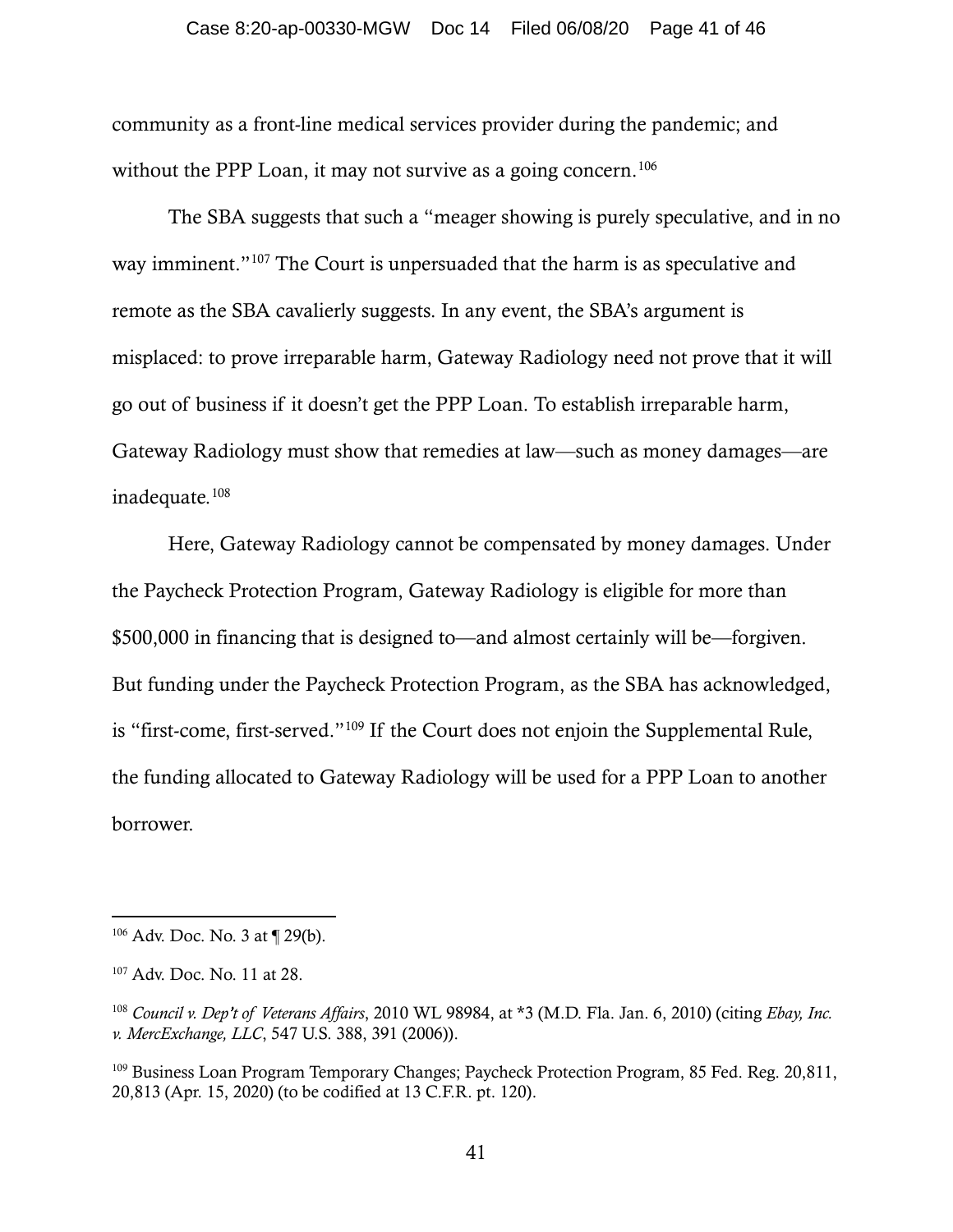#### Case 8:20-ap-00330-MGW Doc 14 Filed 06/08/20 Page 41 of 46

community as a front-line medical services provider during the pandemic; and without the PPP Loan, it may not survive as a going concern.<sup>[106](#page-40-0)</sup>

The SBA suggests that such a "meager showing is purely speculative, and in no way imminent."<sup>[107](#page-40-1)</sup> The Court is unpersuaded that the harm is as speculative and remote as the SBA cavalierly suggests. In any event, the SBA's argument is misplaced: to prove irreparable harm, Gateway Radiology need not prove that it will go out of business if it doesn't get the PPP Loan. To establish irreparable harm, Gateway Radiology must show that remedies at law—such as money damages—are inadequate. [108](#page-40-2)

Here, Gateway Radiology cannot be compensated by money damages. Under the Paycheck Protection Program, Gateway Radiology is eligible for more than \$500,000 in financing that is designed to—and almost certainly will be—forgiven. But funding under the Paycheck Protection Program, as the SBA has acknowledged, is "first-come, first-served."[109](#page-40-3) If the Court does not enjoin the Supplemental Rule, the funding allocated to Gateway Radiology will be used for a PPP Loan to another borrower.

<span id="page-40-0"></span><sup>106</sup> Adv. Doc. No. 3 at ¶ 29(b).

<span id="page-40-1"></span><sup>107</sup> Adv. Doc. No. 11 at 28.

<span id="page-40-2"></span><sup>108</sup> *Council v. Dep't of Veterans Affairs*, 2010 WL 98984, at \*3 (M.D. Fla. Jan. 6, 2010) (citing *Ebay, Inc. v. MercExchange, LLC*, 547 U.S. 388, 391 (2006)).

<span id="page-40-3"></span><sup>&</sup>lt;sup>109</sup> Business Loan Program Temporary Changes; Paycheck Protection Program, 85 Fed. Reg. 20,811, 20,813 (Apr. 15, 2020) (to be codified at 13 C.F.R. pt. 120).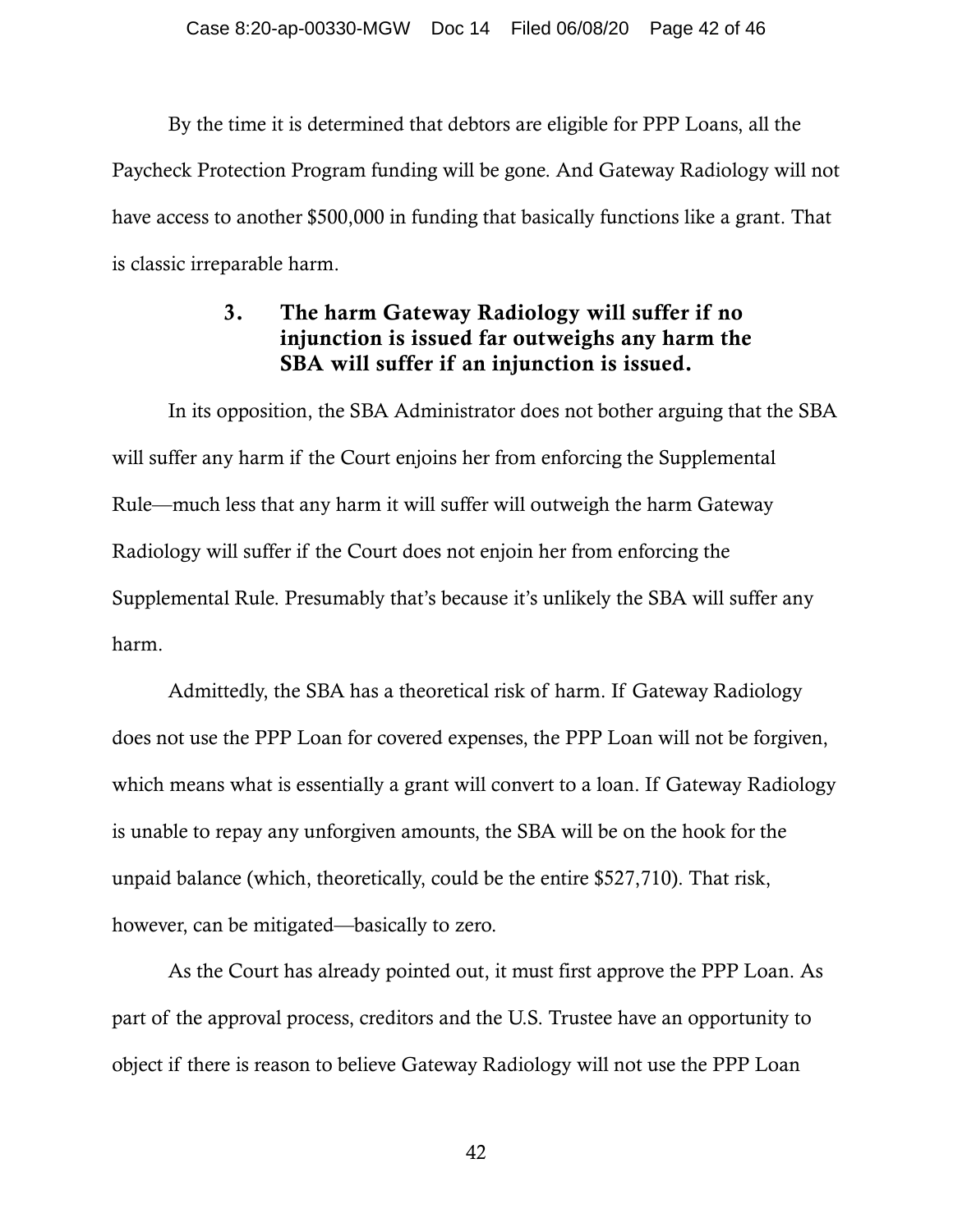By the time it is determined that debtors are eligible for PPP Loans, all the Paycheck Protection Program funding will be gone. And Gateway Radiology will not have access to another \$500,000 in funding that basically functions like a grant. That is classic irreparable harm.

## 3. The harm Gateway Radiology will suffer if no injunction is issued far outweighs any harm the SBA will suffer if an injunction is issued.

In its opposition, the SBA Administrator does not bother arguing that the SBA will suffer any harm if the Court enjoins her from enforcing the Supplemental Rule—much less that any harm it will suffer will outweigh the harm Gateway Radiology will suffer if the Court does not enjoin her from enforcing the Supplemental Rule. Presumably that's because it's unlikely the SBA will suffer any harm.

Admittedly, the SBA has a theoretical risk of harm. If Gateway Radiology does not use the PPP Loan for covered expenses, the PPP Loan will not be forgiven, which means what is essentially a grant will convert to a loan. If Gateway Radiology is unable to repay any unforgiven amounts, the SBA will be on the hook for the unpaid balance (which, theoretically, could be the entire \$527,710). That risk, however, can be mitigated—basically to zero.

As the Court has already pointed out, it must first approve the PPP Loan. As part of the approval process, creditors and the U.S. Trustee have an opportunity to object if there is reason to believe Gateway Radiology will not use the PPP Loan

42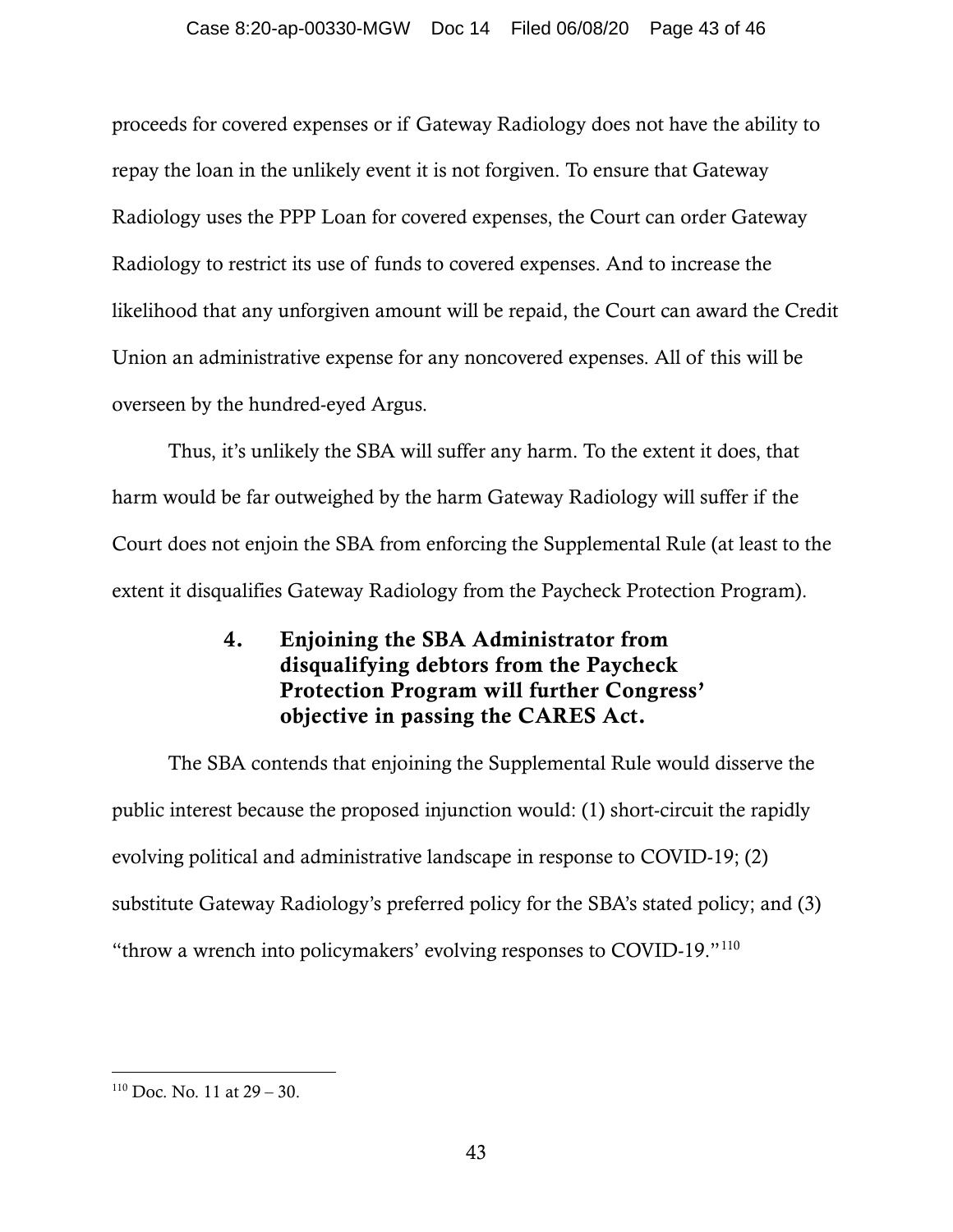### Case 8:20-ap-00330-MGW Doc 14 Filed 06/08/20 Page 43 of 46

proceeds for covered expenses or if Gateway Radiology does not have the ability to repay the loan in the unlikely event it is not forgiven. To ensure that Gateway Radiology uses the PPP Loan for covered expenses, the Court can order Gateway Radiology to restrict its use of funds to covered expenses. And to increase the likelihood that any unforgiven amount will be repaid, the Court can award the Credit Union an administrative expense for any noncovered expenses. All of this will be overseen by the hundred-eyed Argus.

Thus, it's unlikely the SBA will suffer any harm. To the extent it does, that harm would be far outweighed by the harm Gateway Radiology will suffer if the Court does not enjoin the SBA from enforcing the Supplemental Rule (at least to the extent it disqualifies Gateway Radiology from the Paycheck Protection Program).

# 4. Enjoining the SBA Administrator from disqualifying debtors from the Paycheck Protection Program will further Congress' objective in passing the CARES Act.

The SBA contends that enjoining the Supplemental Rule would disserve the public interest because the proposed injunction would: (1) short-circuit the rapidly evolving political and administrative landscape in response to COVID-19; (2) substitute Gateway Radiology's preferred policy for the SBA's stated policy; and (3) "throw a wrench into policymakers' evolving responses to COVID-19."[110](#page-42-0)

<span id="page-42-0"></span> $110$  Doc. No. 11 at  $29 - 30$ .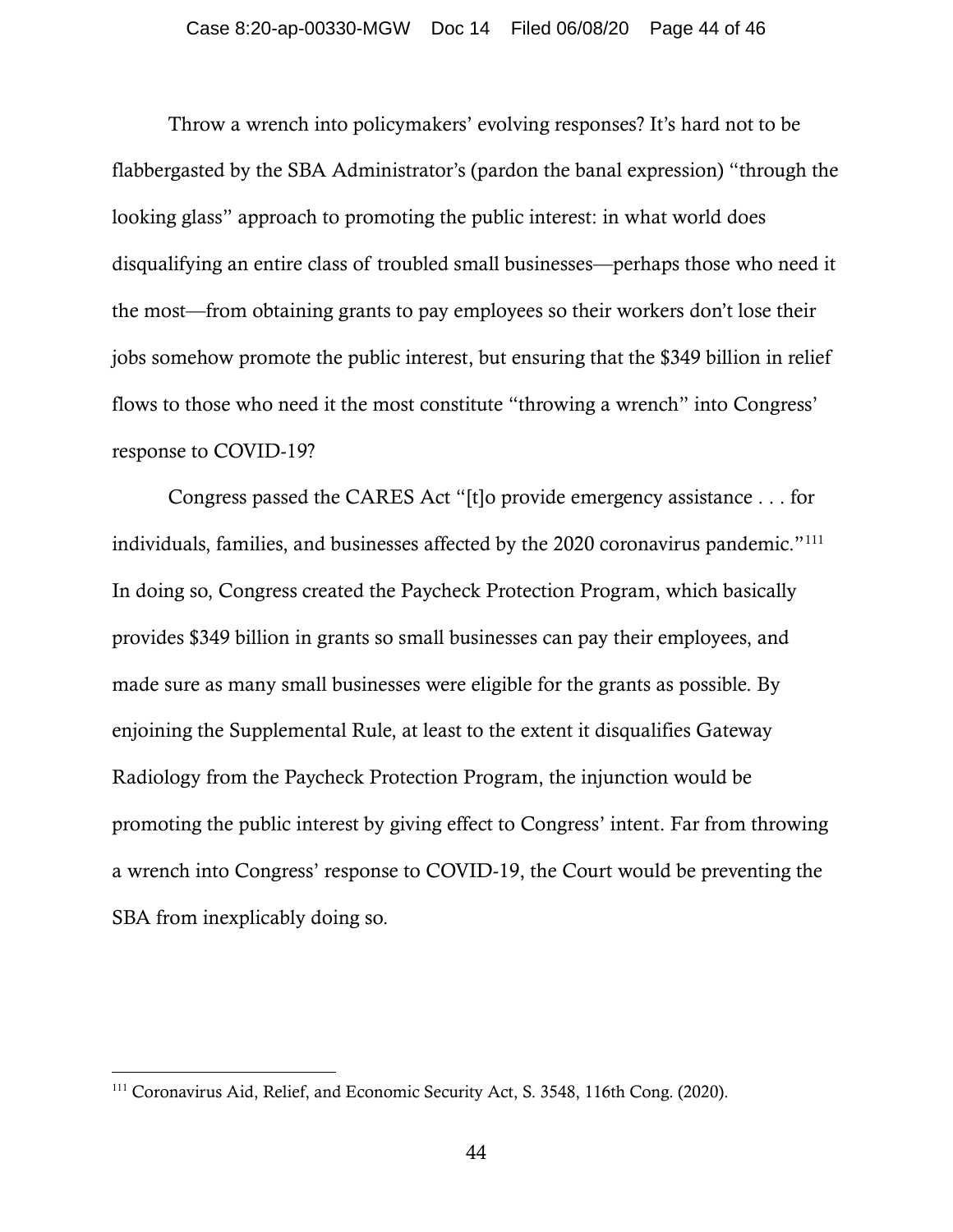Throw a wrench into policymakers' evolving responses? It's hard not to be flabbergasted by the SBA Administrator's (pardon the banal expression) "through the looking glass" approach to promoting the public interest: in what world does disqualifying an entire class of troubled small businesses—perhaps those who need it the most—from obtaining grants to pay employees so their workers don't lose their jobs somehow promote the public interest, but ensuring that the \$349 billion in relief flows to those who need it the most constitute "throwing a wrench" into Congress' response to COVID-19?

Congress passed the CARES Act "[t]o provide emergency assistance . . . for individuals, families, and businesses affected by the 2020 coronavirus pandemic."[111](#page-43-0) In doing so, Congress created the Paycheck Protection Program, which basically provides \$349 billion in grants so small businesses can pay their employees, and made sure as many small businesses were eligible for the grants as possible. By enjoining the Supplemental Rule, at least to the extent it disqualifies Gateway Radiology from the Paycheck Protection Program, the injunction would be promoting the public interest by giving effect to Congress' intent. Far from throwing a wrench into Congress' response to COVID-19, the Court would be preventing the SBA from inexplicably doing so.

<span id="page-43-0"></span><sup>111</sup> Coronavirus Aid, Relief, and Economic Security Act, S. 3548, 116th Cong. (2020).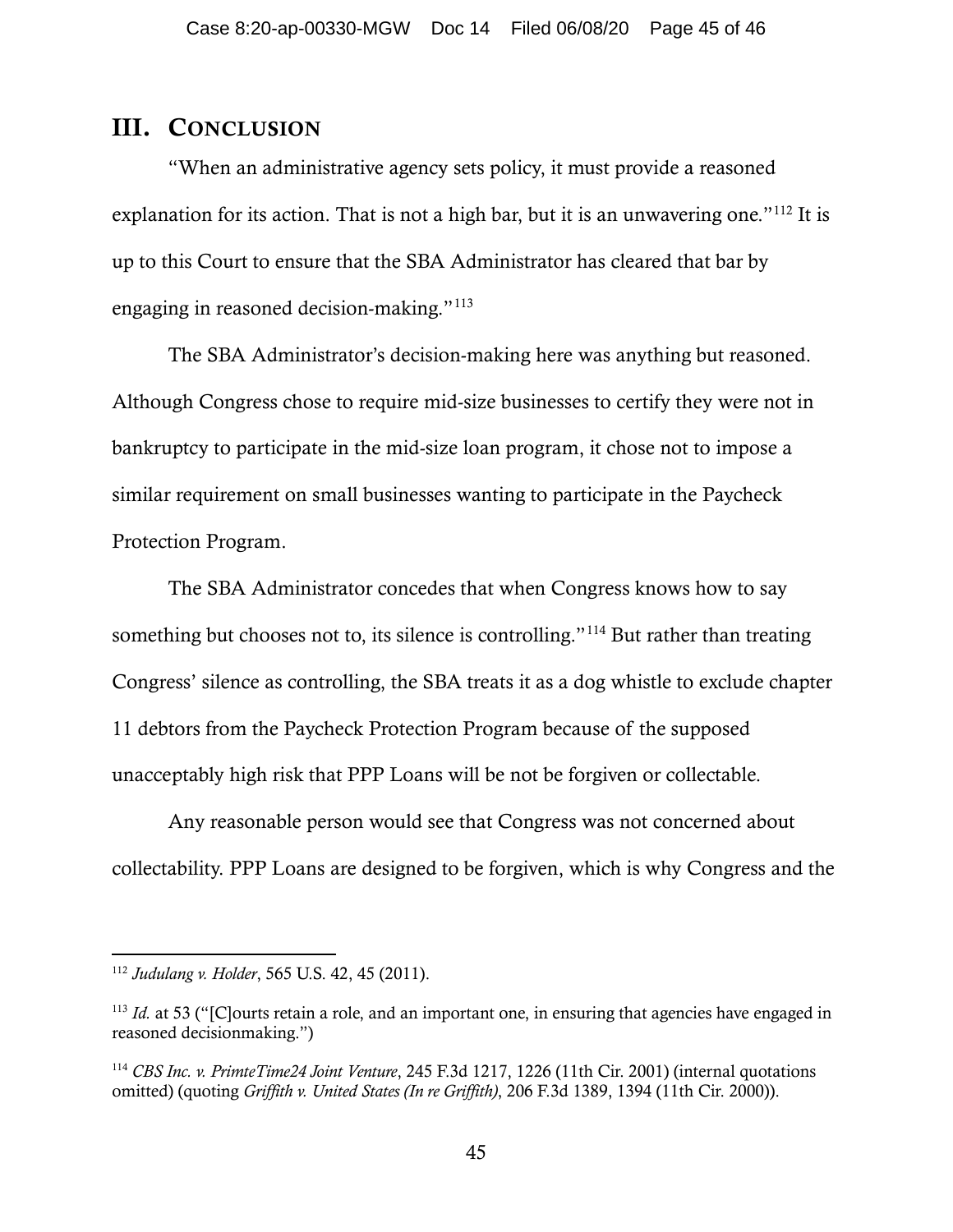## III. CONCLUSION

"When an administrative agency sets policy, it must provide a reasoned explanation for its action. That is not a high bar, but it is an unwavering one." $112$  It is up to this Court to ensure that the SBA Administrator has cleared that bar by engaging in reasoned decision-making."[113](#page-44-1)

The SBA Administrator's decision-making here was anything but reasoned. Although Congress chose to require mid-size businesses to certify they were not in bankruptcy to participate in the mid-size loan program, it chose not to impose a similar requirement on small businesses wanting to participate in the Paycheck Protection Program.

The SBA Administrator concedes that when Congress knows how to say something but chooses not to, its silence is controlling."<sup>[114](#page-44-2)</sup> But rather than treating Congress' silence as controlling, the SBA treats it as a dog whistle to exclude chapter 11 debtors from the Paycheck Protection Program because of the supposed unacceptably high risk that PPP Loans will be not be forgiven or collectable.

Any reasonable person would see that Congress was not concerned about collectability. PPP Loans are designed to be forgiven, which is why Congress and the

<span id="page-44-0"></span><sup>112</sup> *Judulang v. Holder*, 565 U.S. 42, 45 (2011).

<span id="page-44-1"></span><sup>&</sup>lt;sup>113</sup> *Id.* at 53 ("[C]ourts retain a role, and an important one, in ensuring that agencies have engaged in reasoned decisionmaking.")

<span id="page-44-2"></span><sup>114</sup> *CBS Inc. v. PrimteTime24 Joint Venture*, 245 F.3d 1217, 1226 (11th Cir. 2001) (internal quotations omitted) (quoting *Griffith v. United States (In re Griffith)*, 206 F.3d 1389, 1394 (11th Cir. 2000)).